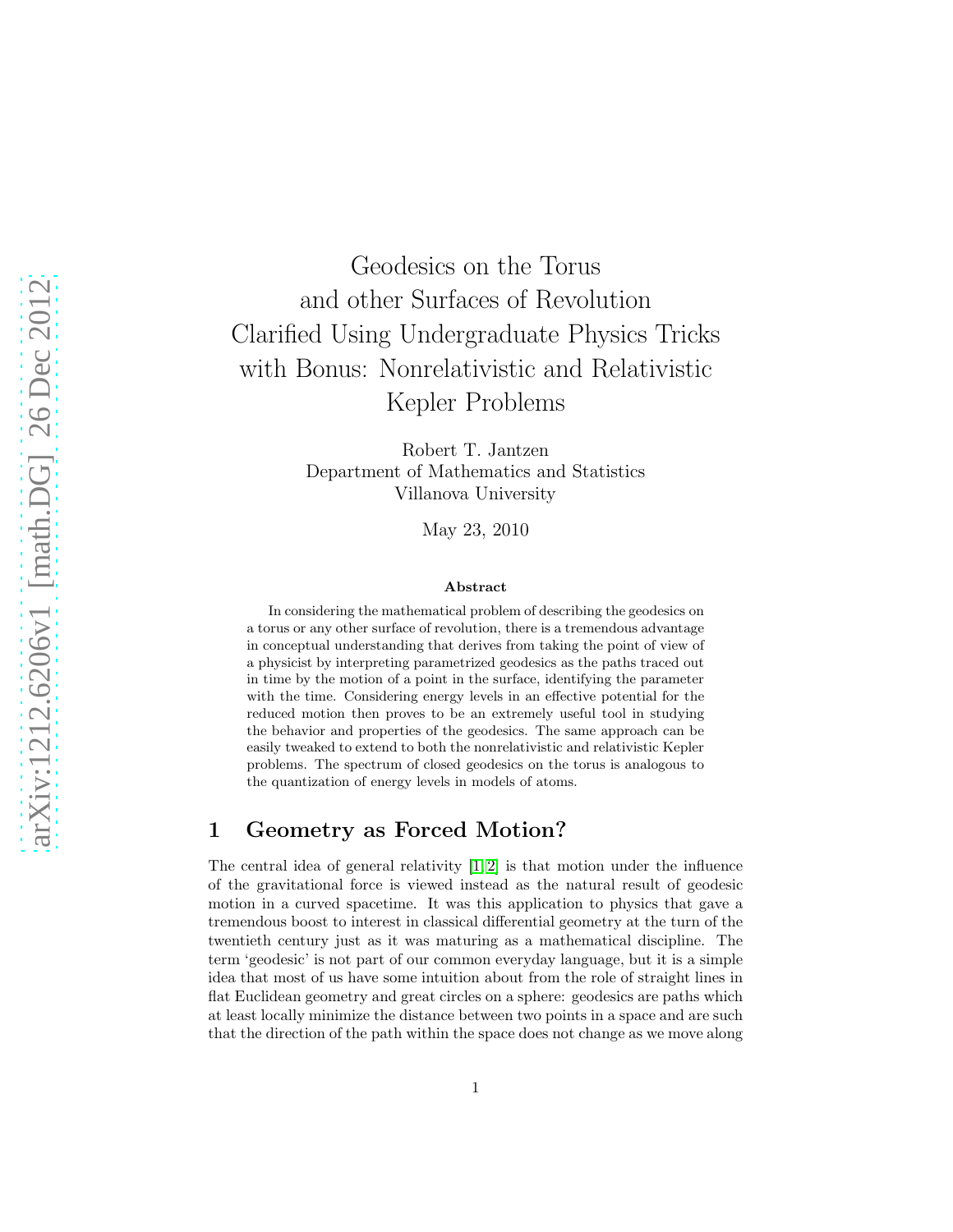# Geodesics on the Torus and other Surfaces of Revolution Clarified Using Undergraduate Physics Tricks with Bonus: Nonrelativistic and Relativistic Kepler Problems

Robert T. Jantzen Department of Mathematics and Statistics Villanova University

May 23, 2010

#### Abstract

In considering the mathematical problem of describing the geodesics on a torus or any other surface of revolution, there is a tremendous advantage in conceptual understanding that derives from taking the point of view of a physicist by interpreting parametrized geodesics as the paths traced out in time by the motion of a point in the surface, identifying the parameter with the time. Considering energy levels in an effective potential for the reduced motion then proves to be an extremely useful tool in studying the behavior and properties of the geodesics. The same approach can be easily tweaked to extend to both the nonrelativistic and relativistic Kepler problems. The spectrum of closed geodesics on the torus is analogous to the quantization of energy levels in models of atoms.

#### 1 Geometry as Forced Motion?

The central idea of general relativity  $[1, 2]$  $[1, 2]$  is that motion under the influence of the gravitational force is viewed instead as the natural result of geodesic motion in a curved spacetime. It was this application to physics that gave a tremendous boost to interest in classical differential geometry at the turn of the twentieth century just as it was maturing as a mathematical discipline. The term 'geodesic' is not part of our common everyday language, but it is a simple idea that most of us have some intuition about from the role of straight lines in flat Euclidean geometry and great circles on a sphere: geodesics are paths which at least locally minimize the distance between two points in a space and are such that the direction of the path within the space does not change as we move along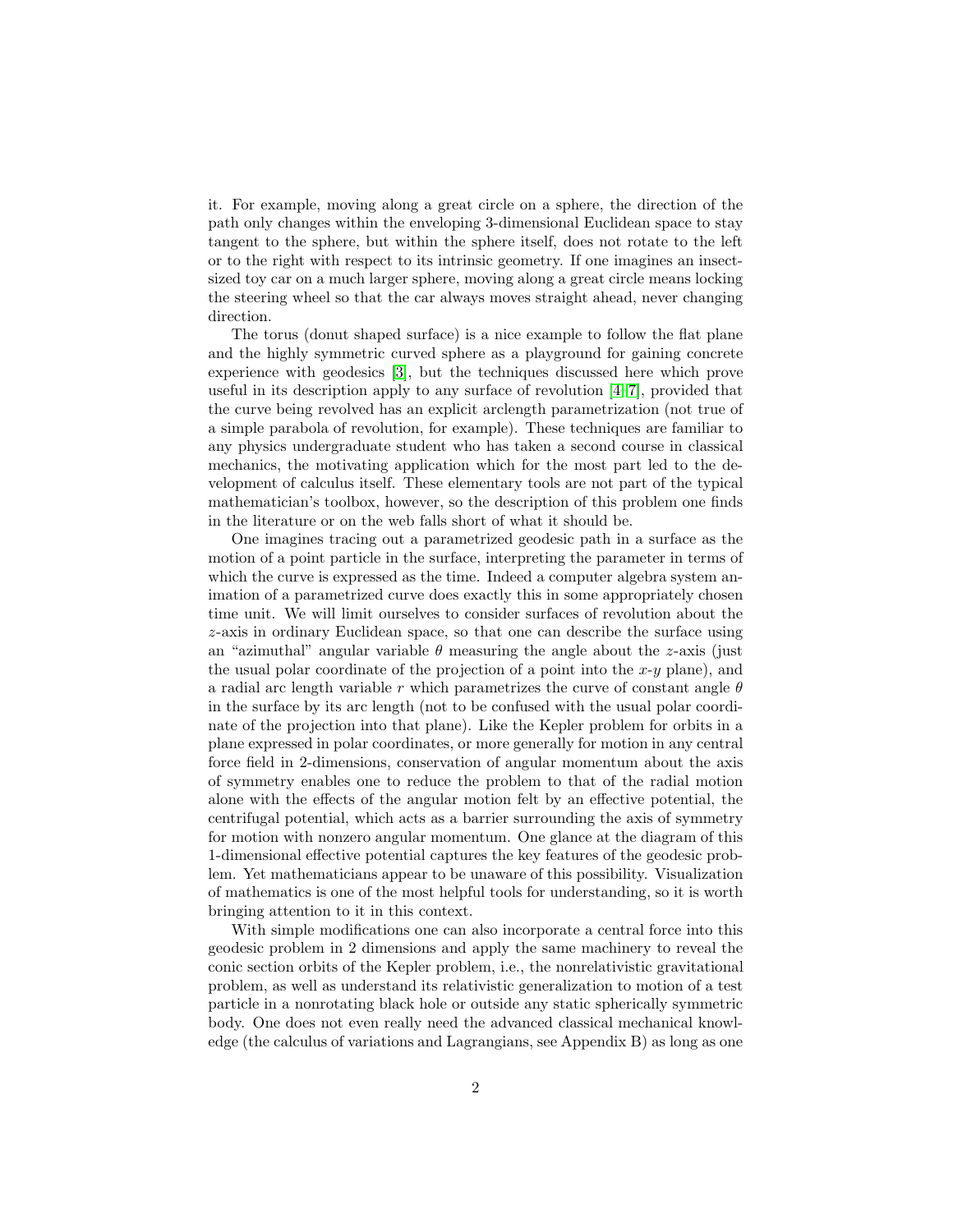it. For example, moving along a great circle on a sphere, the direction of the path only changes within the enveloping 3-dimensional Euclidean space to stay tangent to the sphere, but within the sphere itself, does not rotate to the left or to the right with respect to its intrinsic geometry. If one imagines an insectsized toy car on a much larger sphere, moving along a great circle means locking the steering wheel so that the car always moves straight ahead, never changing direction.

The torus (donut shaped surface) is a nice example to follow the flat plane and the highly symmetric curved sphere as a playground for gaining concrete experience with geodesics [\[3\]](#page-49-2), but the techniques discussed here which prove useful in its description apply to any surface of revolution [\[4–](#page-49-3)[7\]](#page-49-4), provided that the curve being revolved has an explicit arclength parametrization (not true of a simple parabola of revolution, for example). These techniques are familiar to any physics undergraduate student who has taken a second course in classical mechanics, the motivating application which for the most part led to the development of calculus itself. These elementary tools are not part of the typical mathematician's toolbox, however, so the description of this problem one finds in the literature or on the web falls short of what it should be.

One imagines tracing out a parametrized geodesic path in a surface as the motion of a point particle in the surface, interpreting the parameter in terms of which the curve is expressed as the time. Indeed a computer algebra system animation of a parametrized curve does exactly this in some appropriately chosen time unit. We will limit ourselves to consider surfaces of revolution about the z-axis in ordinary Euclidean space, so that one can describe the surface using an "azimuthal" angular variable  $\theta$  measuring the angle about the z-axis (just the usual polar coordinate of the projection of a point into the  $x-y$  plane), and a radial arc length variable r which parametrizes the curve of constant angle  $\theta$ in the surface by its arc length (not to be confused with the usual polar coordinate of the projection into that plane). Like the Kepler problem for orbits in a plane expressed in polar coordinates, or more generally for motion in any central force field in 2-dimensions, conservation of angular momentum about the axis of symmetry enables one to reduce the problem to that of the radial motion alone with the effects of the angular motion felt by an effective potential, the centrifugal potential, which acts as a barrier surrounding the axis of symmetry for motion with nonzero angular momentum. One glance at the diagram of this 1-dimensional effective potential captures the key features of the geodesic problem. Yet mathematicians appear to be unaware of this possibility. Visualization of mathematics is one of the most helpful tools for understanding, so it is worth bringing attention to it in this context.

With simple modifications one can also incorporate a central force into this geodesic problem in 2 dimensions and apply the same machinery to reveal the conic section orbits of the Kepler problem, i.e., the nonrelativistic gravitational problem, as well as understand its relativistic generalization to motion of a test particle in a nonrotating black hole or outside any static spherically symmetric body. One does not even really need the advanced classical mechanical knowledge (the calculus of variations and Lagrangians, see Appendix B) as long as one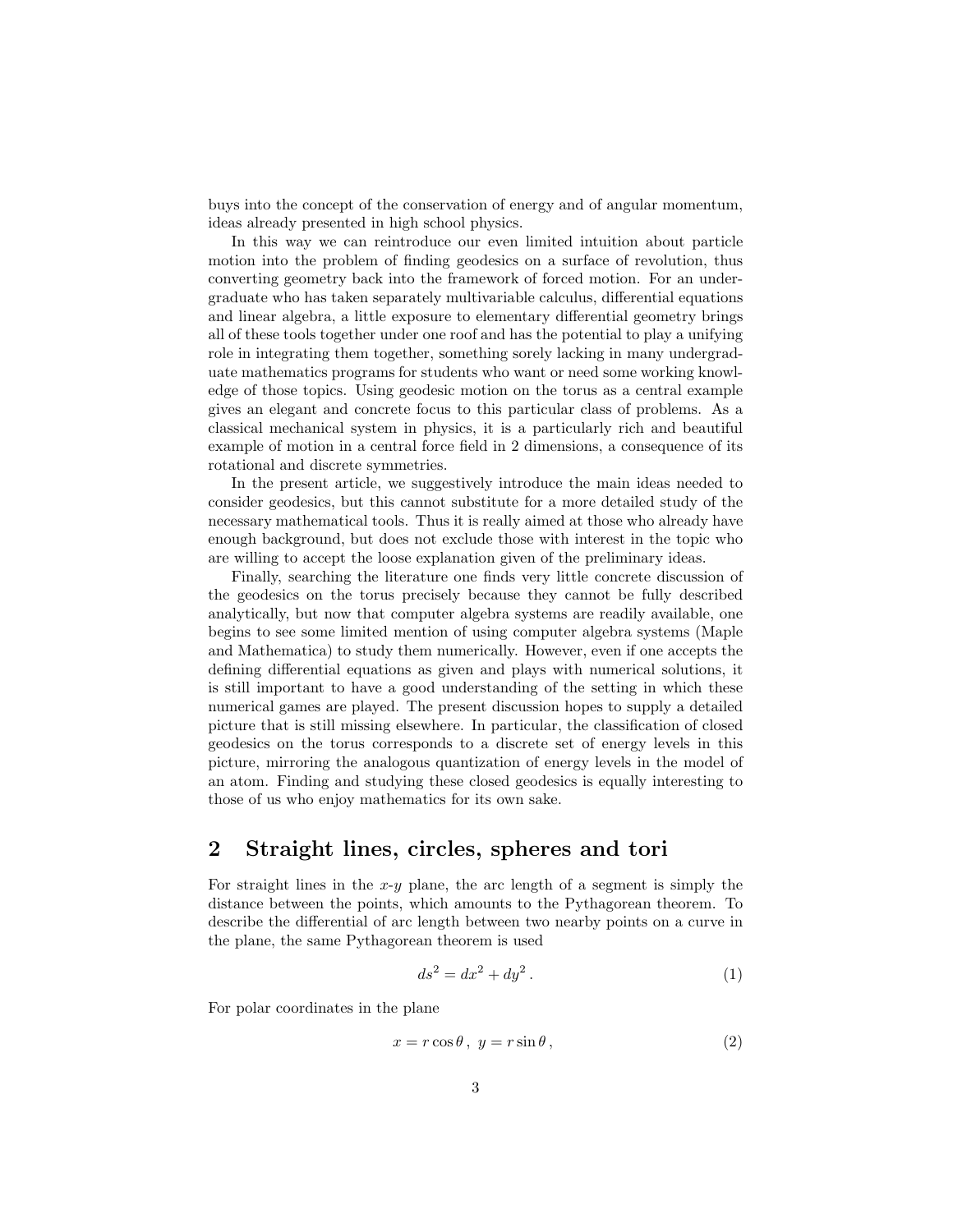buys into the concept of the conservation of energy and of angular momentum, ideas already presented in high school physics.

In this way we can reintroduce our even limited intuition about particle motion into the problem of finding geodesics on a surface of revolution, thus converting geometry back into the framework of forced motion. For an undergraduate who has taken separately multivariable calculus, differential equations and linear algebra, a little exposure to elementary differential geometry brings all of these tools together under one roof and has the potential to play a unifying role in integrating them together, something sorely lacking in many undergraduate mathematics programs for students who want or need some working knowledge of those topics. Using geodesic motion on the torus as a central example gives an elegant and concrete focus to this particular class of problems. As a classical mechanical system in physics, it is a particularly rich and beautiful example of motion in a central force field in 2 dimensions, a consequence of its rotational and discrete symmetries.

In the present article, we suggestively introduce the main ideas needed to consider geodesics, but this cannot substitute for a more detailed study of the necessary mathematical tools. Thus it is really aimed at those who already have enough background, but does not exclude those with interest in the topic who are willing to accept the loose explanation given of the preliminary ideas.

Finally, searching the literature one finds very little concrete discussion of the geodesics on the torus precisely because they cannot be fully described analytically, but now that computer algebra systems are readily available, one begins to see some limited mention of using computer algebra systems (Maple and Mathematica) to study them numerically. However, even if one accepts the defining differential equations as given and plays with numerical solutions, it is still important to have a good understanding of the setting in which these numerical games are played. The present discussion hopes to supply a detailed picture that is still missing elsewhere. In particular, the classification of closed geodesics on the torus corresponds to a discrete set of energy levels in this picture, mirroring the analogous quantization of energy levels in the model of an atom. Finding and studying these closed geodesics is equally interesting to those of us who enjoy mathematics for its own sake.

#### 2 Straight lines, circles, spheres and tori

For straight lines in the  $x-y$  plane, the arc length of a segment is simply the distance between the points, which amounts to the Pythagorean theorem. To describe the differential of arc length between two nearby points on a curve in the plane, the same Pythagorean theorem is used

$$
ds^2 = dx^2 + dy^2.
$$
 (1)

For polar coordinates in the plane

$$
x = r\cos\theta, \ y = r\sin\theta,\tag{2}
$$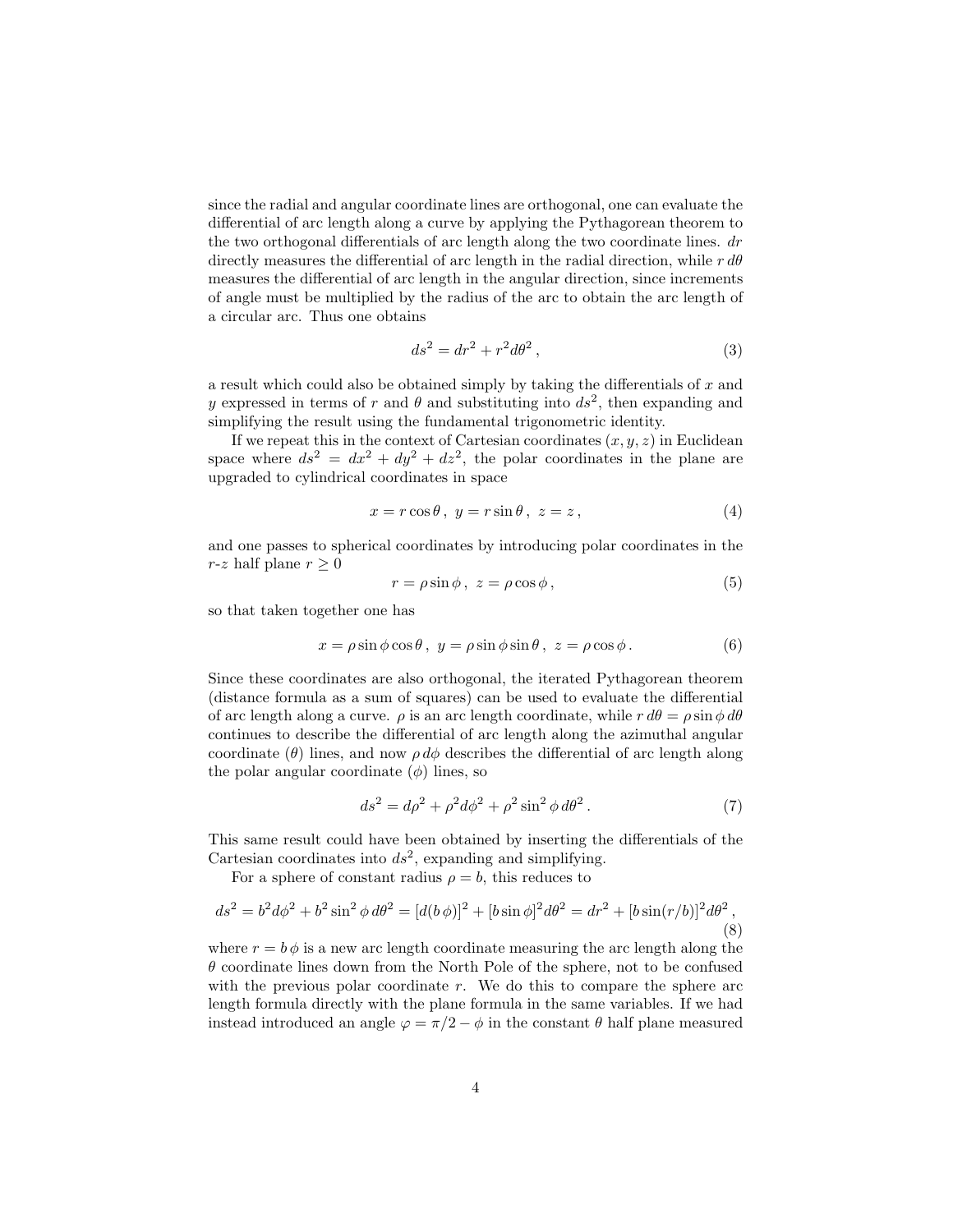since the radial and angular coordinate lines are orthogonal, one can evaluate the differential of arc length along a curve by applying the Pythagorean theorem to the two orthogonal differentials of arc length along the two coordinate lines. dr directly measures the differential of arc length in the radial direction, while  $r d\theta$ measures the differential of arc length in the angular direction, since increments of angle must be multiplied by the radius of the arc to obtain the arc length of a circular arc. Thus one obtains

$$
ds^2 = dr^2 + r^2 d\theta^2,
$$
\n(3)

a result which could also be obtained simply by taking the differentials of  $x$  and y expressed in terms of r and  $\theta$  and substituting into  $ds^2$ , then expanding and simplifying the result using the fundamental trigonometric identity.

If we repeat this in the context of Cartesian coordinates  $(x, y, z)$  in Euclidean space where  $ds^2 = dx^2 + dy^2 + dz^2$ , the polar coordinates in the plane are upgraded to cylindrical coordinates in space

$$
x = r\cos\theta, \ y = r\sin\theta, \ z = z,
$$
\n<sup>(4)</sup>

and one passes to spherical coordinates by introducing polar coordinates in the r-z half plane  $r \geq 0$ 

$$
r = \rho \sin \phi, \ z = \rho \cos \phi, \tag{5}
$$

so that taken together one has

$$
x = \rho \sin \phi \cos \theta, \ y = \rho \sin \phi \sin \theta, \ z = \rho \cos \phi. \tag{6}
$$

Since these coordinates are also orthogonal, the iterated Pythagorean theorem (distance formula as a sum of squares) can be used to evaluate the differential of arc length along a curve.  $\rho$  is an arc length coordinate, while  $r d\theta = \rho \sin \phi d\theta$ continues to describe the differential of arc length along the azimuthal angular coordinate ( $\theta$ ) lines, and now  $\rho d\phi$  describes the differential of arc length along the polar angular coordinate  $(\phi)$  lines, so

$$
ds^2 = d\rho^2 + \rho^2 d\phi^2 + \rho^2 \sin^2 \phi d\theta^2. \tag{7}
$$

This same result could have been obtained by inserting the differentials of the Cartesian coordinates into  $ds^2$ , expanding and simplifying.

For a sphere of constant radius  $\rho = b$ , this reduces to

$$
ds^{2} = b^{2}d\phi^{2} + b^{2}\sin^{2}\phi d\theta^{2} = [d(b\phi)]^{2} + [b\sin\phi]^{2}d\theta^{2} = dr^{2} + [b\sin(r/b)]^{2}d\theta^{2},
$$
\n(8)

where  $r = b \phi$  is a new arc length coordinate measuring the arc length along the  $\theta$  coordinate lines down from the North Pole of the sphere, not to be confused with the previous polar coordinate r. We do this to compare the sphere arc length formula directly with the plane formula in the same variables. If we had instead introduced an angle  $\varphi = \pi/2 - \phi$  in the constant  $\theta$  half plane measured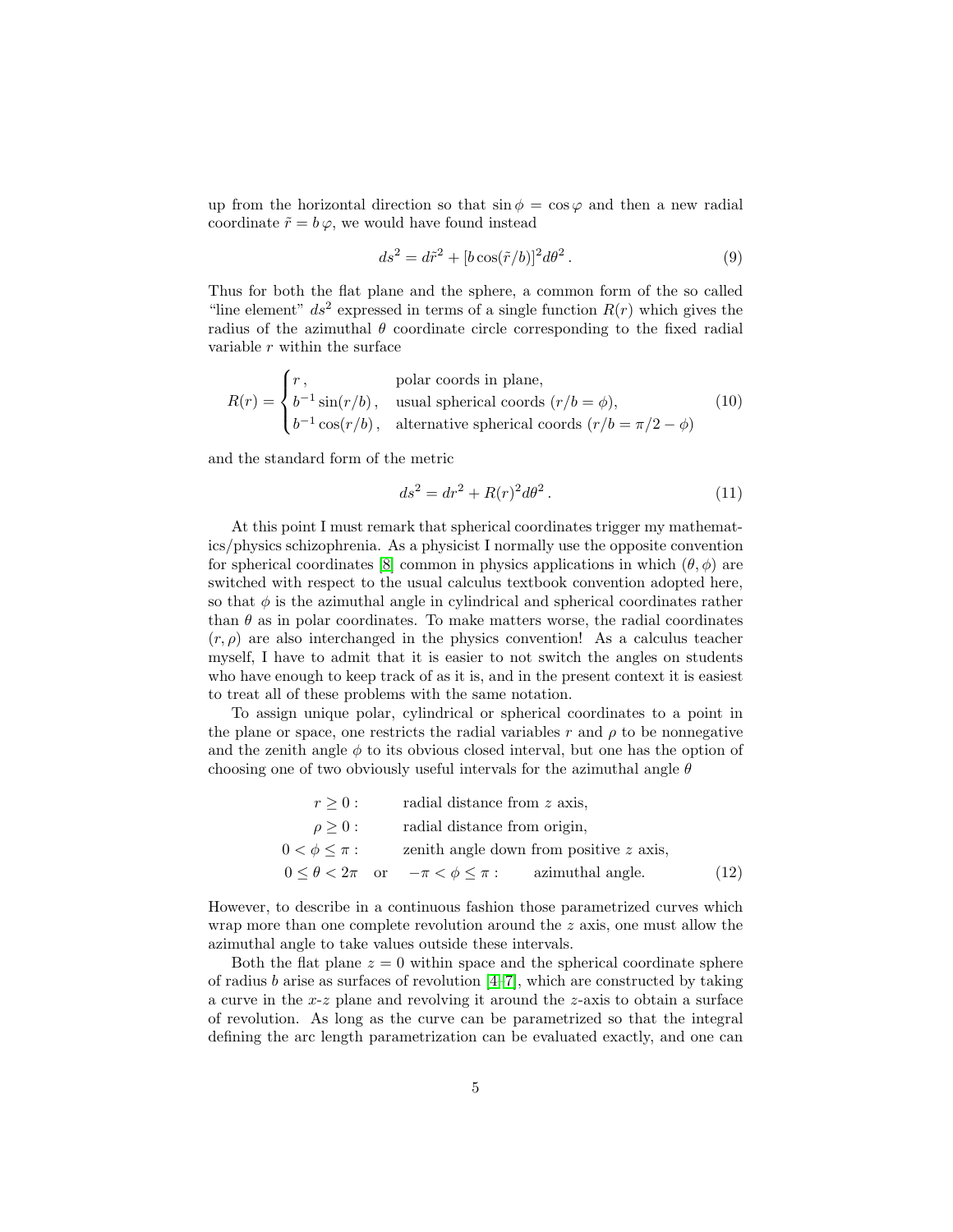up from the horizontal direction so that  $\sin \phi = \cos \varphi$  and then a new radial coordinate  $\tilde{r} = b \varphi$ , we would have found instead

$$
ds^2 = d\tilde{r}^2 + [b\cos(\tilde{r}/b)]^2 d\theta^2.
$$
 (9)

Thus for both the flat plane and the sphere, a common form of the so called "line element"  $ds^2$  expressed in terms of a single function  $R(r)$  which gives the radius of the azimuthal  $\theta$  coordinate circle corresponding to the fixed radial variable  $r$  within the surface

$$
R(r) = \begin{cases} r, & \text{polar coords in plane,} \\ b^{-1} \sin(r/b), & \text{usual spherical coords } (r/b = \phi), \\ b^{-1} \cos(r/b), & \text{alternative spherical coords } (r/b = \pi/2 - \phi) \end{cases} \tag{10}
$$

and the standard form of the metric

$$
ds^2 = dr^2 + R(r)^2 d\theta^2.
$$
 (11)

At this point I must remark that spherical coordinates trigger my mathematics/physics schizophrenia. As a physicist I normally use the opposite convention for spherical coordinates [\[8\]](#page-49-5) common in physics applications in which  $(\theta, \phi)$  are switched with respect to the usual calculus textbook convention adopted here, so that  $\phi$  is the azimuthal angle in cylindrical and spherical coordinates rather than  $\theta$  as in polar coordinates. To make matters worse, the radial coordinates  $(r, \rho)$  are also interchanged in the physics convention! As a calculus teacher myself, I have to admit that it is easier to not switch the angles on students who have enough to keep track of as it is, and in the present context it is easiest to treat all of these problems with the same notation.

To assign unique polar, cylindrical or spherical coordinates to a point in the plane or space, one restricts the radial variables r and  $\rho$  to be nonnegative and the zenith angle  $\phi$  to its obvious closed interval, but one has the option of choosing one of two obviously useful intervals for the azimuthal angle  $\theta$ 

| $r > 0$ :         | radial distance from z axis,                                        |      |
|-------------------|---------------------------------------------------------------------|------|
| $\rho \geq 0$ :   | radial distance from origin,                                        |      |
| $0<\phi\leq\pi$ : | zenith angle down from positive z axis,                             |      |
|                   | $0 \leq \theta < 2\pi$ or $-\pi < \phi \leq \pi$ : azimuthal angle. | (12) |

However, to describe in a continuous fashion those parametrized curves which wrap more than one complete revolution around the z axis, one must allow the azimuthal angle to take values outside these intervals.

Both the flat plane  $z = 0$  within space and the spherical coordinate sphere of radius b arise as surfaces of revolution  $[4-7]$  $[4-7]$ , which are constructed by taking a curve in the x-z plane and revolving it around the z-axis to obtain a surface of revolution. As long as the curve can be parametrized so that the integral defining the arc length parametrization can be evaluated exactly, and one can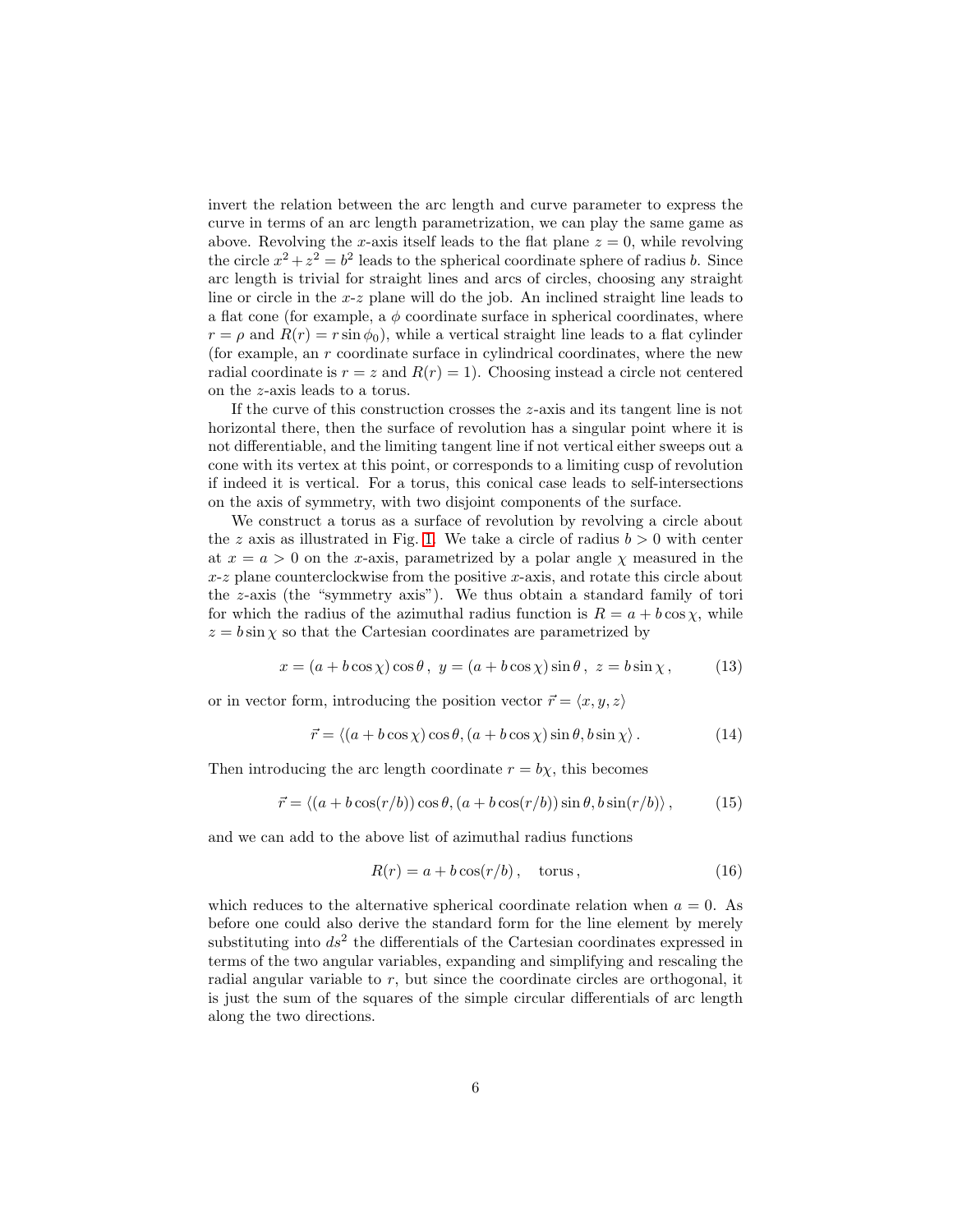invert the relation between the arc length and curve parameter to express the curve in terms of an arc length parametrization, we can play the same game as above. Revolving the x-axis itself leads to the flat plane  $z = 0$ , while revolving the circle  $x^2 + z^2 = b^2$  leads to the spherical coordinate sphere of radius *b*. Since arc length is trivial for straight lines and arcs of circles, choosing any straight line or circle in the x-z plane will do the job. An inclined straight line leads to a flat cone (for example, a  $\phi$  coordinate surface in spherical coordinates, where  $r = \rho$  and  $R(r) = r \sin \phi_0$ , while a vertical straight line leads to a flat cylinder (for example, an r coordinate surface in cylindrical coordinates, where the new radial coordinate is  $r = z$  and  $R(r) = 1$ . Choosing instead a circle not centered on the z-axis leads to a torus.

If the curve of this construction crosses the z-axis and its tangent line is not horizontal there, then the surface of revolution has a singular point where it is not differentiable, and the limiting tangent line if not vertical either sweeps out a cone with its vertex at this point, or corresponds to a limiting cusp of revolution if indeed it is vertical. For a torus, this conical case leads to self-intersections on the axis of symmetry, with two disjoint components of the surface.

We construct a torus as a surface of revolution by revolving a circle about the z axis as illustrated in Fig. [1.](#page-6-0) We take a circle of radius  $b > 0$  with center at  $x = a > 0$  on the x-axis, parametrized by a polar angle  $\gamma$  measured in the x-z plane counterclockwise from the positive x-axis, and rotate this circle about the z-axis (the "symmetry axis"). We thus obtain a standard family of tori for which the radius of the azimuthal radius function is  $R = a + b \cos \chi$ , while  $z = b \sin \chi$  so that the Cartesian coordinates are parametrized by

$$
x = (a + b\cos\chi)\cos\theta, \ y = (a + b\cos\chi)\sin\theta, \ z = b\sin\chi, \tag{13}
$$

or in vector form, introducing the position vector  $\vec{r} = \langle x, y, z \rangle$ 

$$
\vec{r} = \langle (a + b \cos \chi) \cos \theta, (a + b \cos \chi) \sin \theta, b \sin \chi \rangle. \tag{14}
$$

Then introducing the arc length coordinate  $r = b\chi$ , this becomes

$$
\vec{r} = \langle (a + b\cos(r/b))\cos\theta, (a + b\cos(r/b))\sin\theta, b\sin(r/b) \rangle, \qquad (15)
$$

and we can add to the above list of azimuthal radius functions

$$
R(r) = a + b\cos(r/b), \quad \text{torus}, \tag{16}
$$

which reduces to the alternative spherical coordinate relation when  $a = 0$ . As before one could also derive the standard form for the line element by merely substituting into  $ds^2$  the differentials of the Cartesian coordinates expressed in terms of the two angular variables, expanding and simplifying and rescaling the radial angular variable to r, but since the coordinate circles are orthogonal, it is just the sum of the squares of the simple circular differentials of arc length along the two directions.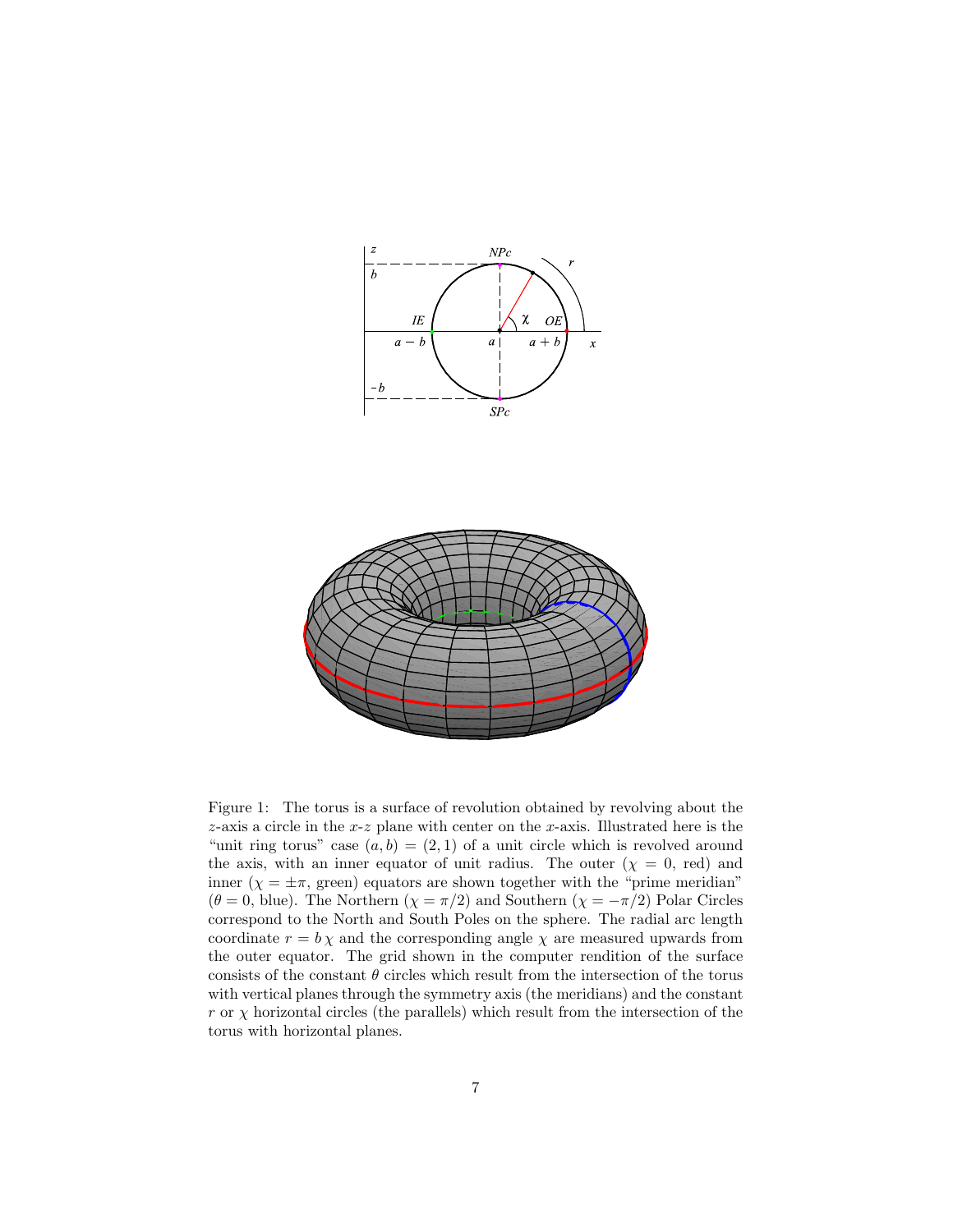

<span id="page-6-0"></span>Figure 1: The torus is a surface of revolution obtained by revolving about the z-axis a circle in the  $x-z$  plane with center on the  $x$ -axis. Illustrated here is the "unit ring torus" case  $(a, b) = (2, 1)$  of a unit circle which is revolved around the axis, with an inner equator of unit radius. The outer  $(\chi = 0, \text{ red})$  and inner ( $\chi = \pm \pi$ , green) equators are shown together with the "prime meridian"  $(\theta = 0, \text{ blue})$ . The Northern  $(\chi = \pi/2)$  and Southern  $(\chi = -\pi/2)$  Polar Circles correspond to the North and South Poles on the sphere. The radial arc length coordinate  $r = b \chi$  and the corresponding angle  $\chi$  are measured upwards from the outer equator. The grid shown in the computer rendition of the surface consists of the constant  $\theta$  circles which result from the intersection of the torus with vertical planes through the symmetry axis (the meridians) and the constant r or  $\chi$  horizontal circles (the parallels) which result from the intersection of the torus with horizontal planes.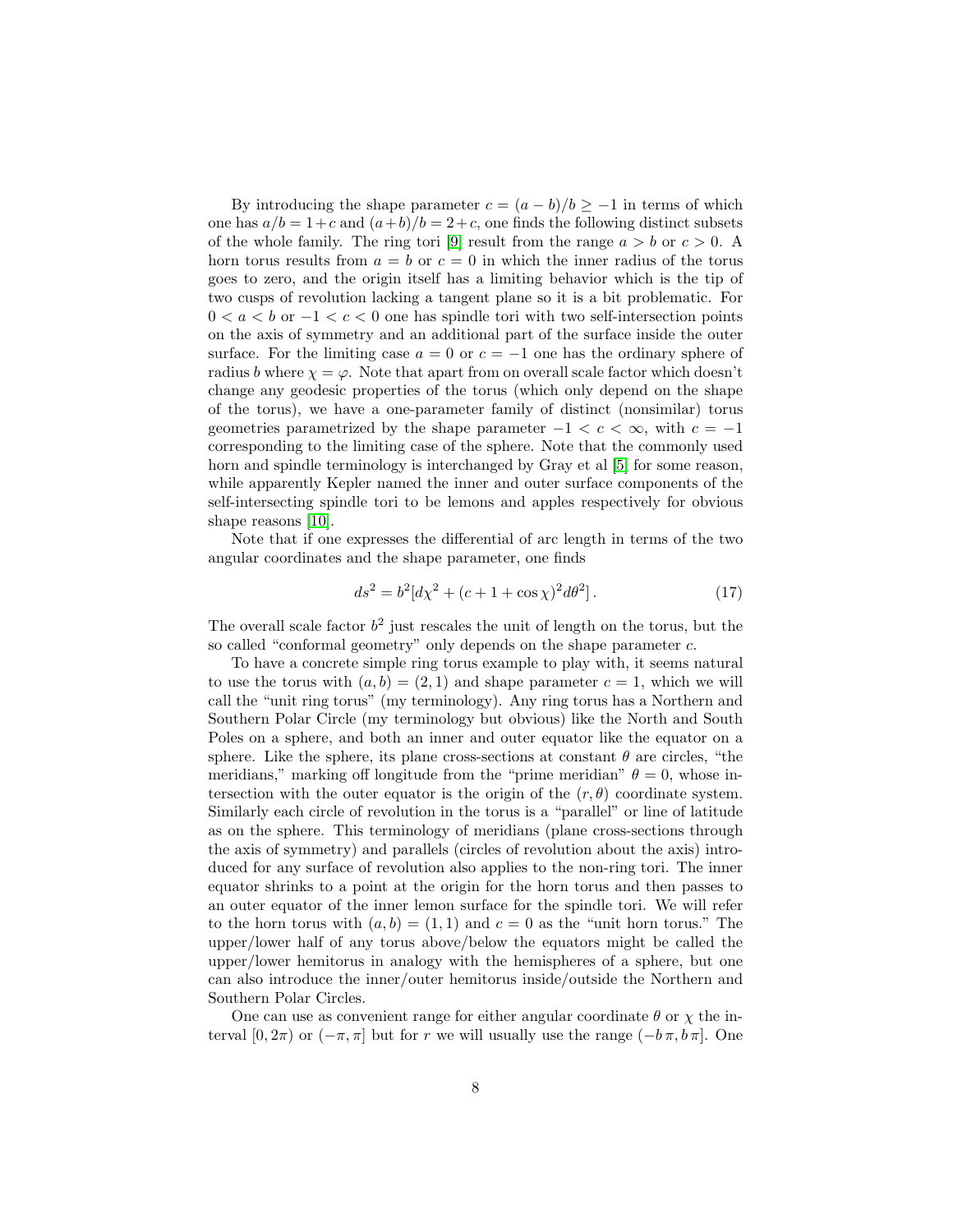By introducing the shape parameter  $c = (a - b)/b \ge -1$  in terms of which one has  $a/b = 1+c$  and  $(a+b)/b = 2+c$ , one finds the following distinct subsets of the whole family. The ring tori [\[9\]](#page-50-0) result from the range  $a > b$  or  $c > 0$ . A horn torus results from  $a = b$  or  $c = 0$  in which the inner radius of the torus goes to zero, and the origin itself has a limiting behavior which is the tip of two cusps of revolution lacking a tangent plane so it is a bit problematic. For  $0 < a < b$  or  $-1 < c < 0$  one has spindle tori with two self-intersection points on the axis of symmetry and an additional part of the surface inside the outer surface. For the limiting case  $a = 0$  or  $c = -1$  one has the ordinary sphere of radius b where  $\chi = \varphi$ . Note that apart from on overall scale factor which doesn't change any geodesic properties of the torus (which only depend on the shape of the torus), we have a one-parameter family of distinct (nonsimilar) torus geometries parametrized by the shape parameter  $-1 < c < \infty$ , with  $c = -1$ corresponding to the limiting case of the sphere. Note that the commonly used horn and spindle terminology is interchanged by Gray et al [\[5\]](#page-49-6) for some reason, while apparently Kepler named the inner and outer surface components of the self-intersecting spindle tori to be lemons and apples respectively for obvious shape reasons [\[10\]](#page-50-1).

Note that if one expresses the differential of arc length in terms of the two angular coordinates and the shape parameter, one finds

$$
ds^{2} = b^{2}[d\chi^{2} + (c+1+\cos\chi)^{2}d\theta^{2}].
$$
 (17)

The overall scale factor  $b^2$  just rescales the unit of length on the torus, but the so called "conformal geometry" only depends on the shape parameter c.

To have a concrete simple ring torus example to play with, it seems natural to use the torus with  $(a, b) = (2, 1)$  and shape parameter  $c = 1$ , which we will call the "unit ring torus" (my terminology). Any ring torus has a Northern and Southern Polar Circle (my terminology but obvious) like the North and South Poles on a sphere, and both an inner and outer equator like the equator on a sphere. Like the sphere, its plane cross-sections at constant  $\theta$  are circles, "the meridians," marking off longitude from the "prime meridian"  $\theta = 0$ , whose intersection with the outer equator is the origin of the  $(r, \theta)$  coordinate system. Similarly each circle of revolution in the torus is a "parallel" or line of latitude as on the sphere. This terminology of meridians (plane cross-sections through the axis of symmetry) and parallels (circles of revolution about the axis) introduced for any surface of revolution also applies to the non-ring tori. The inner equator shrinks to a point at the origin for the horn torus and then passes to an outer equator of the inner lemon surface for the spindle tori. We will refer to the horn torus with  $(a, b) = (1, 1)$  and  $c = 0$  as the "unit horn torus." The upper/lower half of any torus above/below the equators might be called the upper/lower hemitorus in analogy with the hemispheres of a sphere, but one can also introduce the inner/outer hemitorus inside/outside the Northern and Southern Polar Circles.

One can use as convenient range for either angular coordinate  $\theta$  or  $\chi$  the interval  $[0, 2\pi)$  or  $(-\pi, \pi]$  but for r we will usually use the range  $(-b\pi, b\pi]$ . One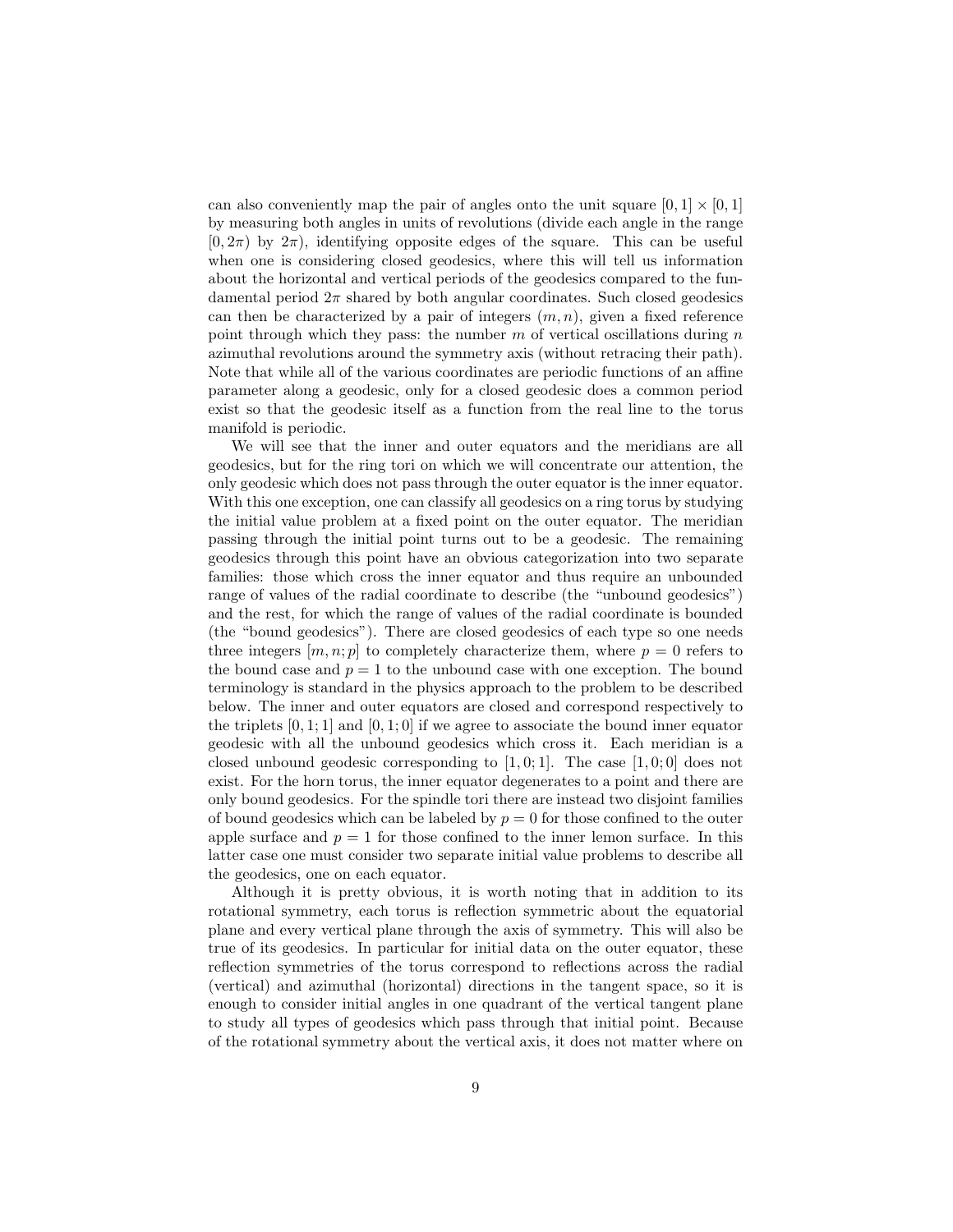can also conveniently map the pair of angles onto the unit square  $[0, 1] \times [0, 1]$ by measuring both angles in units of revolutions (divide each angle in the range  $[0, 2\pi)$  by  $2\pi$ , identifying opposite edges of the square. This can be useful when one is considering closed geodesics, where this will tell us information about the horizontal and vertical periods of the geodesics compared to the fundamental period  $2\pi$  shared by both angular coordinates. Such closed geodesics can then be characterized by a pair of integers  $(m, n)$ , given a fixed reference point through which they pass: the number  $m$  of vertical oscillations during  $n$ azimuthal revolutions around the symmetry axis (without retracing their path). Note that while all of the various coordinates are periodic functions of an affine parameter along a geodesic, only for a closed geodesic does a common period exist so that the geodesic itself as a function from the real line to the torus manifold is periodic.

We will see that the inner and outer equators and the meridians are all geodesics, but for the ring tori on which we will concentrate our attention, the only geodesic which does not pass through the outer equator is the inner equator. With this one exception, one can classify all geodesics on a ring torus by studying the initial value problem at a fixed point on the outer equator. The meridian passing through the initial point turns out to be a geodesic. The remaining geodesics through this point have an obvious categorization into two separate families: those which cross the inner equator and thus require an unbounded range of values of the radial coordinate to describe (the "unbound geodesics") and the rest, for which the range of values of the radial coordinate is bounded (the "bound geodesics"). There are closed geodesics of each type so one needs three integers  $[m, n; p]$  to completely characterize them, where  $p = 0$  refers to the bound case and  $p = 1$  to the unbound case with one exception. The bound terminology is standard in the physics approach to the problem to be described below. The inner and outer equators are closed and correspond respectively to the triplets  $[0, 1; 1]$  and  $[0, 1; 0]$  if we agree to associate the bound inner equator geodesic with all the unbound geodesics which cross it. Each meridian is a closed unbound geodesic corresponding to  $[1, 0; 1]$ . The case  $[1, 0; 0]$  does not exist. For the horn torus, the inner equator degenerates to a point and there are only bound geodesics. For the spindle tori there are instead two disjoint families of bound geodesics which can be labeled by  $p = 0$  for those confined to the outer apple surface and  $p = 1$  for those confined to the inner lemon surface. In this latter case one must consider two separate initial value problems to describe all the geodesics, one on each equator.

Although it is pretty obvious, it is worth noting that in addition to its rotational symmetry, each torus is reflection symmetric about the equatorial plane and every vertical plane through the axis of symmetry. This will also be true of its geodesics. In particular for initial data on the outer equator, these reflection symmetries of the torus correspond to reflections across the radial (vertical) and azimuthal (horizontal) directions in the tangent space, so it is enough to consider initial angles in one quadrant of the vertical tangent plane to study all types of geodesics which pass through that initial point. Because of the rotational symmetry about the vertical axis, it does not matter where on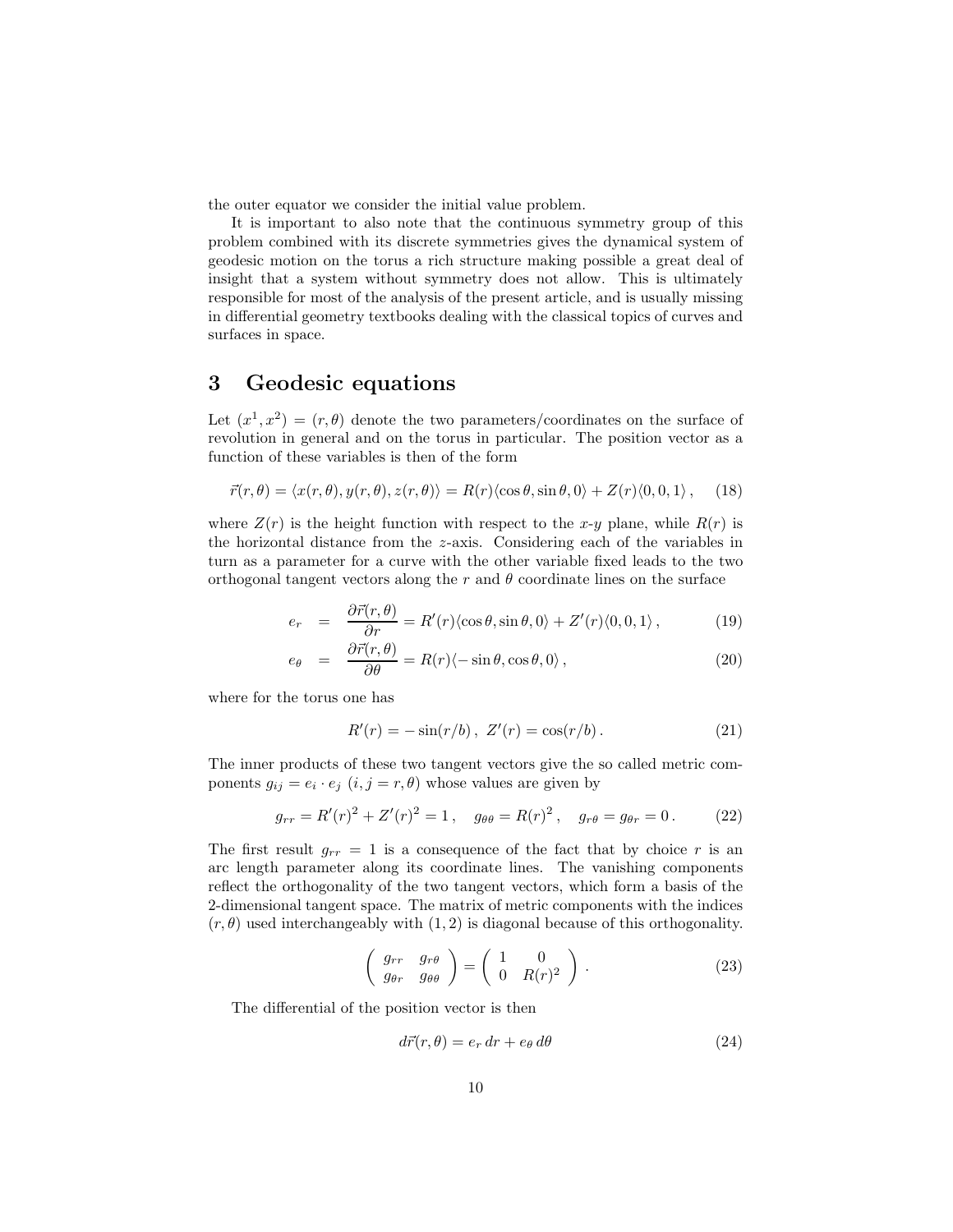the outer equator we consider the initial value problem.

It is important to also note that the continuous symmetry group of this problem combined with its discrete symmetries gives the dynamical system of geodesic motion on the torus a rich structure making possible a great deal of insight that a system without symmetry does not allow. This is ultimately responsible for most of the analysis of the present article, and is usually missing in differential geometry textbooks dealing with the classical topics of curves and surfaces in space.

#### 3 Geodesic equations

Let  $(x^1, x^2) = (r, \theta)$  denote the two parameters/coordinates on the surface of revolution in general and on the torus in particular. The position vector as a function of these variables is then of the form

$$
\vec{r}(r,\theta) = \langle x(r,\theta), y(r,\theta), z(r,\theta) \rangle = R(r) \langle \cos \theta, \sin \theta, 0 \rangle + Z(r) \langle 0, 0, 1 \rangle, \quad (18)
$$

where  $Z(r)$  is the height function with respect to the x-y plane, while  $R(r)$  is the horizontal distance from the z-axis. Considering each of the variables in turn as a parameter for a curve with the other variable fixed leads to the two orthogonal tangent vectors along the r and  $\theta$  coordinate lines on the surface

$$
e_r = \frac{\partial \vec{r}(r,\theta)}{\partial r} = R'(r) \langle \cos \theta, \sin \theta, 0 \rangle + Z'(r) \langle 0, 0, 1 \rangle, \qquad (19)
$$

$$
e_{\theta} = \frac{\partial \vec{r}(r,\theta)}{\partial \theta} = R(r)\langle -\sin \theta, \cos \theta, 0 \rangle, \qquad (20)
$$

where for the torus one has

$$
R'(r) = -\sin(r/b), \ Z'(r) = \cos(r/b).
$$
 (21)

The inner products of these two tangent vectors give the so called metric components  $g_{ij} = e_i \cdot e_j$   $(i, j = r, \theta)$  whose values are given by

$$
g_{rr} = R'(r)^{2} + Z'(r)^{2} = 1, \quad g_{\theta\theta} = R(r)^{2}, \quad g_{r\theta} = g_{\theta r} = 0.
$$
 (22)

The first result  $g_{rr} = 1$  is a consequence of the fact that by choice r is an arc length parameter along its coordinate lines. The vanishing components reflect the orthogonality of the two tangent vectors, which form a basis of the 2-dimensional tangent space. The matrix of metric components with the indices  $(r, \theta)$  used interchangeably with  $(1, 2)$  is diagonal because of this orthogonality.

$$
\left(\begin{array}{cc} g_{rr} & g_{r\theta} \\ g_{\theta r} & g_{\theta \theta} \end{array}\right) = \left(\begin{array}{cc} 1 & 0 \\ 0 & R(r)^2 \end{array}\right). \tag{23}
$$

The differential of the position vector is then

$$
d\vec{r}(r,\theta) = e_r dr + e_\theta d\theta \tag{24}
$$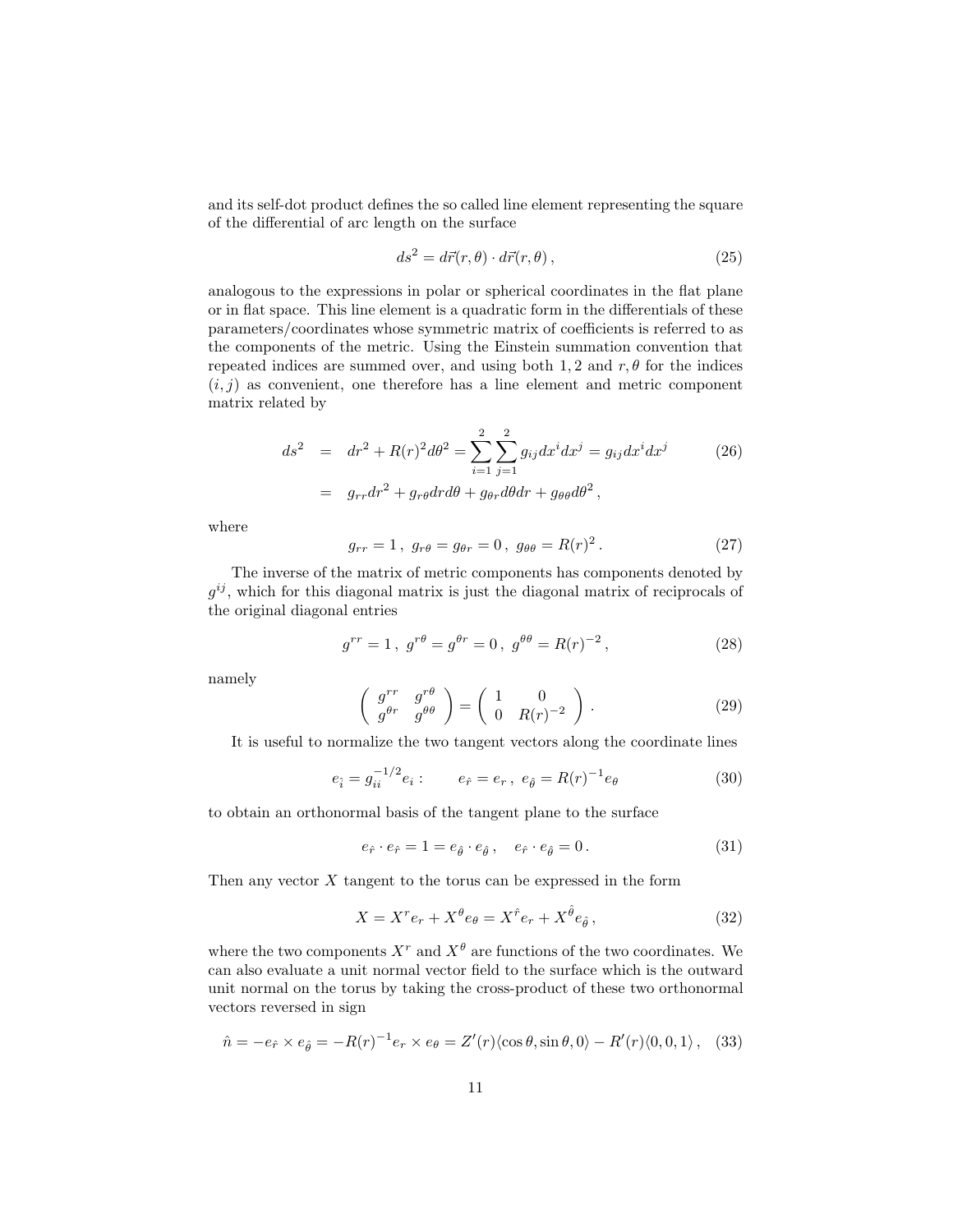and its self-dot product defines the so called line element representing the square of the differential of arc length on the surface

$$
ds^2 = d\vec{r}(r,\theta) \cdot d\vec{r}(r,\theta), \qquad (25)
$$

analogous to the expressions in polar or spherical coordinates in the flat plane or in flat space. This line element is a quadratic form in the differentials of these parameters/coordinates whose symmetric matrix of coefficients is referred to as the components of the metric. Using the Einstein summation convention that repeated indices are summed over, and using both 1,2 and  $r, \theta$  for the indices  $(i, j)$  as convenient, one therefore has a line element and metric component matrix related by

$$
ds2 = dr2 + R(r)2 d\theta2 = \sum_{i=1}^{2} \sum_{j=1}^{2} g_{ij} dxi dxj = g_{ij} dxi dxj
$$
 (26)  
=  $g_{rr} dr2 + g_{r\theta} dr d\theta + g_{\theta r} d\theta dr + g_{\theta \theta} d\theta^{2}$ ,

where

$$
g_{rr} = 1, \ g_{r\theta} = g_{\theta r} = 0, \ g_{\theta \theta} = R(r)^2.
$$
 (27)

The inverse of the matrix of metric components has components denoted by  $g^{ij}$ , which for this diagonal matrix is just the diagonal matrix of reciprocals of the original diagonal entries

$$
g^{rr} = 1, \ g^{r\theta} = g^{\theta r} = 0, \ g^{\theta \theta} = R(r)^{-2}, \tag{28}
$$

namely

$$
\left(\begin{array}{cc} g^{rr} & g^{r\theta} \\ g^{\theta r} & g^{\theta \theta} \end{array}\right) = \left(\begin{array}{cc} 1 & 0 \\ 0 & R(r)^{-2} \end{array}\right). \tag{29}
$$

It is useful to normalize the two tangent vectors along the coordinate lines

$$
e_{\hat{i}} = g_{ii}^{-1/2} e_i : \qquad e_{\hat{r}} = e_r, \ e_{\hat{\theta}} = R(r)^{-1} e_{\theta} \tag{30}
$$

to obtain an orthonormal basis of the tangent plane to the surface

$$
e_{\hat{r}} \cdot e_{\hat{r}} = 1 = e_{\hat{\theta}} \cdot e_{\hat{\theta}}, \quad e_{\hat{r}} \cdot e_{\hat{\theta}} = 0.
$$
 (31)

Then any vector  $X$  tangent to the torus can be expressed in the form

$$
X = X^r e_r + X^\theta e_\theta = X^{\hat{r}} e_r + X^{\hat{\theta}} e_{\hat{\theta}},
$$
\n(32)

where the two components  $X^r$  and  $X^{\theta}$  are functions of the two coordinates. We can also evaluate a unit normal vector field to the surface which is the outward unit normal on the torus by taking the cross-product of these two orthonormal vectors reversed in sign

$$
\hat{n} = -e_{\hat{r}} \times e_{\hat{\theta}} = -R(r)^{-1}e_r \times e_{\theta} = Z'(r) \langle \cos \theta, \sin \theta, 0 \rangle - R'(r) \langle 0, 0, 1 \rangle, \quad (33)
$$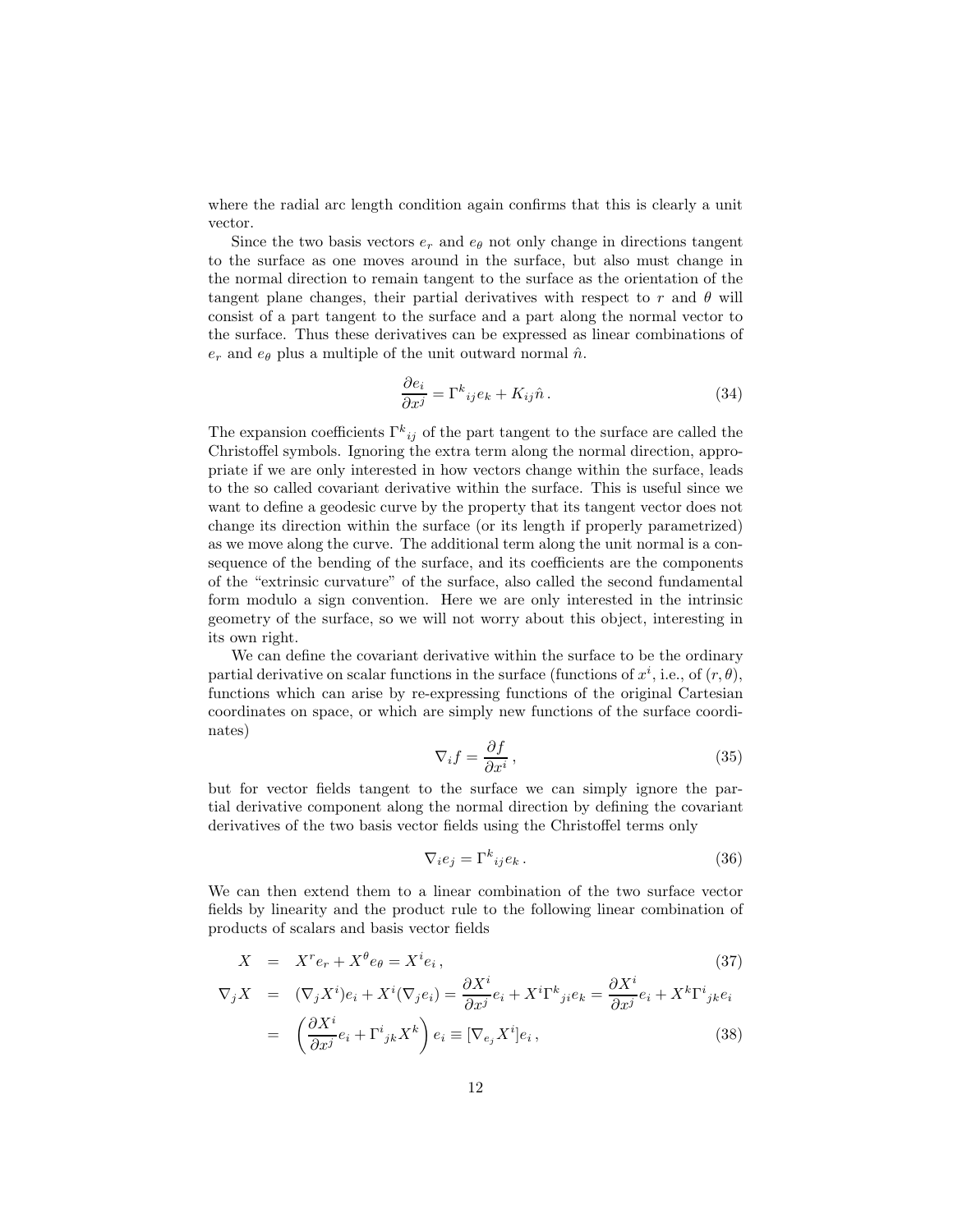where the radial arc length condition again confirms that this is clearly a unit vector.

Since the two basis vectors  $e_r$  and  $e_{\theta}$  not only change in directions tangent to the surface as one moves around in the surface, but also must change in the normal direction to remain tangent to the surface as the orientation of the tangent plane changes, their partial derivatives with respect to r and  $\theta$  will consist of a part tangent to the surface and a part along the normal vector to the surface. Thus these derivatives can be expressed as linear combinations of  $e_r$  and  $e_\theta$  plus a multiple of the unit outward normal  $\hat{n}$ .

$$
\frac{\partial e_i}{\partial x^j} = \Gamma^k_{\ ij} e_k + K_{ij} \hat{n} \,. \tag{34}
$$

The expansion coefficients  $\Gamma^k_{ij}$  of the part tangent to the surface are called the Christoffel symbols. Ignoring the extra term along the normal direction, appropriate if we are only interested in how vectors change within the surface, leads to the so called covariant derivative within the surface. This is useful since we want to define a geodesic curve by the property that its tangent vector does not change its direction within the surface (or its length if properly parametrized) as we move along the curve. The additional term along the unit normal is a consequence of the bending of the surface, and its coefficients are the components of the "extrinsic curvature" of the surface, also called the second fundamental form modulo a sign convention. Here we are only interested in the intrinsic geometry of the surface, so we will not worry about this object, interesting in its own right.

We can define the covariant derivative within the surface to be the ordinary partial derivative on scalar functions in the surface (functions of  $x^i$ , i.e., of  $(r, \theta)$ ), functions which can arise by re-expressing functions of the original Cartesian coordinates on space, or which are simply new functions of the surface coordinates)

$$
\nabla_i f = \frac{\partial f}{\partial x^i},\tag{35}
$$

but for vector fields tangent to the surface we can simply ignore the partial derivative component along the normal direction by defining the covariant derivatives of the two basis vector fields using the Christoffel terms only

$$
\nabla_i e_j = \Gamma^k_{ij} e_k. \tag{36}
$$

 $\cap$ xzi

We can then extend them to a linear combination of the two surface vector fields by linearity and the product rule to the following linear combination of products of scalars and basis vector fields

$$
X = X^r e_r + X^\theta e_\theta = X^i e_i, \qquad (37)
$$

$$
\nabla_j X = (\nabla_j X^i) e_i + X^i (\nabla_j e_i) = \frac{\partial X^i}{\partial x^j} e_i + X^i \Gamma^k_{\ j i} e_k = \frac{\partial X^i}{\partial x^j} e_i + X^k \Gamma^i_{\ j k} e_i
$$

$$
= \left( \frac{\partial X^i}{\partial x^j} e_i + \Gamma^i_{\ j k} X^k \right) e_i \equiv [\nabla_{e_j} X^i] e_i, \tag{38}
$$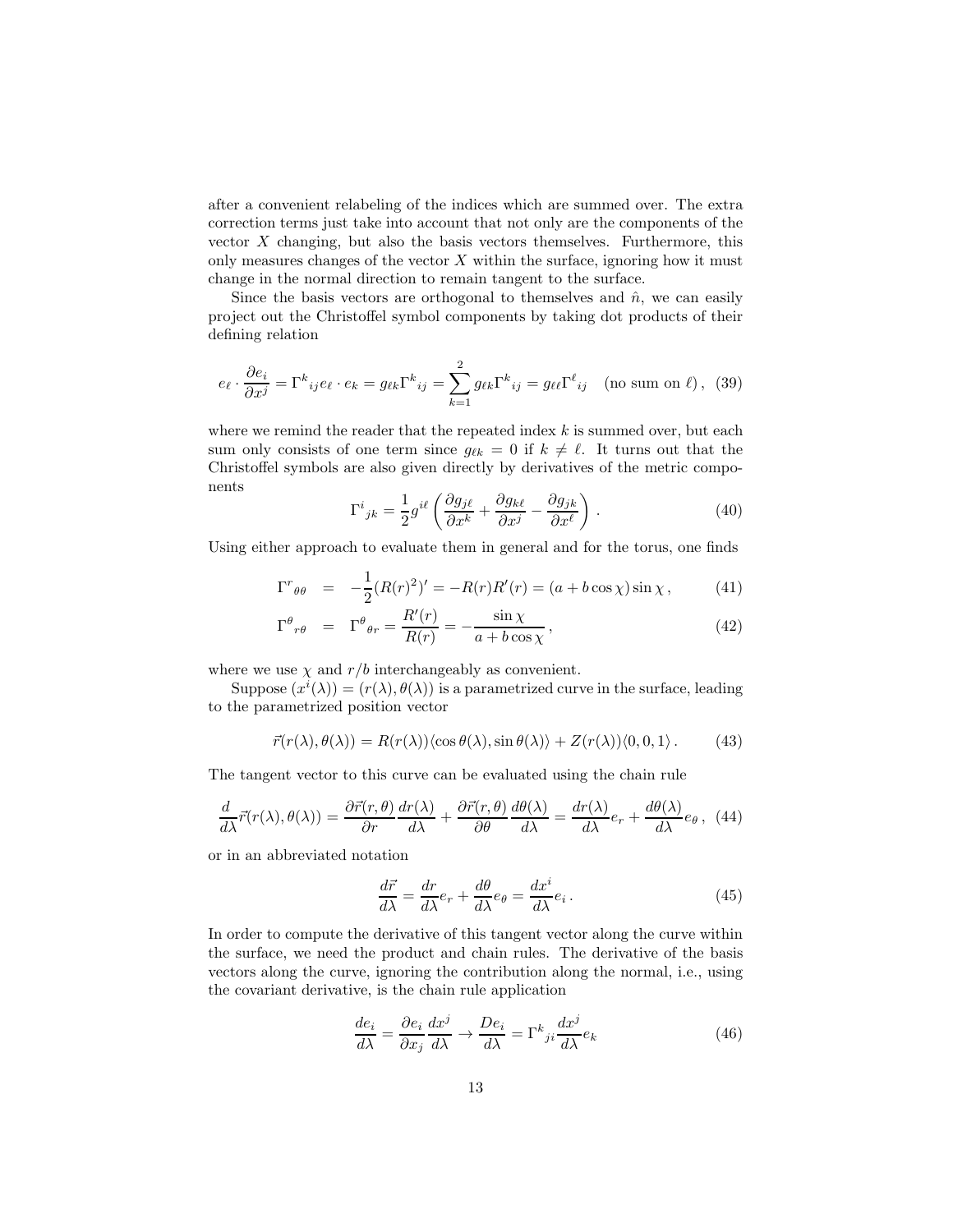after a convenient relabeling of the indices which are summed over. The extra correction terms just take into account that not only are the components of the vector X changing, but also the basis vectors themselves. Furthermore, this only measures changes of the vector  $X$  within the surface, ignoring how it must change in the normal direction to remain tangent to the surface.

Since the basis vectors are orthogonal to themselves and  $\hat{n}$ , we can easily project out the Christoffel symbol components by taking dot products of their defining relation

$$
e_{\ell} \cdot \frac{\partial e_i}{\partial x^j} = \Gamma^k_{\ ij} e_{\ell} \cdot e_k = g_{\ell k} \Gamma^k_{\ ij} = \sum_{k=1}^2 g_{\ell k} \Gamma^k_{\ ij} = g_{\ell \ell} \Gamma^{\ell}_{\ ij} \pmod{p}, \tag{39}
$$

where we remind the reader that the repeated index  $k$  is summed over, but each sum only consists of one term since  $g_{\ell k} = 0$  if  $k \neq \ell$ . It turns out that the Christoffel symbols are also given directly by derivatives of the metric components

$$
\Gamma^{i}{}_{jk} = \frac{1}{2} g^{i\ell} \left( \frac{\partial g_{j\ell}}{\partial x^{k}} + \frac{\partial g_{k\ell}}{\partial x^{j}} - \frac{\partial g_{jk}}{\partial x^{\ell}} \right) . \tag{40}
$$

Using either approach to evaluate them in general and for the torus, one finds

$$
\Gamma^r{}_{\theta\theta} = -\frac{1}{2}(R(r)^2)' = -R(r)R'(r) = (a + b\cos\chi)\sin\chi\,,\tag{41}
$$

$$
\Gamma^{\theta}{}_{r\theta} = \Gamma^{\theta}{}_{\theta r} = \frac{R'(r)}{R(r)} = -\frac{\sin\chi}{a + b\cos\chi},\tag{42}
$$

where we use  $\chi$  and  $r/b$  interchangeably as convenient.

Suppose  $(x^{i}(\lambda)) = (r(\lambda), \theta(\lambda))$  is a parametrized curve in the surface, leading to the parametrized position vector

$$
\vec{r}(r(\lambda), \theta(\lambda)) = R(r(\lambda)) \langle \cos \theta(\lambda), \sin \theta(\lambda) \rangle + Z(r(\lambda)) \langle 0, 0, 1 \rangle. \tag{43}
$$

The tangent vector to this curve can be evaluated using the chain rule

$$
\frac{d}{d\lambda}\vec{r}(r(\lambda),\theta(\lambda)) = \frac{\partial\vec{r}(r,\theta)}{\partial r}\frac{dr(\lambda)}{d\lambda} + \frac{\partial\vec{r}(r,\theta)}{\partial \theta}\frac{d\theta(\lambda)}{d\lambda} = \frac{dr(\lambda)}{d\lambda}e_r + \frac{d\theta(\lambda)}{d\lambda}e_\theta, (44)
$$

or in an abbreviated notation

$$
\frac{d\vec{r}}{d\lambda} = \frac{dr}{d\lambda}e_r + \frac{d\theta}{d\lambda}e_\theta = \frac{dx^i}{d\lambda}e_i.
$$
\n(45)

In order to compute the derivative of this tangent vector along the curve within the surface, we need the product and chain rules. The derivative of the basis vectors along the curve, ignoring the contribution along the normal, i.e., using the covariant derivative, is the chain rule application

$$
\frac{de_i}{d\lambda} = \frac{\partial e_i}{\partial x_j} \frac{dx^j}{d\lambda} \to \frac{De_i}{d\lambda} = \Gamma^k{}_{ji} \frac{dx^j}{d\lambda} e_k
$$
\n(46)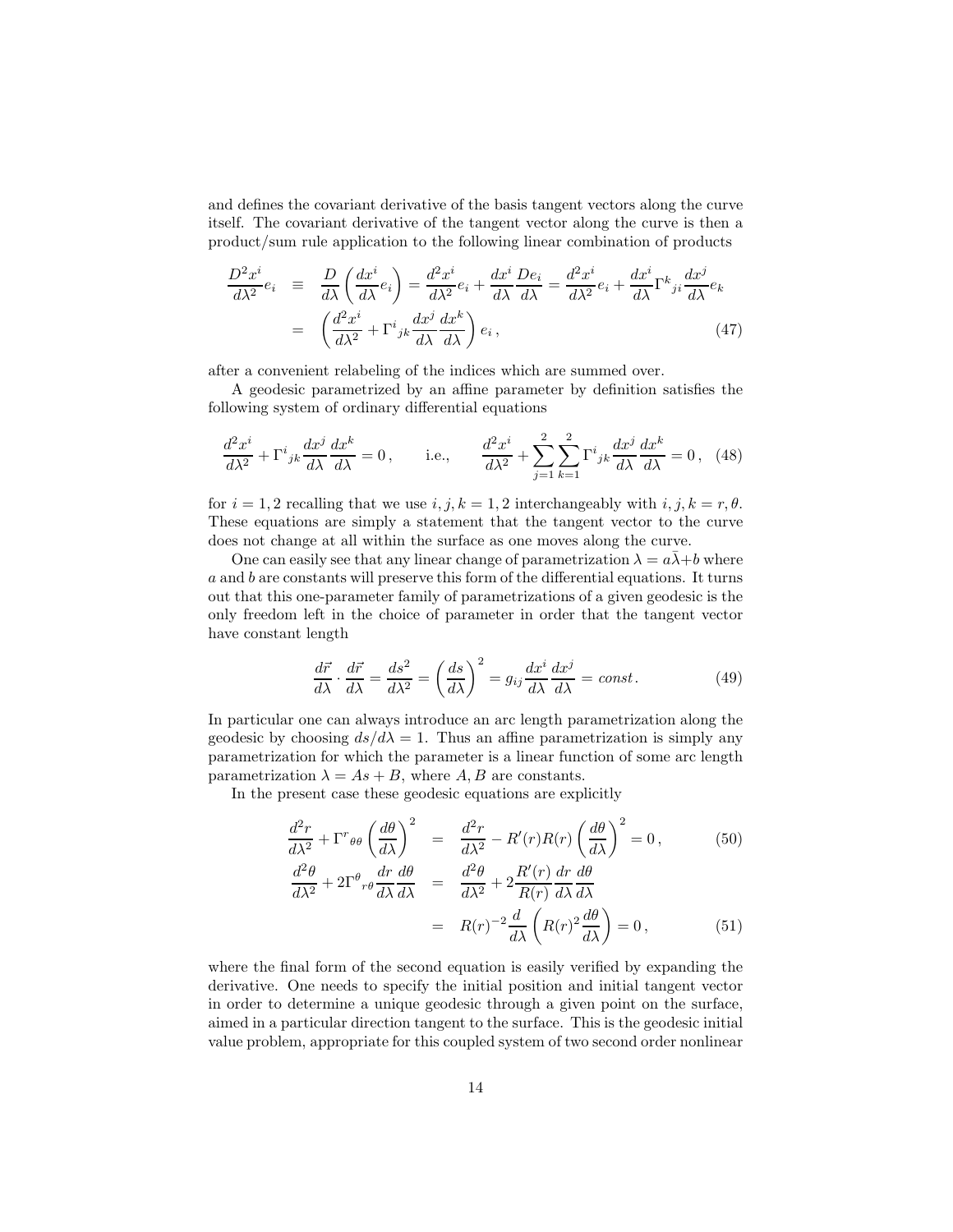and defines the covariant derivative of the basis tangent vectors along the curve itself. The covariant derivative of the tangent vector along the curve is then a product/sum rule application to the following linear combination of products

$$
\frac{D^2 x^i}{d\lambda^2} e_i \equiv \frac{D}{d\lambda} \left( \frac{dx^i}{d\lambda} e_i \right) = \frac{d^2 x^i}{d\lambda^2} e_i + \frac{dx^i}{d\lambda} \frac{D e_i}{d\lambda} = \frac{d^2 x^i}{d\lambda^2} e_i + \frac{dx^i}{d\lambda} \Gamma^k{}_{ji} \frac{dx^j}{d\lambda} e_k
$$
\n
$$
= \left( \frac{d^2 x^i}{d\lambda^2} + \Gamma^i{}_{jk} \frac{dx^j}{d\lambda} \frac{dx^k}{d\lambda} \right) e_i, \tag{47}
$$

after a convenient relabeling of the indices which are summed over.

A geodesic parametrized by an affine parameter by definition satisfies the following system of ordinary differential equations

$$
\frac{d^2x^i}{d\lambda^2} + \Gamma^i{}_{jk}\frac{dx^j}{d\lambda}\frac{dx^k}{d\lambda} = 0, \qquad \text{i.e.,} \qquad \frac{d^2x^i}{d\lambda^2} + \sum_{j=1}^2 \sum_{k=1}^2 \Gamma^i{}_{jk}\frac{dx^j}{d\lambda}\frac{dx^k}{d\lambda} = 0, \tag{48}
$$

for  $i = 1, 2$  recalling that we use  $i, j, k = 1, 2$  interchangeably with  $i, j, k = r, \theta$ . These equations are simply a statement that the tangent vector to the curve does not change at all within the surface as one moves along the curve.

One can easily see that any linear change of parametrization  $\lambda = a\lambda + b$  where a and b are constants will preserve this form of the differential equations. It turns out that this one-parameter family of parametrizations of a given geodesic is the only freedom left in the choice of parameter in order that the tangent vector have constant length

$$
\frac{d\vec{r}}{d\lambda} \cdot \frac{d\vec{r}}{d\lambda} = \frac{ds^2}{d\lambda^2} = \left(\frac{ds}{d\lambda}\right)^2 = g_{ij}\frac{dx^i}{d\lambda}\frac{dx^j}{d\lambda} = const.
$$
\n(49)

In particular one can always introduce an arc length parametrization along the geodesic by choosing  $ds/d\lambda = 1$ . Thus an affine parametrization is simply any parametrization for which the parameter is a linear function of some arc length parametrization  $\lambda = As + B$ , where A, B are constants.

In the present case these geodesic equations are explicitly

$$
\frac{d^2r}{d\lambda^2} + \Gamma^r_{\theta\theta} \left(\frac{d\theta}{d\lambda}\right)^2 = \frac{d^2r}{d\lambda^2} - R'(r)R(r) \left(\frac{d\theta}{d\lambda}\right)^2 = 0, \qquad (50)
$$

$$
\frac{d^2\theta}{d\lambda^2} + 2\Gamma^{\theta}{}_{r\theta} \frac{dr}{d\lambda} \frac{d\theta}{d\lambda} = \frac{d^2\theta}{d\lambda^2} + 2\frac{R'(r)}{R(r)} \frac{dr}{d\lambda} \frac{d\theta}{d\lambda}
$$

$$
= R(r)^{-2} \frac{d}{d\lambda} \left(R(r)^2 \frac{d\theta}{d\lambda}\right) = 0, \qquad (51)
$$

where the final form of the second equation is easily verified by expanding the derivative. One needs to specify the initial position and initial tangent vector in order to determine a unique geodesic through a given point on the surface, aimed in a particular direction tangent to the surface. This is the geodesic initial value problem, appropriate for this coupled system of two second order nonlinear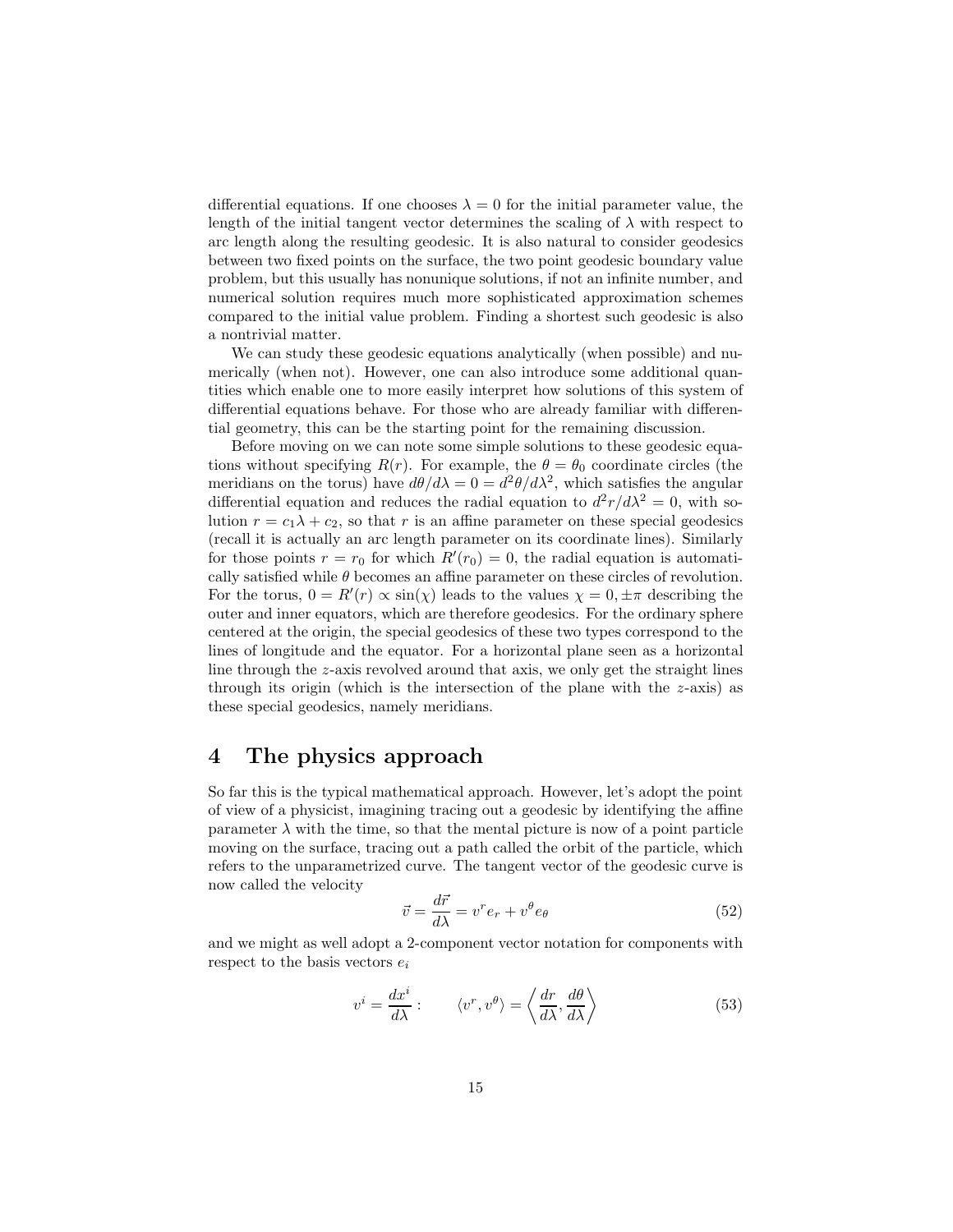differential equations. If one chooses  $\lambda = 0$  for the initial parameter value, the length of the initial tangent vector determines the scaling of  $\lambda$  with respect to arc length along the resulting geodesic. It is also natural to consider geodesics between two fixed points on the surface, the two point geodesic boundary value problem, but this usually has nonunique solutions, if not an infinite number, and numerical solution requires much more sophisticated approximation schemes compared to the initial value problem. Finding a shortest such geodesic is also a nontrivial matter.

We can study these geodesic equations analytically (when possible) and numerically (when not). However, one can also introduce some additional quantities which enable one to more easily interpret how solutions of this system of differential equations behave. For those who are already familiar with differential geometry, this can be the starting point for the remaining discussion.

Before moving on we can note some simple solutions to these geodesic equations without specifying  $R(r)$ . For example, the  $\theta = \theta_0$  coordinate circles (the meridians on the torus) have  $d\theta/d\lambda = 0 = d^2\theta/d\lambda^2$ , which satisfies the angular differential equation and reduces the radial equation to  $d^2r/d\lambda^2 = 0$ , with solution  $r = c_1 \lambda + c_2$ , so that r is an affine parameter on these special geodesics (recall it is actually an arc length parameter on its coordinate lines). Similarly for those points  $r = r_0$  for which  $R'(r_0) = 0$ , the radial equation is automatically satisfied while  $\theta$  becomes an affine parameter on these circles of revolution. For the torus,  $0 = R'(r) \propto \sin(\chi)$  leads to the values  $\chi = 0, \pm \pi$  describing the outer and inner equators, which are therefore geodesics. For the ordinary sphere centered at the origin, the special geodesics of these two types correspond to the lines of longitude and the equator. For a horizontal plane seen as a horizontal line through the z-axis revolved around that axis, we only get the straight lines through its origin (which is the intersection of the plane with the  $z$ -axis) as these special geodesics, namely meridians.

#### 4 The physics approach

So far this is the typical mathematical approach. However, let's adopt the point of view of a physicist, imagining tracing out a geodesic by identifying the affine parameter  $\lambda$  with the time, so that the mental picture is now of a point particle moving on the surface, tracing out a path called the orbit of the particle, which refers to the unparametrized curve. The tangent vector of the geodesic curve is now called the velocity

$$
\vec{v} = \frac{d\vec{r}}{d\lambda} = v^r e_r + v^\theta e_\theta \tag{52}
$$

and we might as well adopt a 2-component vector notation for components with respect to the basis vectors  $e_i$ 

$$
v^{i} = \frac{dx^{i}}{d\lambda} : \qquad \langle v^{r}, v^{\theta} \rangle = \left\langle \frac{dr}{d\lambda}, \frac{d\theta}{d\lambda} \right\rangle \tag{53}
$$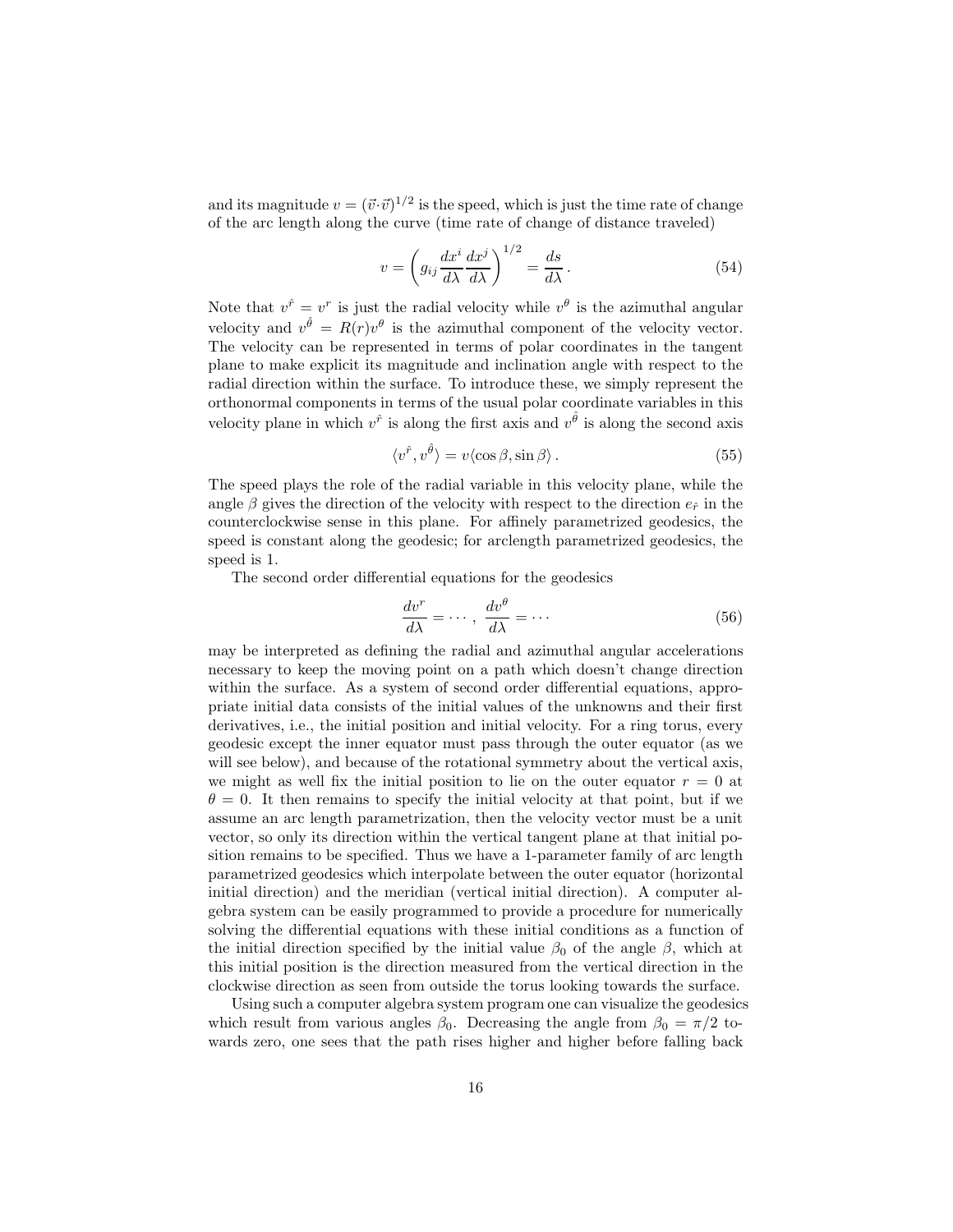and its magnitude  $v = (\vec{v} \cdot \vec{v})^{1/2}$  is the speed, which is just the time rate of change of the arc length along the curve (time rate of change of distance traveled)

$$
v = \left( g_{ij} \frac{dx^i}{d\lambda} \frac{dx^j}{d\lambda} \right)^{1/2} = \frac{ds}{d\lambda}.
$$
 (54)

Note that  $v^{\hat{r}} = v^r$  is just the radial velocity while  $v^{\theta}$  is the azimuthal angular velocity and  $v^{\hat{\theta}} = R(r)v^{\theta}$  is the azimuthal component of the velocity vector. The velocity can be represented in terms of polar coordinates in the tangent plane to make explicit its magnitude and inclination angle with respect to the radial direction within the surface. To introduce these, we simply represent the orthonormal components in terms of the usual polar coordinate variables in this velocity plane in which  $v^{\hat{r}}$  is along the first axis and  $v^{\hat{\theta}}$  is along the second axis

$$
\langle v^{\hat{r}}, v^{\hat{\theta}} \rangle = v \langle \cos \beta, \sin \beta \rangle. \tag{55}
$$

The speed plays the role of the radial variable in this velocity plane, while the angle  $\beta$  gives the direction of the velocity with respect to the direction  $e_{\hat{r}}$  in the counterclockwise sense in this plane. For affinely parametrized geodesics, the speed is constant along the geodesic; for arclength parametrized geodesics, the speed is 1.

The second order differential equations for the geodesics

$$
\frac{dv^r}{d\lambda} = \cdots, \ \frac{dv^{\theta}}{d\lambda} = \cdots \tag{56}
$$

may be interpreted as defining the radial and azimuthal angular accelerations necessary to keep the moving point on a path which doesn't change direction within the surface. As a system of second order differential equations, appropriate initial data consists of the initial values of the unknowns and their first derivatives, i.e., the initial position and initial velocity. For a ring torus, every geodesic except the inner equator must pass through the outer equator (as we will see below), and because of the rotational symmetry about the vertical axis, we might as well fix the initial position to lie on the outer equator  $r = 0$  at  $\theta = 0$ . It then remains to specify the initial velocity at that point, but if we assume an arc length parametrization, then the velocity vector must be a unit vector, so only its direction within the vertical tangent plane at that initial position remains to be specified. Thus we have a 1-parameter family of arc length parametrized geodesics which interpolate between the outer equator (horizontal initial direction) and the meridian (vertical initial direction). A computer algebra system can be easily programmed to provide a procedure for numerically solving the differential equations with these initial conditions as a function of the initial direction specified by the initial value  $\beta_0$  of the angle  $\beta$ , which at this initial position is the direction measured from the vertical direction in the clockwise direction as seen from outside the torus looking towards the surface.

Using such a computer algebra system program one can visualize the geodesics which result from various angles  $\beta_0$ . Decreasing the angle from  $\beta_0 = \pi/2$  towards zero, one sees that the path rises higher and higher before falling back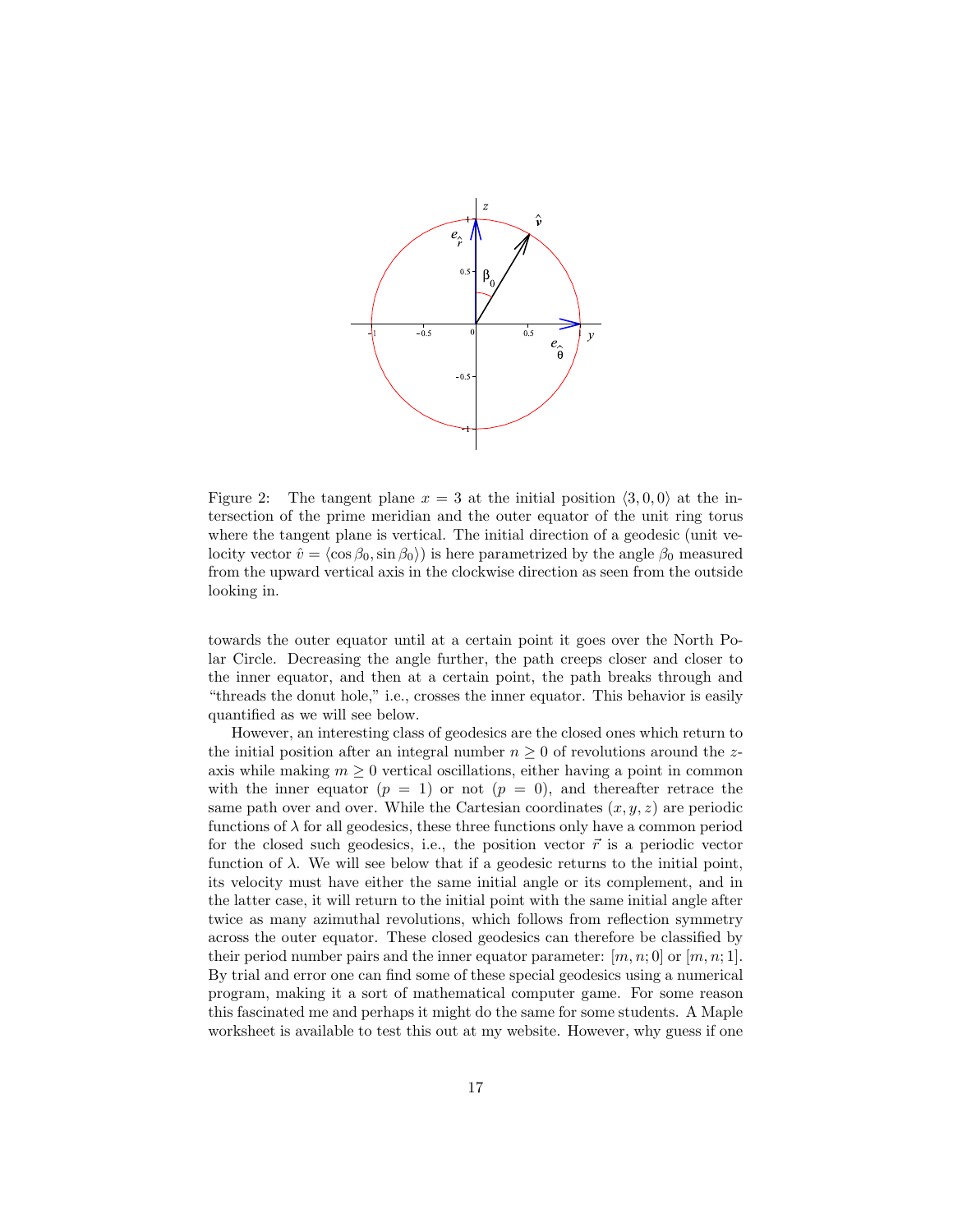

Figure 2: The tangent plane  $x = 3$  at the initial position  $\langle 3, 0, 0 \rangle$  at the intersection of the prime meridian and the outer equator of the unit ring torus where the tangent plane is vertical. The initial direction of a geodesic (unit velocity vector  $\hat{v} = \langle \cos \beta_0, \sin \beta_0 \rangle$  is here parametrized by the angle  $\beta_0$  measured from the upward vertical axis in the clockwise direction as seen from the outside looking in.

towards the outer equator until at a certain point it goes over the North Polar Circle. Decreasing the angle further, the path creeps closer and closer to the inner equator, and then at a certain point, the path breaks through and "threads the donut hole," i.e., crosses the inner equator. This behavior is easily quantified as we will see below.

However, an interesting class of geodesics are the closed ones which return to the initial position after an integral number  $n \geq 0$  of revolutions around the zaxis while making  $m \geq 0$  vertical oscillations, either having a point in common with the inner equator  $(p = 1)$  or not  $(p = 0)$ , and thereafter retrace the same path over and over. While the Cartesian coordinates  $(x, y, z)$  are periodic functions of  $\lambda$  for all geodesics, these three functions only have a common period for the closed such geodesics, i.e., the position vector  $\vec{r}$  is a periodic vector function of  $\lambda$ . We will see below that if a geodesic returns to the initial point, its velocity must have either the same initial angle or its complement, and in the latter case, it will return to the initial point with the same initial angle after twice as many azimuthal revolutions, which follows from reflection symmetry across the outer equator. These closed geodesics can therefore be classified by their period number pairs and the inner equator parameter:  $[m, n; 0]$  or  $[m, n; 1]$ . By trial and error one can find some of these special geodesics using a numerical program, making it a sort of mathematical computer game. For some reason this fascinated me and perhaps it might do the same for some students. A Maple worksheet is available to test this out at my website. However, why guess if one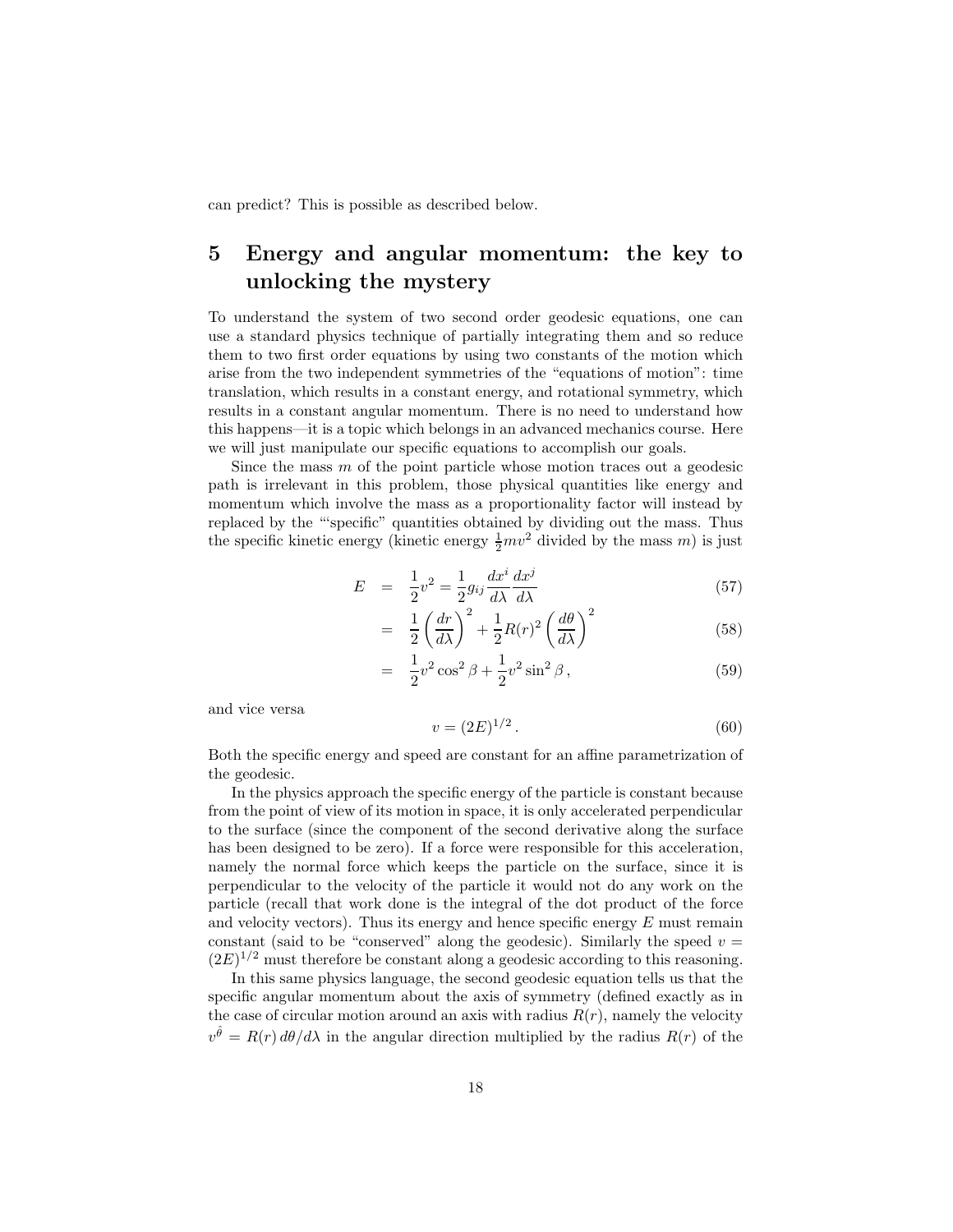can predict? This is possible as described below.

# 5 Energy and angular momentum: the key to unlocking the mystery

To understand the system of two second order geodesic equations, one can use a standard physics technique of partially integrating them and so reduce them to two first order equations by using two constants of the motion which arise from the two independent symmetries of the "equations of motion": time translation, which results in a constant energy, and rotational symmetry, which results in a constant angular momentum. There is no need to understand how this happens—it is a topic which belongs in an advanced mechanics course. Here we will just manipulate our specific equations to accomplish our goals.

Since the mass  $m$  of the point particle whose motion traces out a geodesic path is irrelevant in this problem, those physical quantities like energy and momentum which involve the mass as a proportionality factor will instead by replaced by the "'specific" quantities obtained by dividing out the mass. Thus the specific kinetic energy (kinetic energy  $\frac{1}{2}mv^2$  divided by the mass m) is just

$$
E = \frac{1}{2}v^2 = \frac{1}{2}g_{ij}\frac{dx^i}{d\lambda}\frac{dx^j}{d\lambda} \tag{57}
$$

$$
= \frac{1}{2} \left(\frac{dr}{d\lambda}\right)^2 + \frac{1}{2} R(r)^2 \left(\frac{d\theta}{d\lambda}\right)^2 \tag{58}
$$

$$
= \frac{1}{2}v^2\cos^2\beta + \frac{1}{2}v^2\sin^2\beta\,,\tag{59}
$$

and vice versa

$$
v = (2E)^{1/2}.
$$
 (60)

Both the specific energy and speed are constant for an affine parametrization of the geodesic.

In the physics approach the specific energy of the particle is constant because from the point of view of its motion in space, it is only accelerated perpendicular to the surface (since the component of the second derivative along the surface has been designed to be zero). If a force were responsible for this acceleration, namely the normal force which keeps the particle on the surface, since it is perpendicular to the velocity of the particle it would not do any work on the particle (recall that work done is the integral of the dot product of the force and velocity vectors). Thus its energy and hence specific energy  $E$  must remain constant (said to be "conserved" along the geodesic). Similarly the speed  $v =$  $(2E)^{1/2}$  must therefore be constant along a geodesic according to this reasoning.

In this same physics language, the second geodesic equation tells us that the specific angular momentum about the axis of symmetry (defined exactly as in the case of circular motion around an axis with radius  $R(r)$ , namely the velocity  $v^{\hat{\theta}} = R(r) d\theta/d\lambda$  in the angular direction multiplied by the radius  $R(r)$  of the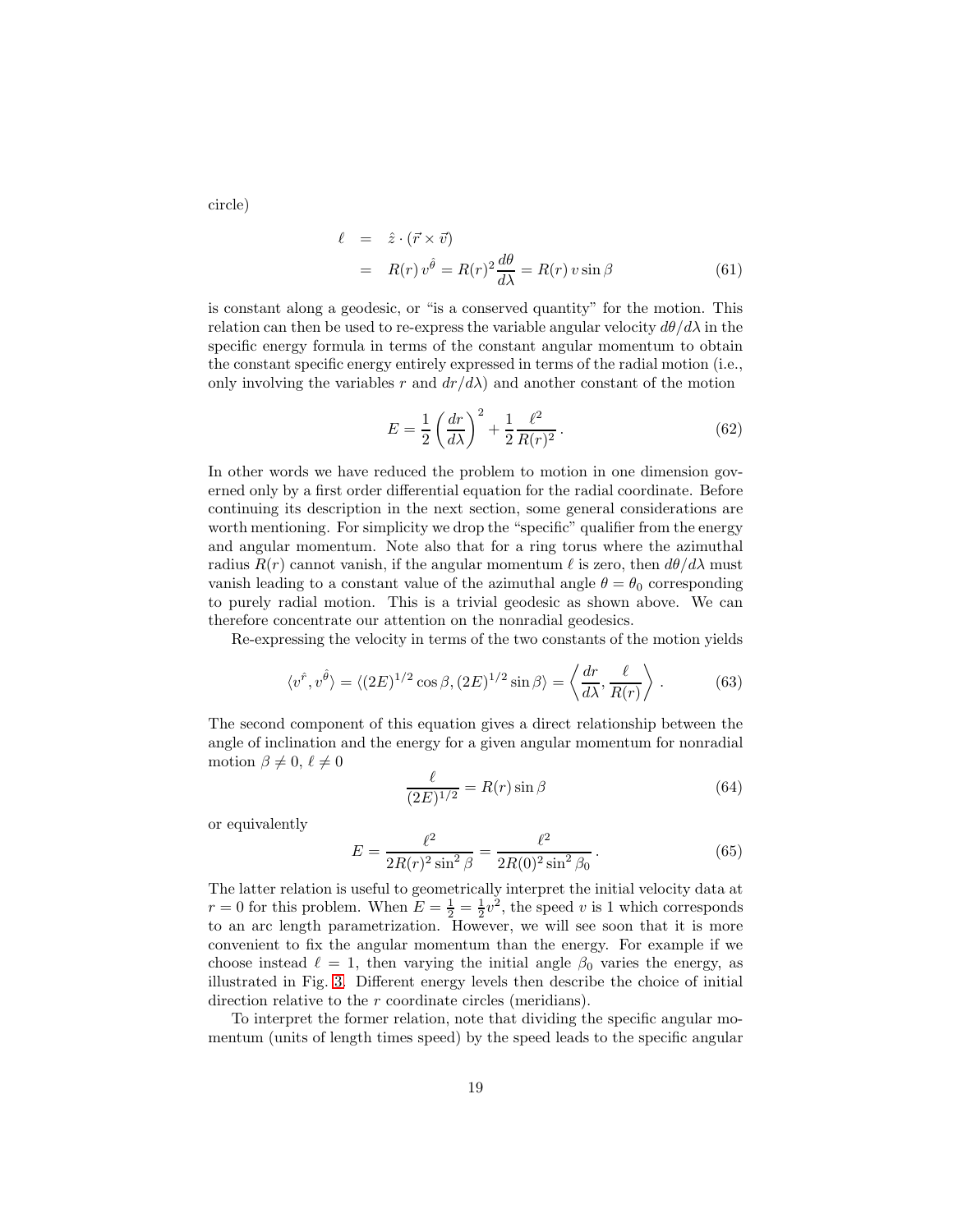circle)

$$
\ell = \hat{z} \cdot (\vec{r} \times \vec{v})
$$
  
=  $R(r) v^{\hat{\theta}} = R(r)^2 \frac{d\theta}{d\lambda} = R(r) v \sin \beta$  (61)

is constant along a geodesic, or "is a conserved quantity" for the motion. This relation can then be used to re-express the variable angular velocity  $d\theta/d\lambda$  in the specific energy formula in terms of the constant angular momentum to obtain the constant specific energy entirely expressed in terms of the radial motion (i.e., only involving the variables r and  $dr/d\lambda$  and another constant of the motion

$$
E = \frac{1}{2} \left( \frac{dr}{d\lambda} \right)^2 + \frac{1}{2} \frac{\ell^2}{R(r)^2} . \tag{62}
$$

In other words we have reduced the problem to motion in one dimension governed only by a first order differential equation for the radial coordinate. Before continuing its description in the next section, some general considerations are worth mentioning. For simplicity we drop the "specific" qualifier from the energy and angular momentum. Note also that for a ring torus where the azimuthal radius  $R(r)$  cannot vanish, if the angular momentum  $\ell$  is zero, then  $d\theta/d\lambda$  must vanish leading to a constant value of the azimuthal angle  $\theta = \theta_0$  corresponding to purely radial motion. This is a trivial geodesic as shown above. We can therefore concentrate our attention on the nonradial geodesics.

Re-expressing the velocity in terms of the two constants of the motion yields

$$
\langle v^{\hat{r}}, v^{\hat{\theta}} \rangle = \langle (2E)^{1/2} \cos \beta, (2E)^{1/2} \sin \beta \rangle = \left\langle \frac{dr}{d\lambda}, \frac{\ell}{R(r)} \right\rangle. \tag{63}
$$

The second component of this equation gives a direct relationship between the angle of inclination and the energy for a given angular momentum for nonradial motion  $\beta \neq 0, \ell \neq 0$ 

$$
\frac{\ell}{(2E)^{1/2}} = R(r)\sin\beta\tag{64}
$$

or equivalently

$$
E = \frac{\ell^2}{2R(r)^2 \sin^2 \beta} = \frac{\ell^2}{2R(0)^2 \sin^2 \beta_0}.
$$
 (65)

The latter relation is useful to geometrically interpret the initial velocity data at  $r = 0$  for this problem. When  $E = \frac{1}{2} = \frac{1}{2}v^2$ , the speed v is 1 which corresponds to an arc length parametrization. However, we will see soon that it is more convenient to fix the angular momentum than the energy. For example if we choose instead  $\ell = 1$ , then varying the initial angle  $\beta_0$  varies the energy, as illustrated in Fig. [3.](#page-19-0) Different energy levels then describe the choice of initial direction relative to the r coordinate circles (meridians).

To interpret the former relation, note that dividing the specific angular momentum (units of length times speed) by the speed leads to the specific angular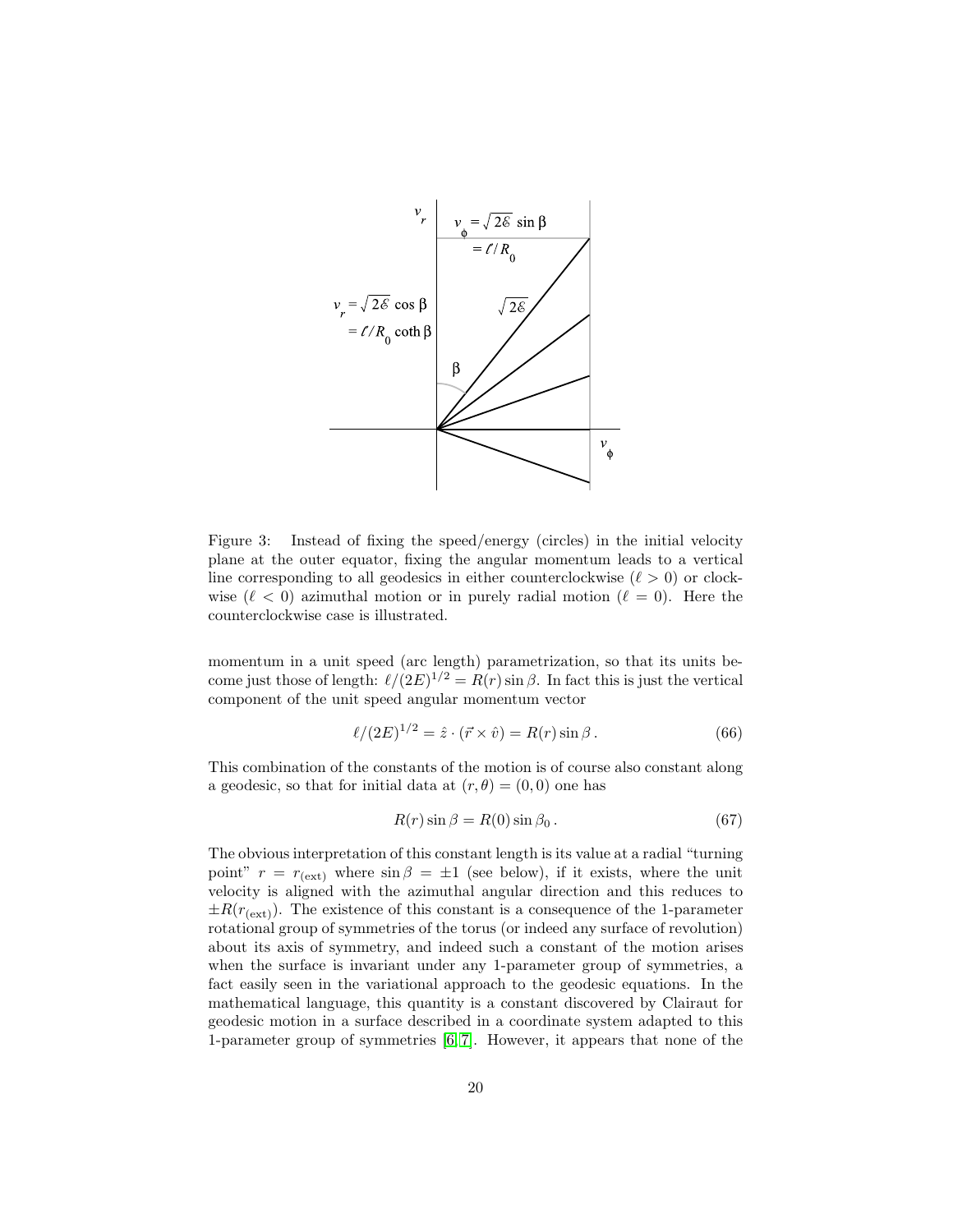

<span id="page-19-0"></span>Figure 3: Instead of fixing the speed/energy (circles) in the initial velocity plane at the outer equator, fixing the angular momentum leads to a vertical line corresponding to all geodesics in either counterclockwise  $(\ell > 0)$  or clockwise  $(\ell < 0)$  azimuthal motion or in purely radial motion  $(\ell = 0)$ . Here the counterclockwise case is illustrated.

momentum in a unit speed (arc length) parametrization, so that its units become just those of length:  $\ell/(2E)^{1/2} = R(r) \sin \beta$ . In fact this is just the vertical component of the unit speed angular momentum vector

<span id="page-19-1"></span>
$$
\ell/(2E)^{1/2} = \hat{z} \cdot (\vec{r} \times \hat{v}) = R(r) \sin \beta.
$$
 (66)

This combination of the constants of the motion is of course also constant along a geodesic, so that for initial data at  $(r, \theta) = (0, 0)$  one has

$$
R(r)\sin\beta = R(0)\sin\beta_0. \tag{67}
$$

The obvious interpretation of this constant length is its value at a radial "turning point"  $r = r_{\text{(ext)}}$  where  $\sin \beta = \pm 1$  (see below), if it exists, where the unit velocity is aligned with the azimuthal angular direction and this reduces to  $\pm R(r_{\text{(ext)}})$ . The existence of this constant is a consequence of the 1-parameter rotational group of symmetries of the torus (or indeed any surface of revolution) about its axis of symmetry, and indeed such a constant of the motion arises when the surface is invariant under any 1-parameter group of symmetries, a fact easily seen in the variational approach to the geodesic equations. In the mathematical language, this quantity is a constant discovered by Clairaut for geodesic motion in a surface described in a coordinate system adapted to this 1-parameter group of symmetries [\[6,](#page-49-7) [7\]](#page-49-4). However, it appears that none of the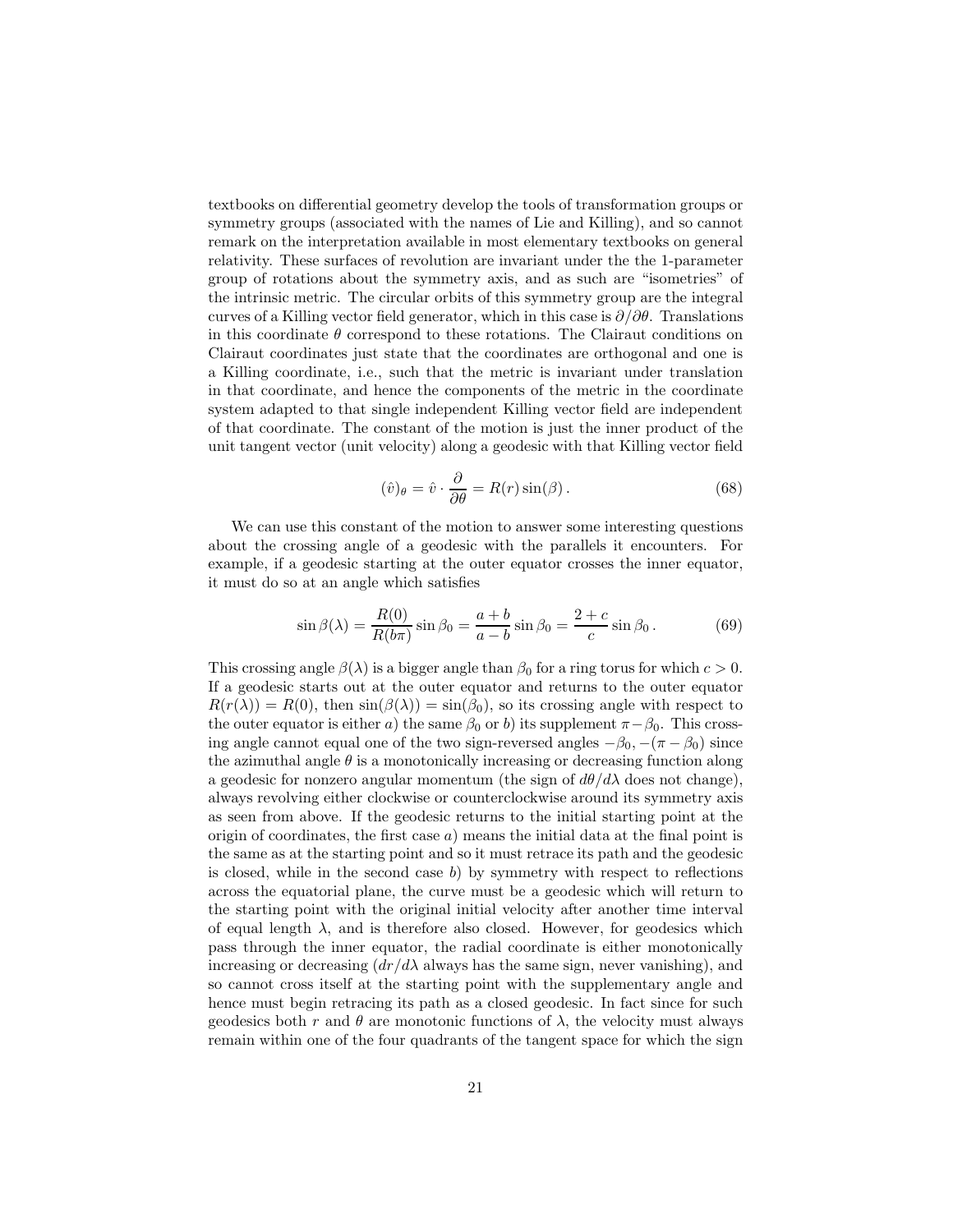textbooks on differential geometry develop the tools of transformation groups or symmetry groups (associated with the names of Lie and Killing), and so cannot remark on the interpretation available in most elementary textbooks on general relativity. These surfaces of revolution are invariant under the the 1-parameter group of rotations about the symmetry axis, and as such are "isometries" of the intrinsic metric. The circular orbits of this symmetry group are the integral curves of a Killing vector field generator, which in this case is  $\partial/\partial\theta$ . Translations in this coordinate  $\theta$  correspond to these rotations. The Clairaut conditions on Clairaut coordinates just state that the coordinates are orthogonal and one is a Killing coordinate, i.e., such that the metric is invariant under translation in that coordinate, and hence the components of the metric in the coordinate system adapted to that single independent Killing vector field are independent of that coordinate. The constant of the motion is just the inner product of the unit tangent vector (unit velocity) along a geodesic with that Killing vector field

$$
(\hat{v})_{\theta} = \hat{v} \cdot \frac{\partial}{\partial \theta} = R(r) \sin(\beta).
$$
 (68)

We can use this constant of the motion to answer some interesting questions about the crossing angle of a geodesic with the parallels it encounters. For example, if a geodesic starting at the outer equator crosses the inner equator, it must do so at an angle which satisfies

$$
\sin \beta(\lambda) = \frac{R(0)}{R(b\pi)} \sin \beta_0 = \frac{a+b}{a-b} \sin \beta_0 = \frac{2+c}{c} \sin \beta_0.
$$
 (69)

This crossing angle  $\beta(\lambda)$  is a bigger angle than  $\beta_0$  for a ring torus for which  $c > 0$ . If a geodesic starts out at the outer equator and returns to the outer equator  $R(r(\lambda)) = R(0)$ , then  $sin(\beta(\lambda)) = sin(\beta_0)$ , so its crossing angle with respect to the outer equator is either a) the same  $\beta_0$  or b) its supplement  $\pi-\beta_0$ . This crossing angle cannot equal one of the two sign-reversed angles  $-\beta_0, -(\pi - \beta_0)$  since the azimuthal angle  $\theta$  is a monotonically increasing or decreasing function along a geodesic for nonzero angular momentum (the sign of  $d\theta/d\lambda$  does not change), always revolving either clockwise or counterclockwise around its symmetry axis as seen from above. If the geodesic returns to the initial starting point at the origin of coordinates, the first case  $a)$  means the initial data at the final point is the same as at the starting point and so it must retrace its path and the geodesic is closed, while in the second case  $b$ ) by symmetry with respect to reflections across the equatorial plane, the curve must be a geodesic which will return to the starting point with the original initial velocity after another time interval of equal length  $\lambda$ , and is therefore also closed. However, for geodesics which pass through the inner equator, the radial coordinate is either monotonically increasing or decreasing  $\left(\frac{dr}{d\lambda}\right)$  always has the same sign, never vanishing), and so cannot cross itself at the starting point with the supplementary angle and hence must begin retracing its path as a closed geodesic. In fact since for such geodesics both r and  $\theta$  are monotonic functions of  $\lambda$ , the velocity must always remain within one of the four quadrants of the tangent space for which the sign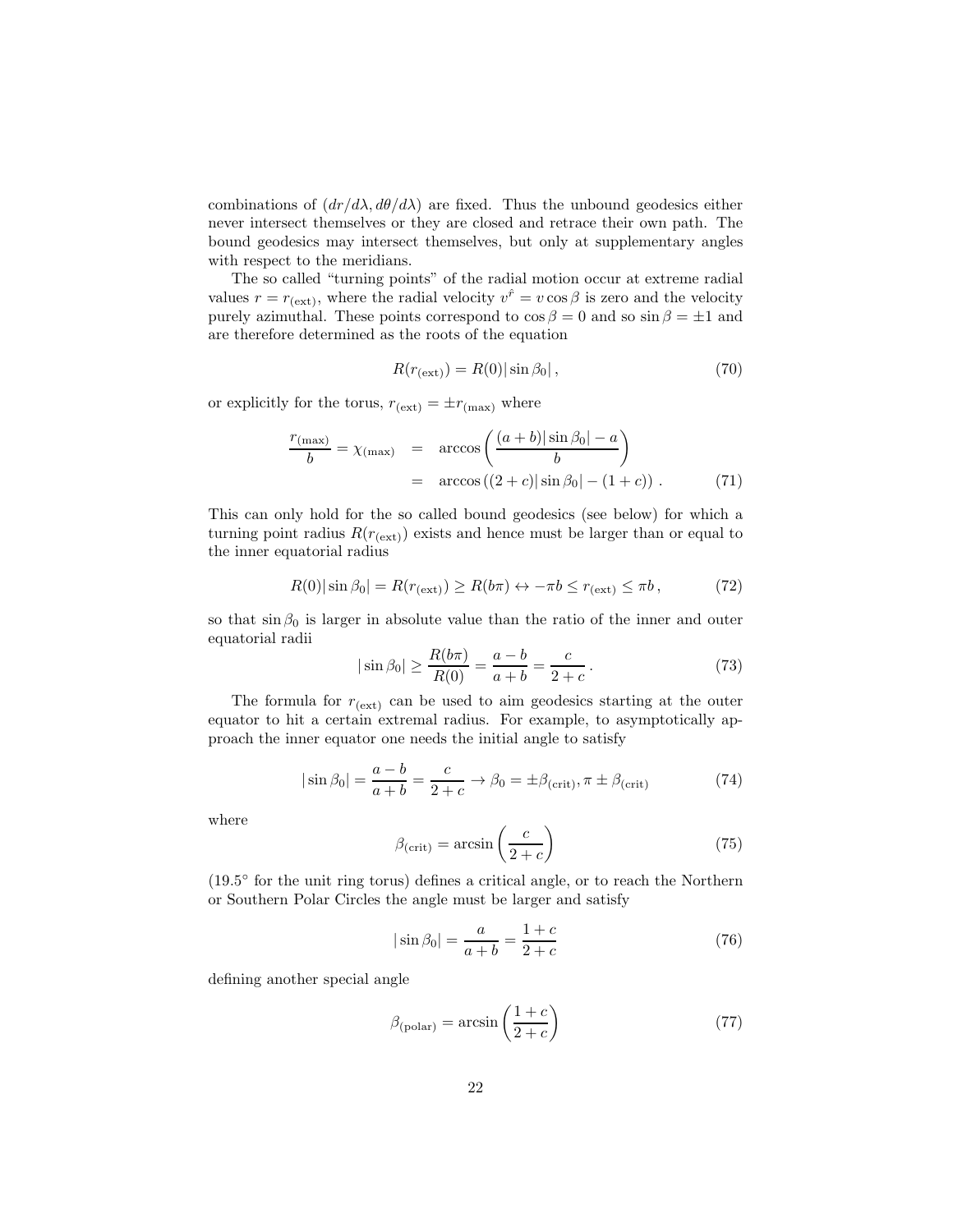combinations of  $\left(\frac{dr}{d\lambda}, \frac{d\theta}{d\lambda}\right)$  are fixed. Thus the unbound geodesics either never intersect themselves or they are closed and retrace their own path. The bound geodesics may intersect themselves, but only at supplementary angles with respect to the meridians.

The so called "turning points" of the radial motion occur at extreme radial values  $r = r_{\text{(ext)}}$ , where the radial velocity  $v^{\hat{r}} = v \cos \beta$  is zero and the velocity purely azimuthal. These points correspond to  $\cos \beta = 0$  and so  $\sin \beta = \pm 1$  and are therefore determined as the roots of the equation

$$
R(r_{\text{(ext)}}) = R(0) |\sin \beta_0|, \qquad (70)
$$

or explicitly for the torus,  $r_{\text{(ext)}} = \pm r_{\text{(max)}}$  where

$$
\frac{r_{(\text{max})}}{b} = \chi_{(\text{max})} = \arccos\left(\frac{(a+b)|\sin\beta_0| - a}{b}\right)
$$

$$
= \arccos\left((2+c)|\sin\beta_0| - (1+c)\right). \tag{71}
$$

This can only hold for the so called bound geodesics (see below) for which a turning point radius  $R(r_{\text{(ext)}})$  exists and hence must be larger than or equal to the inner equatorial radius

$$
R(0)|\sin\beta_0| = R(r_{\text{(ext)}}) \ge R(b\pi) \leftrightarrow -\pi b \le r_{\text{(ext)}} \le \pi b,\tag{72}
$$

so that  $\sin \beta_0$  is larger in absolute value than the ratio of the inner and outer equatorial radii

$$
|\sin \beta_0| \ge \frac{R(b\pi)}{R(0)} = \frac{a-b}{a+b} = \frac{c}{2+c}.
$$
 (73)

The formula for  $r_{(ext)}$  can be used to aim geodesics starting at the outer equator to hit a certain extremal radius. For example, to asymptotically approach the inner equator one needs the initial angle to satisfy

$$
|\sin \beta_0| = \frac{a-b}{a+b} = \frac{c}{2+c} \to \beta_0 = \pm \beta_{\text{(crit)}}, \pi \pm \beta_{\text{(crit)}}
$$
 (74)

where

$$
\beta_{\text{(crit)}} = \arcsin\left(\frac{c}{2+c}\right) \tag{75}
$$

(19.5 ◦ for the unit ring torus) defines a critical angle, or to reach the Northern or Southern Polar Circles the angle must be larger and satisfy

$$
|\sin \beta_0| = \frac{a}{a+b} = \frac{1+c}{2+c}
$$
\n(76)

defining another special angle

$$
\beta_{\text{(polar)}} = \arcsin\left(\frac{1+c}{2+c}\right) \tag{77}
$$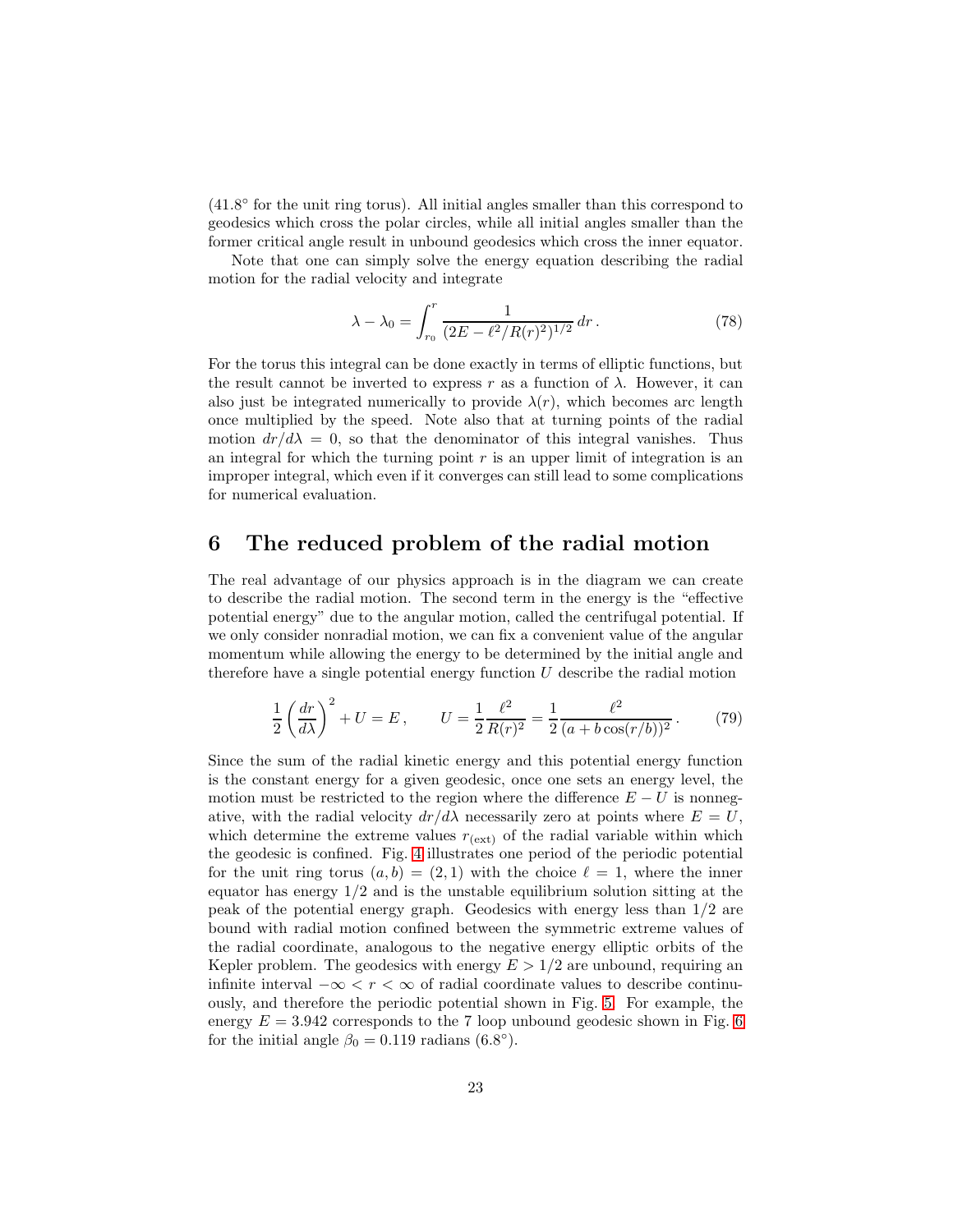(41.8 ◦ for the unit ring torus). All initial angles smaller than this correspond to geodesics which cross the polar circles, while all initial angles smaller than the former critical angle result in unbound geodesics which cross the inner equator.

Note that one can simply solve the energy equation describing the radial motion for the radial velocity and integrate

<span id="page-22-0"></span>
$$
\lambda - \lambda_0 = \int_{r_0}^r \frac{1}{(2E - \ell^2/R(r)^2)^{1/2}} dr.
$$
 (78)

For the torus this integral can be done exactly in terms of elliptic functions, but the result cannot be inverted to express r as a function of  $\lambda$ . However, it can also just be integrated numerically to provide  $\lambda(r)$ , which becomes arc length once multiplied by the speed. Note also that at turning points of the radial motion  $dr/d\lambda = 0$ , so that the denominator of this integral vanishes. Thus an integral for which the turning point  $r$  is an upper limit of integration is an improper integral, which even if it converges can still lead to some complications for numerical evaluation.

#### 6 The reduced problem of the radial motion

The real advantage of our physics approach is in the diagram we can create to describe the radial motion. The second term in the energy is the "effective potential energy" due to the angular motion, called the centrifugal potential. If we only consider nonradial motion, we can fix a convenient value of the angular momentum while allowing the energy to be determined by the initial angle and therefore have a single potential energy function  $U$  describe the radial motion

$$
\frac{1}{2}\left(\frac{dr}{d\lambda}\right)^2 + U = E, \qquad U = \frac{1}{2}\frac{\ell^2}{R(r)^2} = \frac{1}{2}\frac{\ell^2}{(a + b\cos(r/b))^2}.
$$
 (79)

Since the sum of the radial kinetic energy and this potential energy function is the constant energy for a given geodesic, once one sets an energy level, the motion must be restricted to the region where the difference  $E - U$  is nonnegative, with the radial velocity  $dr/d\lambda$  necessarily zero at points where  $E = U$ , which determine the extreme values  $r_{(ext)}$  of the radial variable within which the geodesic is confined. Fig. [4](#page-23-0) illustrates one period of the periodic potential for the unit ring torus  $(a, b) = (2, 1)$  with the choice  $\ell = 1$ , where the inner equator has energy  $1/2$  and is the unstable equilibrium solution sitting at the peak of the potential energy graph. Geodesics with energy less than 1/2 are bound with radial motion confined between the symmetric extreme values of the radial coordinate, analogous to the negative energy elliptic orbits of the Kepler problem. The geodesics with energy  $E > 1/2$  are unbound, requiring an infinite interval  $-\infty < r < \infty$  of radial coordinate values to describe continuously, and therefore the periodic potential shown in Fig. [5.](#page-24-0) For example, the energy  $E = 3.942$  corresponds to the 7 loop unbound geodesic shown in Fig. [6](#page-25-0) for the initial angle  $\beta_0 = 0.119$  radians  $(6.8^\circ)$ .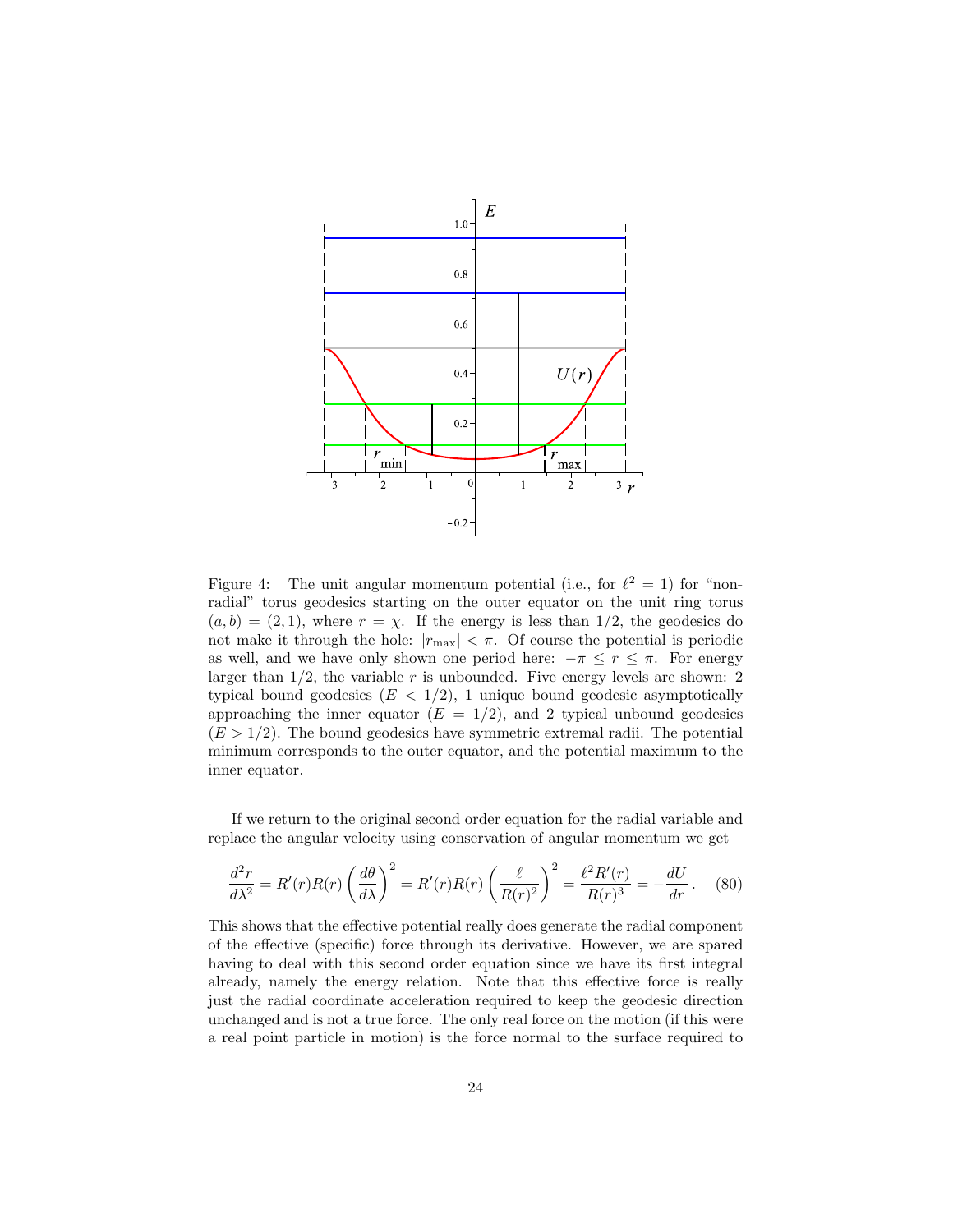

<span id="page-23-0"></span>Figure 4: The unit angular momentum potential (i.e., for  $\ell^2 = 1$ ) for "nonradial" torus geodesics starting on the outer equator on the unit ring torus  $(a, b) = (2, 1)$ , where  $r = \chi$ . If the energy is less than 1/2, the geodesics do not make it through the hole:  $|r_{\text{max}}| < \pi$ . Of course the potential is periodic as well, and we have only shown one period here:  $-\pi \leq r \leq \pi$ . For energy larger than  $1/2$ , the variable r is unbounded. Five energy levels are shown: 2 typical bound geodesics  $(E < 1/2)$ , 1 unique bound geodesic asymptotically approaching the inner equator  $(E = 1/2)$ , and 2 typical unbound geodesics  $(E > 1/2)$ . The bound geodesics have symmetric extremal radii. The potential minimum corresponds to the outer equator, and the potential maximum to the inner equator.

If we return to the original second order equation for the radial variable and replace the angular velocity using conservation of angular momentum we get

$$
\frac{d^2r}{d\lambda^2} = R'(r)R(r)\left(\frac{d\theta}{d\lambda}\right)^2 = R'(r)R(r)\left(\frac{\ell}{R(r)^2}\right)^2 = \frac{\ell^2R'(r)}{R(r)^3} = -\frac{dU}{dr}.
$$
 (80)

This shows that the effective potential really does generate the radial component of the effective (specific) force through its derivative. However, we are spared having to deal with this second order equation since we have its first integral already, namely the energy relation. Note that this effective force is really just the radial coordinate acceleration required to keep the geodesic direction unchanged and is not a true force. The only real force on the motion (if this were a real point particle in motion) is the force normal to the surface required to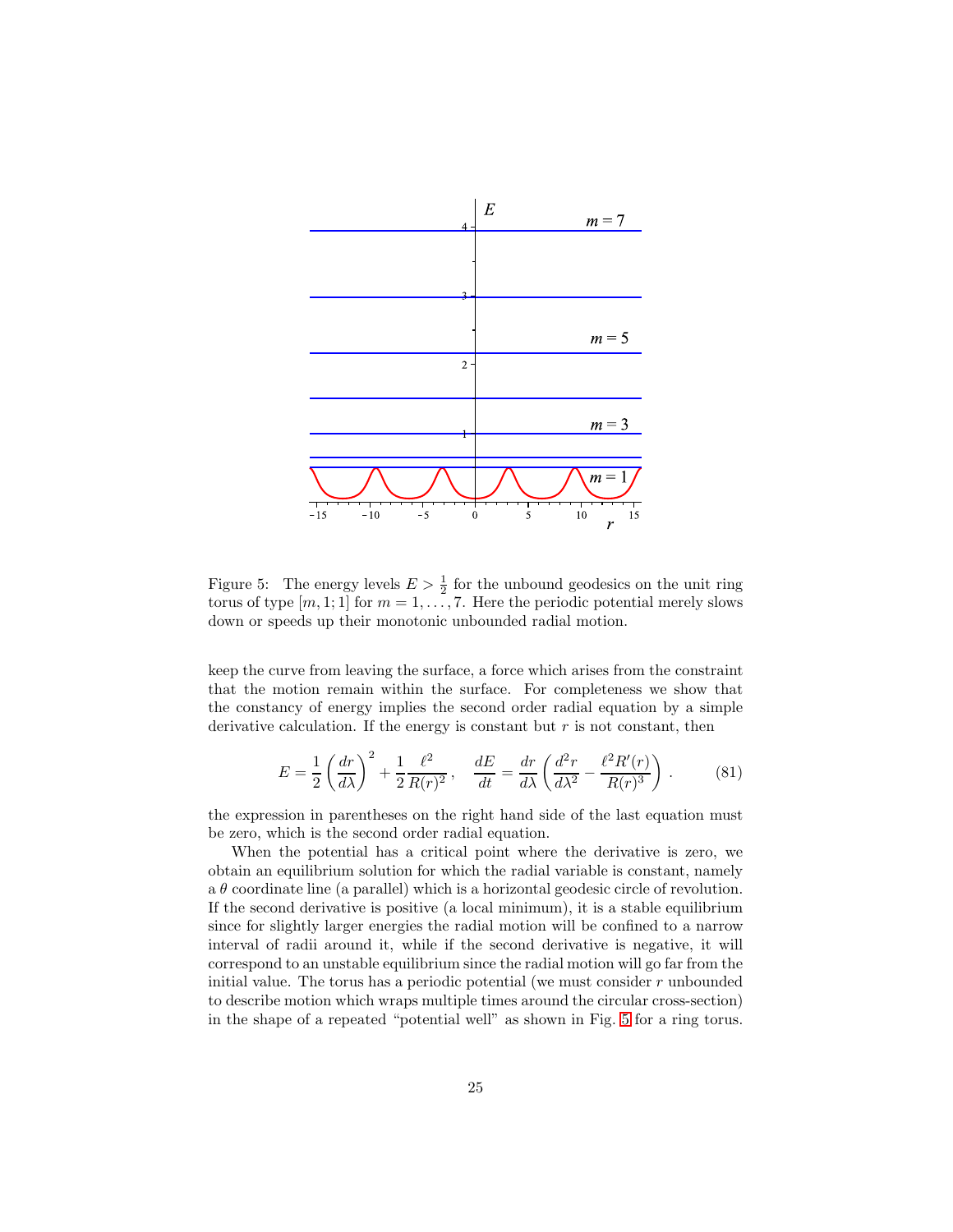

<span id="page-24-0"></span>Figure 5: The energy levels  $E > \frac{1}{2}$  for the unbound geodesics on the unit ring torus of type  $[m, 1; 1]$  for  $m = 1, \ldots, 7$ . Here the periodic potential merely slows down or speeds up their monotonic unbounded radial motion.

keep the curve from leaving the surface, a force which arises from the constraint that the motion remain within the surface. For completeness we show that the constancy of energy implies the second order radial equation by a simple derivative calculation. If the energy is constant but  $r$  is not constant, then

$$
E = \frac{1}{2} \left( \frac{dr}{d\lambda} \right)^2 + \frac{1}{2} \frac{\ell^2}{R(r)^2}, \quad \frac{dE}{dt} = \frac{dr}{d\lambda} \left( \frac{d^2r}{d\lambda^2} - \frac{\ell^2 R'(r)}{R(r)^3} \right). \tag{81}
$$

the expression in parentheses on the right hand side of the last equation must be zero, which is the second order radial equation.

When the potential has a critical point where the derivative is zero, we obtain an equilibrium solution for which the radial variable is constant, namely a  $\theta$  coordinate line (a parallel) which is a horizontal geodesic circle of revolution. If the second derivative is positive (a local minimum), it is a stable equilibrium since for slightly larger energies the radial motion will be confined to a narrow interval of radii around it, while if the second derivative is negative, it will correspond to an unstable equilibrium since the radial motion will go far from the initial value. The torus has a periodic potential (we must consider  $r$  unbounded to describe motion which wraps multiple times around the circular cross-section) in the shape of a repeated "potential well" as shown in Fig. [5](#page-24-0) for a ring torus.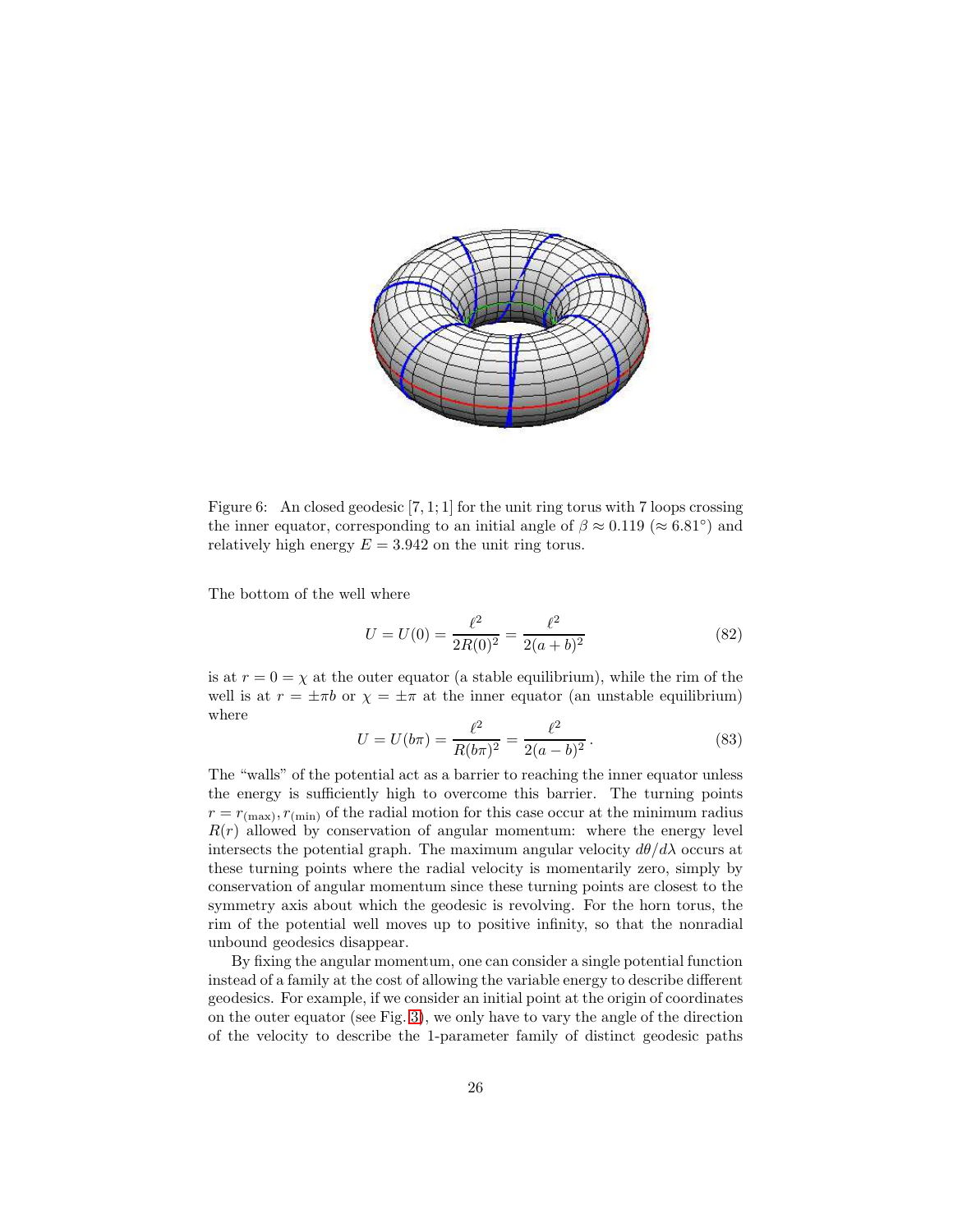

<span id="page-25-0"></span>Figure 6: An closed geodesic [7, 1; 1] for the unit ring torus with 7 loops crossing the inner equator, corresponding to an initial angle of  $\beta \approx 0.119 \; (\approx 6.81^{\circ})$  and relatively high energy  $E = 3.942$  on the unit ring torus.

The bottom of the well where

$$
U = U(0) = \frac{\ell^2}{2R(0)^2} = \frac{\ell^2}{2(a+b)^2}
$$
\n(82)

is at  $r = 0 = \chi$  at the outer equator (a stable equilibrium), while the rim of the well is at  $r = \pm \pi b$  or  $\chi = \pm \pi$  at the inner equator (an unstable equilibrium) where

$$
U = U(b\pi) = \frac{\ell^2}{R(b\pi)^2} = \frac{\ell^2}{2(a-b)^2}.
$$
 (83)

The "walls" of the potential act as a barrier to reaching the inner equator unless the energy is sufficiently high to overcome this barrier. The turning points  $r = r_{(\text{max})}, r_{(\text{min})}$  of the radial motion for this case occur at the minimum radius  $R(r)$  allowed by conservation of angular momentum: where the energy level intersects the potential graph. The maximum angular velocity  $d\theta/d\lambda$  occurs at these turning points where the radial velocity is momentarily zero, simply by conservation of angular momentum since these turning points are closest to the symmetry axis about which the geodesic is revolving. For the horn torus, the rim of the potential well moves up to positive infinity, so that the nonradial unbound geodesics disappear.

By fixing the angular momentum, one can consider a single potential function instead of a family at the cost of allowing the variable energy to describe different geodesics. For example, if we consider an initial point at the origin of coordinates on the outer equator (see Fig. [3\)](#page-19-0), we only have to vary the angle of the direction of the velocity to describe the 1-parameter family of distinct geodesic paths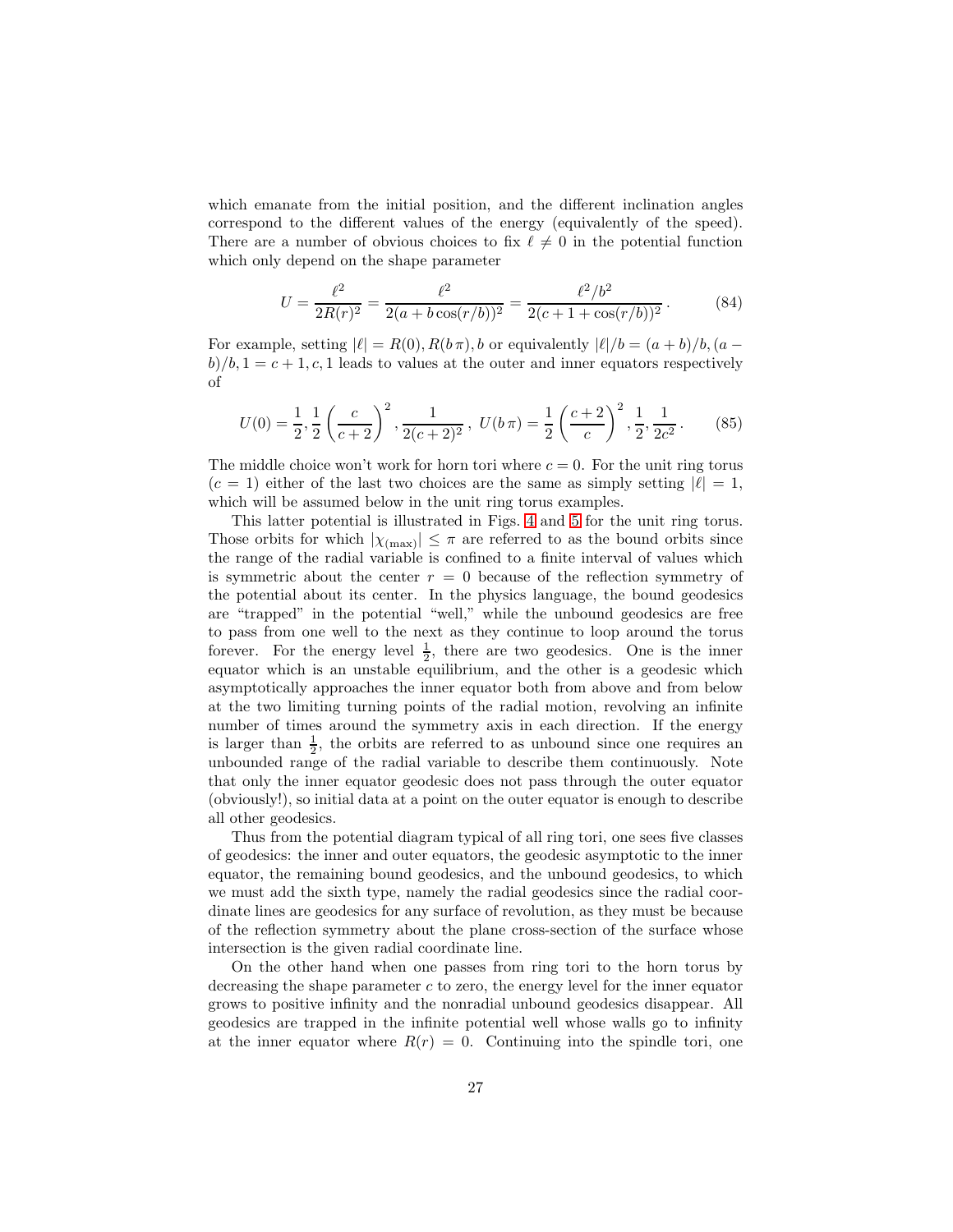which emanate from the initial position, and the different inclination angles correspond to the different values of the energy (equivalently of the speed). There are a number of obvious choices to fix  $\ell \neq 0$  in the potential function which only depend on the shape parameter

$$
U = \frac{\ell^2}{2R(r)^2} = \frac{\ell^2}{2(a + b\cos(r/b))^2} = \frac{\ell^2/b^2}{2(c + 1 + \cos(r/b))^2}.
$$
 (84)

For example, setting  $|\ell| = R(0), R(b\pi), b$  or equivalently  $|\ell|/b = (a+b)/b$ ,  $(a-b)/b$  $b/b$ ,  $1 = c + 1, c, 1$  leads to values at the outer and inner equators respectively of

$$
U(0) = \frac{1}{2}, \frac{1}{2} \left( \frac{c}{c+2} \right)^2, \frac{1}{2(c+2)^2}, \ U(b \pi) = \frac{1}{2} \left( \frac{c+2}{c} \right)^2, \frac{1}{2}, \frac{1}{2c^2}. \tag{85}
$$

The middle choice won't work for horn tori where  $c = 0$ . For the unit ring torus  $(c = 1)$  either of the last two choices are the same as simply setting  $|\ell| = 1$ , which will be assumed below in the unit ring torus examples.

This latter potential is illustrated in Figs. [4](#page-23-0) and [5](#page-24-0) for the unit ring torus. Those orbits for which  $|\chi_{(\text{max})}| \leq \pi$  are referred to as the bound orbits since the range of the radial variable is confined to a finite interval of values which is symmetric about the center  $r = 0$  because of the reflection symmetry of the potential about its center. In the physics language, the bound geodesics are "trapped" in the potential "well," while the unbound geodesics are free to pass from one well to the next as they continue to loop around the torus forever. For the energy level  $\frac{1}{2}$ , there are two geodesics. One is the inner equator which is an unstable equilibrium, and the other is a geodesic which asymptotically approaches the inner equator both from above and from below at the two limiting turning points of the radial motion, revolving an infinite number of times around the symmetry axis in each direction. If the energy is larger than  $\frac{1}{2}$ , the orbits are referred to as unbound since one requires an unbounded range of the radial variable to describe them continuously. Note that only the inner equator geodesic does not pass through the outer equator (obviously!), so initial data at a point on the outer equator is enough to describe all other geodesics.

Thus from the potential diagram typical of all ring tori, one sees five classes of geodesics: the inner and outer equators, the geodesic asymptotic to the inner equator, the remaining bound geodesics, and the unbound geodesics, to which we must add the sixth type, namely the radial geodesics since the radial coordinate lines are geodesics for any surface of revolution, as they must be because of the reflection symmetry about the plane cross-section of the surface whose intersection is the given radial coordinate line.

On the other hand when one passes from ring tori to the horn torus by decreasing the shape parameter  $c$  to zero, the energy level for the inner equator grows to positive infinity and the nonradial unbound geodesics disappear. All geodesics are trapped in the infinite potential well whose walls go to infinity at the inner equator where  $R(r) = 0$ . Continuing into the spindle tori, one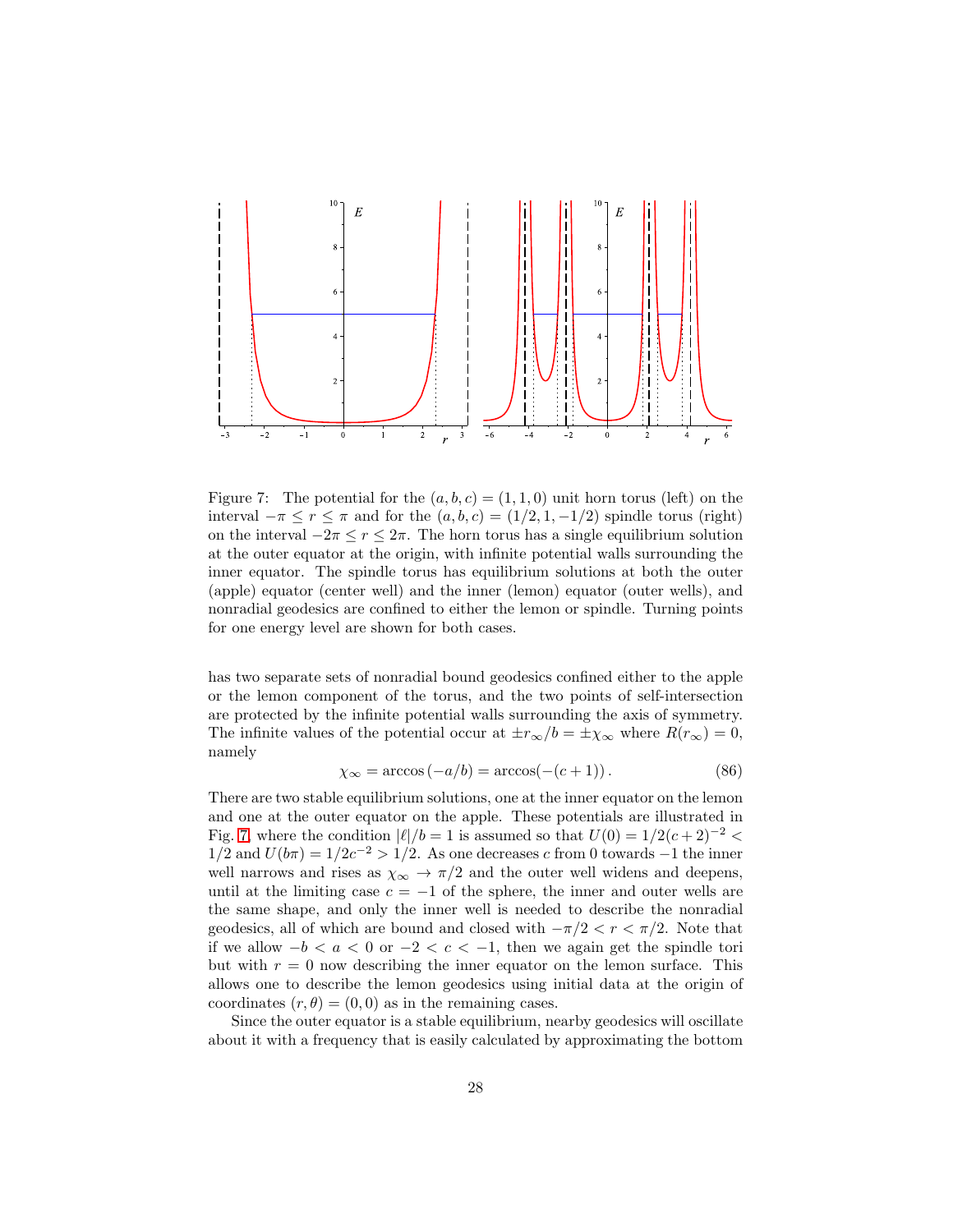

<span id="page-27-0"></span>Figure 7: The potential for the  $(a, b, c) = (1, 1, 0)$  unit horn torus (left) on the interval  $-\pi \le r \le \pi$  and for the  $(a, b, c) = (1/2, 1, -1/2)$  spindle torus (right) on the interval  $-2\pi \le r \le 2\pi$ . The horn torus has a single equilibrium solution at the outer equator at the origin, with infinite potential walls surrounding the inner equator. The spindle torus has equilibrium solutions at both the outer (apple) equator (center well) and the inner (lemon) equator (outer wells), and nonradial geodesics are confined to either the lemon or spindle. Turning points for one energy level are shown for both cases.

has two separate sets of nonradial bound geodesics confined either to the apple or the lemon component of the torus, and the two points of self-intersection are protected by the infinite potential walls surrounding the axis of symmetry. The infinite values of the potential occur at  $\pm r_{\infty}/b = \pm \chi_{\infty}$  where  $R(r_{\infty}) = 0$ , namely

$$
\chi_{\infty} = \arccos(-a/b) = \arccos(-(c+1)). \tag{86}
$$

There are two stable equilibrium solutions, one at the inner equator on the lemon and one at the outer equator on the apple. These potentials are illustrated in Fig. [7,](#page-27-0) where the condition  $|\ell|/b = 1$  is assumed so that  $U(0) = 1/2(c+2)^{-2} <$  $1/2$  and  $U(b\pi) = 1/2c^{-2} > 1/2$ . As one decreases c from 0 towards -1 the inner well narrows and rises as  $\chi_{\infty} \to \pi/2$  and the outer well widens and deepens, until at the limiting case  $c = -1$  of the sphere, the inner and outer wells are the same shape, and only the inner well is needed to describe the nonradial geodesics, all of which are bound and closed with  $-\pi/2 < r < \pi/2$ . Note that if we allow −b < a < 0 or −2 < c < −1, then we again get the spindle tori but with  $r = 0$  now describing the inner equator on the lemon surface. This allows one to describe the lemon geodesics using initial data at the origin of coordinates  $(r, \theta) = (0, 0)$  as in the remaining cases.

Since the outer equator is a stable equilibrium, nearby geodesics will oscillate about it with a frequency that is easily calculated by approximating the bottom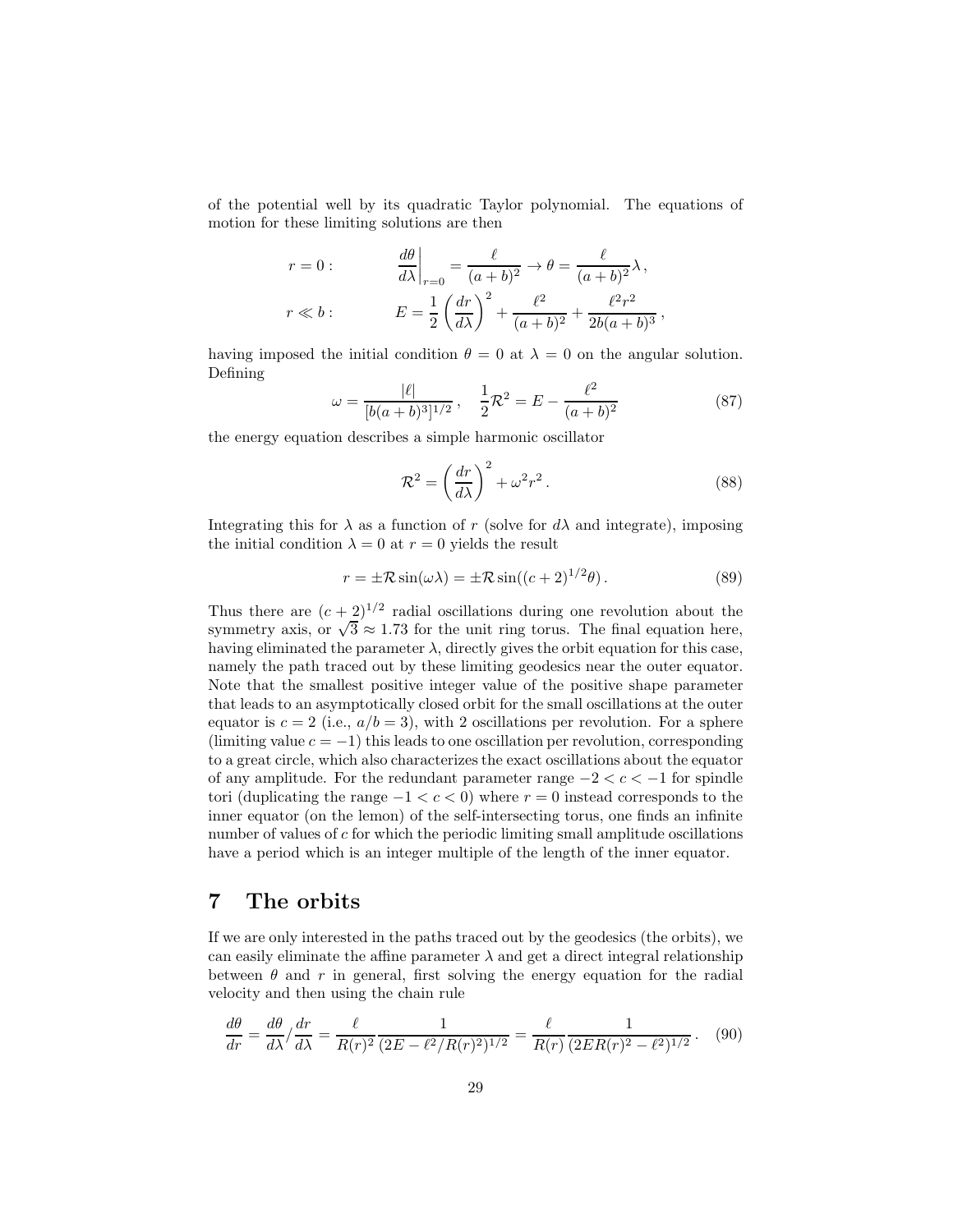of the potential well by its quadratic Taylor polynomial. The equations of motion for these limiting solutions are then

$$
r = 0:
$$
\n
$$
\left. \frac{d\theta}{d\lambda} \right|_{r=0} = \frac{\ell}{(a+b)^2} \to \theta = \frac{\ell}{(a+b)^2} \lambda,
$$
\n
$$
r \ll b:
$$
\n
$$
E = \frac{1}{2} \left( \frac{dr}{d\lambda} \right)^2 + \frac{\ell^2}{(a+b)^2} + \frac{\ell^2 r^2}{2b(a+b)^3},
$$

having imposed the initial condition  $\theta = 0$  at  $\lambda = 0$  on the angular solution. Defining

$$
\omega = \frac{|\ell|}{[b(a+b)^3]^{1/2}}, \quad \frac{1}{2}\mathcal{R}^2 = E - \frac{\ell^2}{(a+b)^2}
$$
(87)

the energy equation describes a simple harmonic oscillator

$$
\mathcal{R}^2 = \left(\frac{dr}{d\lambda}\right)^2 + \omega^2 r^2.
$$
\n(88)

Integrating this for  $\lambda$  as a function of r (solve for  $d\lambda$  and integrate), imposing the initial condition  $\lambda = 0$  at  $r = 0$  yields the result

$$
r = \pm \mathcal{R}\sin(\omega\lambda) = \pm \mathcal{R}\sin((c+2)^{1/2}\theta). \tag{89}
$$

Thus there are  $(c+2)^{1/2}$  radial oscillations during one revolution about the symmetry axis, or  $\sqrt{3} \approx 1.73$  for the unit ring torus. The final equation here, having eliminated the parameter  $\lambda$ , directly gives the orbit equation for this case, namely the path traced out by these limiting geodesics near the outer equator. Note that the smallest positive integer value of the positive shape parameter that leads to an asymptotically closed orbit for the small oscillations at the outer equator is  $c = 2$  (i.e.,  $a/b = 3$ ), with 2 oscillations per revolution. For a sphere (limiting value  $c = -1$ ) this leads to one oscillation per revolution, corresponding to a great circle, which also characterizes the exact oscillations about the equator of any amplitude. For the redundant parameter range  $-2 < c < -1$  for spindle tori (duplicating the range  $-1 < c < 0$ ) where  $r = 0$  instead corresponds to the inner equator (on the lemon) of the self-intersecting torus, one finds an infinite number of values of c for which the periodic limiting small amplitude oscillations have a period which is an integer multiple of the length of the inner equator.

### 7 The orbits

If we are only interested in the paths traced out by the geodesics (the orbits), we can easily eliminate the affine parameter  $\lambda$  and get a direct integral relationship between  $\theta$  and r in general, first solving the energy equation for the radial velocity and then using the chain rule

$$
\frac{d\theta}{dr} = \frac{d\theta}{d\lambda} / \frac{dr}{d\lambda} = \frac{\ell}{R(r)^2} \frac{1}{(2E - \ell^2 / R(r)^2)^{1/2}} = \frac{\ell}{R(r)} \frac{1}{(2ER(r)^2 - \ell^2)^{1/2}}.
$$
 (90)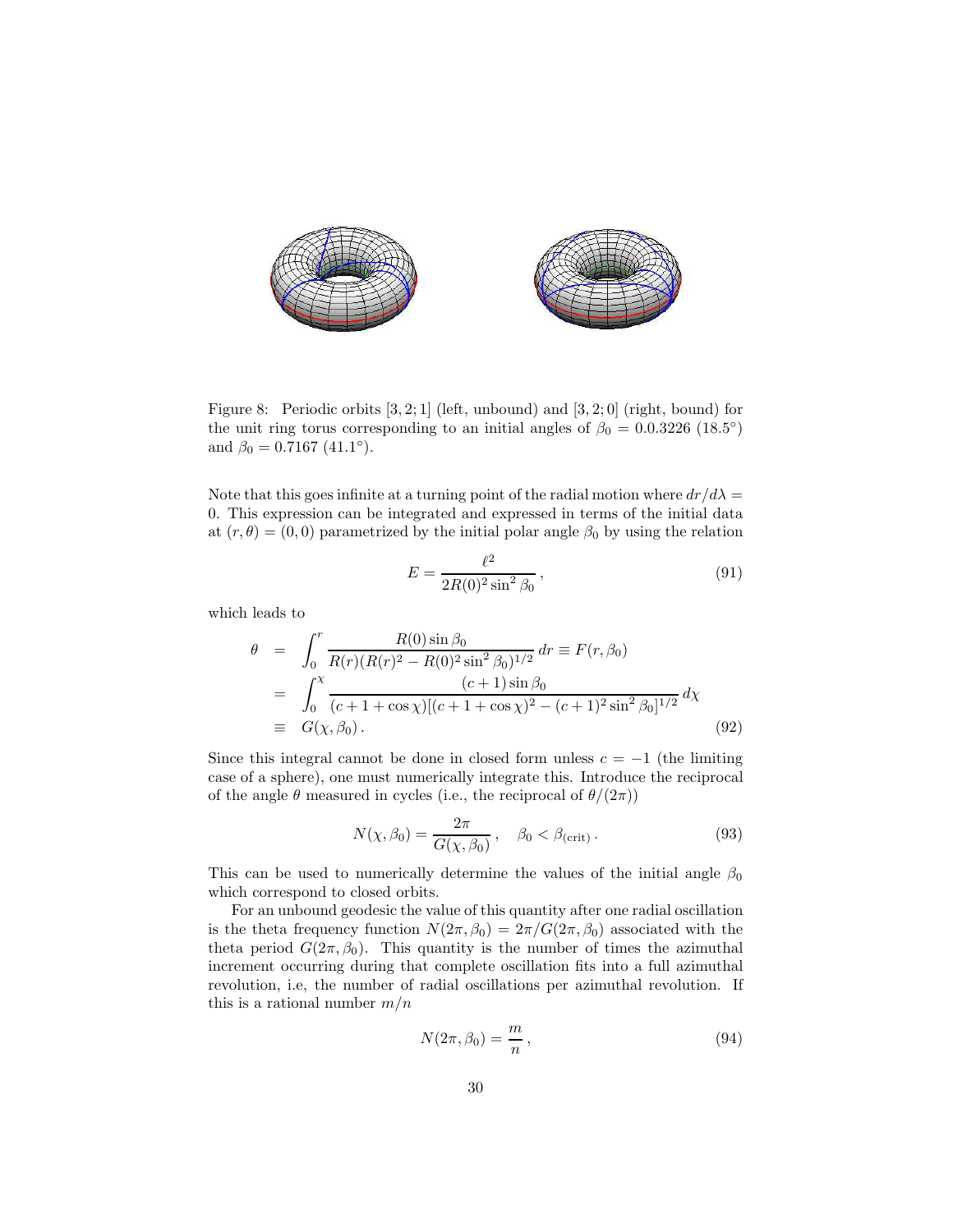

<span id="page-29-0"></span>Figure 8: Periodic orbits [3, 2; 1] (left, unbound) and [3, 2; 0] (right, bound) for the unit ring torus corresponding to an initial angles of  $\beta_0 = 0.0.3226$  (18.5°) and  $\beta_0 = 0.7167 \ (41.1^\circ).$ 

Note that this goes infinite at a turning point of the radial motion where  $dr/d\lambda =$ 0. This expression can be integrated and expressed in terms of the initial data at  $(r, \theta) = (0, 0)$  parametrized by the initial polar angle  $\beta_0$  by using the relation

$$
E = \frac{\ell^2}{2R(0)^2 \sin^2 \beta_0},\tag{91}
$$

which leads to

$$
\theta = \int_0^r \frac{R(0) \sin \beta_0}{R(r)(R(r)^2 - R(0)^2 \sin^2 \beta_0)^{1/2}} dr = F(r, \beta_0)
$$
  
= 
$$
\int_0^{\chi} \frac{(c+1) \sin \beta_0}{(c+1+\cos \chi)[(c+1+\cos \chi)^2 - (c+1)^2 \sin^2 \beta_0]^{1/2}} d\chi
$$
  
= 
$$
G(\chi, \beta_0).
$$
 (92)

Since this integral cannot be done in closed form unless  $c = -1$  (the limiting case of a sphere), one must numerically integrate this. Introduce the reciprocal of the angle  $\theta$  measured in cycles (i.e., the reciprocal of  $\theta/(2\pi)$ )

$$
N(\chi, \beta_0) = \frac{2\pi}{G(\chi, \beta_0)}, \quad \beta_0 < \beta_{\text{(crit)}}.
$$
\n
$$
(93)
$$

This can be used to numerically determine the values of the initial angle  $\beta_0$ which correspond to closed orbits.

For an unbound geodesic the value of this quantity after one radial oscillation is the theta frequency function  $N(2\pi, \beta_0) = 2\pi/G(2\pi, \beta_0)$  associated with the theta period  $G(2\pi, \beta_0)$ . This quantity is the number of times the azimuthal increment occurring during that complete oscillation fits into a full azimuthal revolution, i.e, the number of radial oscillations per azimuthal revolution. If this is a rational number  $m/n$ 

$$
N(2\pi, \beta_0) = \frac{m}{n},\tag{94}
$$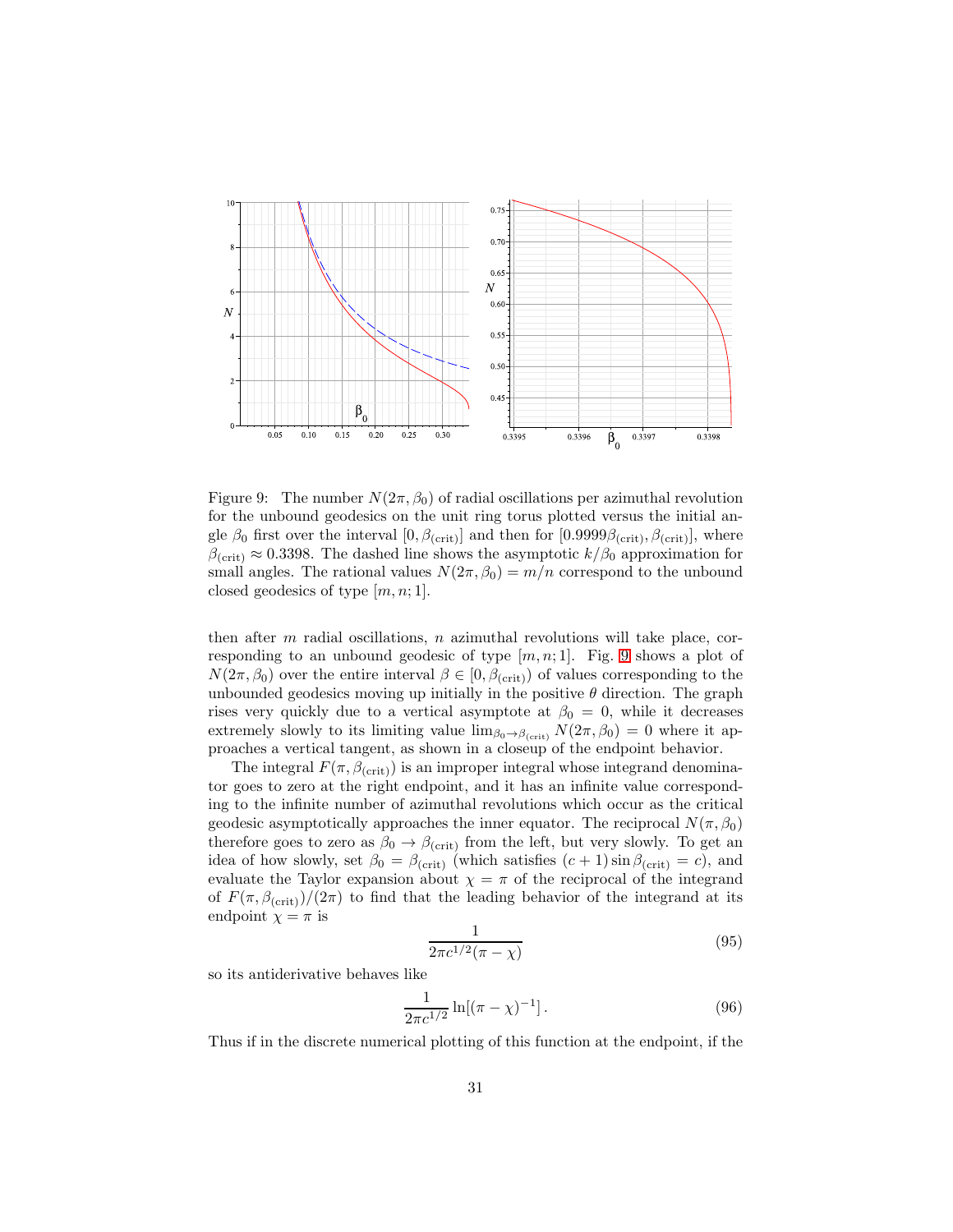

<span id="page-30-0"></span>Figure 9: The number  $N(2\pi, \beta_0)$  of radial oscillations per azimuthal revolution for the unbound geodesics on the unit ring torus plotted versus the initial angle  $\beta_0$  first over the interval  $[0, \beta_{\text{(crit)}}]$  and then for  $[0.9999\beta_{\text{(crit)}}, \beta_{\text{(crit)}}]$ , where  $\beta_{\text{(crit)}} \approx 0.3398$ . The dashed line shows the asymptotic  $k/\beta_0$  approximation for small angles. The rational values  $N(2\pi, \beta_0) = m/n$  correspond to the unbound closed geodesics of type  $[m, n; 1]$ .

then after  $m$  radial oscillations,  $n$  azimuthal revolutions will take place, corresponding to an unbound geodesic of type  $[m, n; 1]$ . Fig. [9](#page-30-0) shows a plot of  $N(2\pi, \beta_0)$  over the entire interval  $\beta \in [0, \beta_{\text{(crit)}})$  of values corresponding to the unbounded geodesics moving up initially in the positive  $\theta$  direction. The graph rises very quickly due to a vertical asymptote at  $\beta_0 = 0$ , while it decreases extremely slowly to its limiting value  $\lim_{\beta_0 \to \beta_{\text{(crit)}}} N(2\pi, \beta_0) = 0$  where it approaches a vertical tangent, as shown in a closeup of the endpoint behavior.

The integral  $F(\pi, \beta_{\text{(crit)}})$  is an improper integral whose integrand denominator goes to zero at the right endpoint, and it has an infinite value corresponding to the infinite number of azimuthal revolutions which occur as the critical geodesic asymptotically approaches the inner equator. The reciprocal  $N(\pi, \beta_0)$ therefore goes to zero as  $\beta_0 \rightarrow \beta_{\text{(crit)}}$  from the left, but very slowly. To get an idea of how slowly, set  $\beta_0 = \beta_{\text{(crit)}}$  (which satisfies  $(c+1) \sin \beta_{\text{(crit)}} = c$ ), and evaluate the Taylor expansion about  $\chi = \pi$  of the reciprocal of the integrand of  $F(\pi, \beta_{\text{(crit)}})/(2\pi)$  to find that the leading behavior of the integrand at its endpoint  $\chi=\pi$  is

$$
\frac{1}{2\pi c^{1/2}(\pi - \chi)}\tag{95}
$$

so its antiderivative behaves like

$$
\frac{1}{2\pi c^{1/2}}\ln[(\pi - \chi)^{-1}].
$$
\n(96)

Thus if in the discrete numerical plotting of this function at the endpoint, if the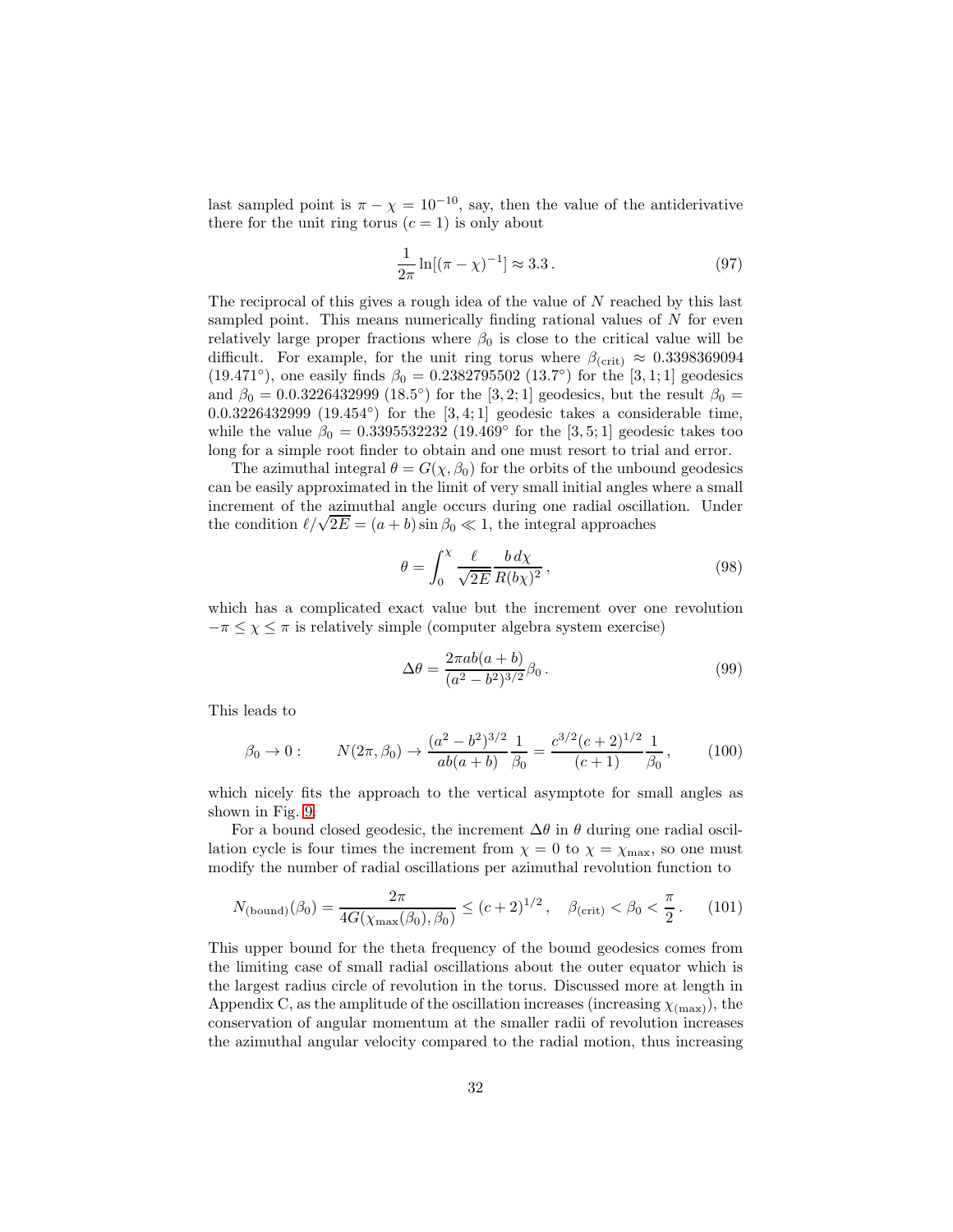last sampled point is  $\pi - \chi = 10^{-10}$ , say, then the value of the antiderivative there for the unit ring torus  $(c = 1)$  is only about

$$
\frac{1}{2\pi}\ln[(\pi - \chi)^{-1}] \approx 3.3.
$$
 (97)

The reciprocal of this gives a rough idea of the value of N reached by this last sampled point. This means numerically finding rational values of N for even relatively large proper fractions where  $\beta_0$  is close to the critical value will be difficult. For example, for the unit ring torus where  $\beta_{\text{(crit)}} \approx 0.3398369094$ (19.471<sup>°</sup>), one easily finds  $\beta_0 = 0.2382795502$  (13.7<sup>°</sup>) for the [3, 1; 1] geodesics and  $\beta_0 = 0.0.3226432999$  (18.5°) for the [3, 2; 1] geodesics, but the result  $\beta_0 =$  $0.0.3226432999$   $(19.454°)$  for the  $[3,4;1]$  geodesic takes a considerable time, while the value  $\beta_0 = 0.3395532232 (19.469°)$  for the [3, 5; 1] geodesic takes too long for a simple root finder to obtain and one must resort to trial and error.

The azimuthal integral  $\theta = G(\chi, \beta_0)$  for the orbits of the unbound geodesics can be easily approximated in the limit of very small initial angles where a small increment of the azimuthal angle occurs during one radial oscillation. Under the condition  $\ell/\sqrt{2E} = (a + b) \sin \beta_0 \ll 1$ , the integral approaches

$$
\theta = \int_0^\chi \frac{\ell}{\sqrt{2E}} \frac{b \, d\chi}{R(b\chi)^2},\tag{98}
$$

which has a complicated exact value but the increment over one revolution  $-\pi \leq \chi \leq \pi$  is relatively simple (computer algebra system exercise)

$$
\Delta \theta = \frac{2\pi ab(a+b)}{(a^2 - b^2)^{3/2}} \beta_0.
$$
\n(99)

This leads to

$$
\beta_0 \to 0: \qquad N(2\pi, \beta_0) \to \frac{(a^2 - b^2)^{3/2}}{ab(a+b)} \frac{1}{\beta_0} = \frac{c^{3/2}(c+2)^{1/2}}{(c+1)} \frac{1}{\beta_0},\qquad(100)
$$

which nicely fits the approach to the vertical asymptote for small angles as shown in Fig. [9.](#page-30-0)

For a bound closed geodesic, the increment  $\Delta\theta$  in  $\theta$  during one radial oscillation cycle is four times the increment from  $\chi = 0$  to  $\chi = \chi_{\text{max}}$ , so one must modify the number of radial oscillations per azimuthal revolution function to

$$
N_{\text{(bound)}}(\beta_0) = \frac{2\pi}{4G(\chi_{\text{max}}(\beta_0), \beta_0)} \le (c+2)^{1/2}, \quad \beta_{\text{(crit)}} < \beta_0 < \frac{\pi}{2}. \tag{101}
$$

This upper bound for the theta frequency of the bound geodesics comes from the limiting case of small radial oscillations about the outer equator which is the largest radius circle of revolution in the torus. Discussed more at length in Appendix C, as the amplitude of the oscillation increases (increasing  $\chi_{(\text{max})}$ ), the conservation of angular momentum at the smaller radii of revolution increases the azimuthal angular velocity compared to the radial motion, thus increasing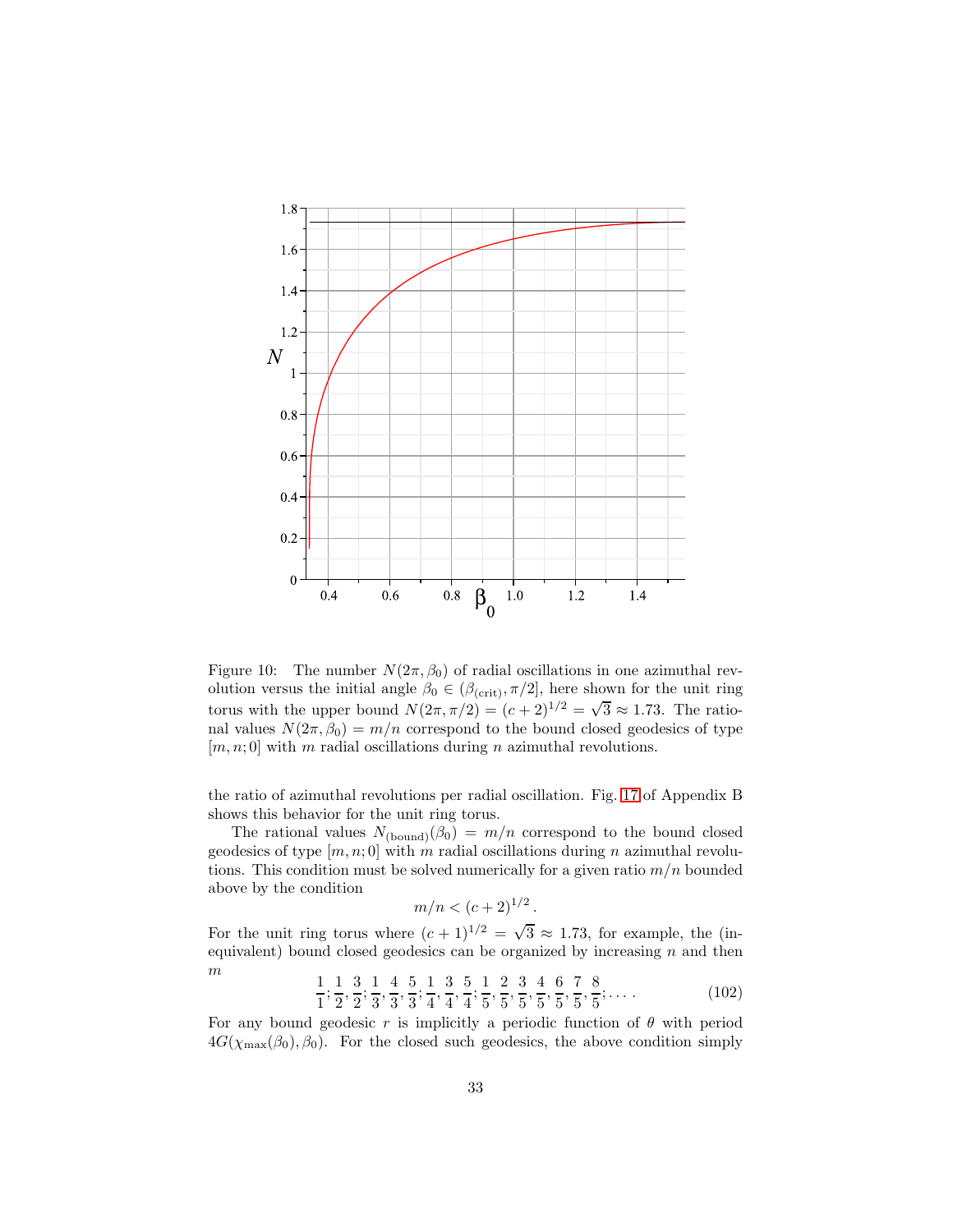

Figure 10: The number  $N(2\pi, \beta_0)$  of radial oscillations in one azimuthal revolution versus the initial angle  $\beta_0 \in (\beta_{\text{(crit)}}, \pi/2]$ , here shown for the unit ring torus with the upper bound  $N(2\pi, \pi/2) = (c+2)^{1/2} = \sqrt{3} \approx 1.73$ . The rational values  $N(2\pi, \beta_0) = m/n$  correspond to the bound closed geodesics of type  $[m, n; 0]$  with m radial oscillations during n azimuthal revolutions.

the ratio of azimuthal revolutions per radial oscillation. Fig. [17](#page-45-0) of Appendix B shows this behavior for the unit ring torus.

The rational values  $N_{\text{(bound)}}(\beta_0) = m/n$  correspond to the bound closed geodesics of type  $[m, n; 0]$  with m radial oscillations during n azimuthal revolutions. This condition must be solved numerically for a given ratio  $m/n$  bounded above by the condition

$$
m/n < (c+2)^{1/2}.
$$

For the unit ring torus where  $(c+1)^{1/2} = \sqrt{3} \approx 1.73$ , for example, the (inequivalent) bound closed geodesics can be organized by increasing  $n$  and then m 44  $\overline{a}$  $\overline{1}$  $\sim$  $\overline{5}$  $\overline{1}$ 

$$
\frac{1}{1}; \frac{1}{2}, \frac{3}{2}; \frac{1}{3}, \frac{4}{3}, \frac{5}{3}; \frac{1}{4}, \frac{3}{4}, \frac{5}{4}; \frac{1}{5}, \frac{2}{5}, \frac{3}{5}, \frac{4}{5}, \frac{6}{5}, \frac{7}{5}, \frac{8}{5}; \dots
$$
\n(102)

For any bound geodesic r is implicitly a periodic function of  $\theta$  with period  $4G(\chi_{\text{max}}(\beta_0), \beta_0)$ . For the closed such geodesics, the above condition simply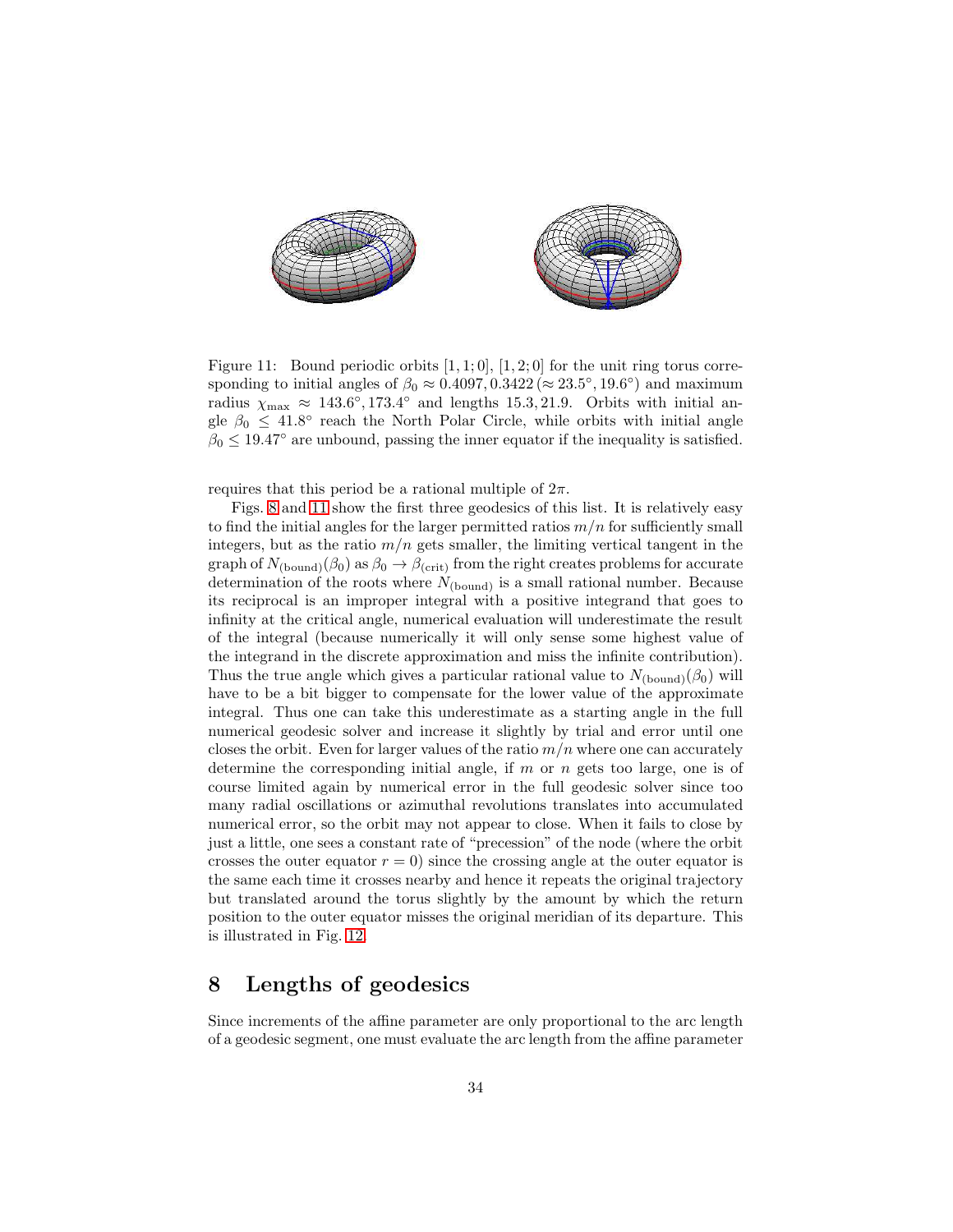

<span id="page-33-0"></span>Figure 11: Bound periodic orbits  $[1, 1; 0]$ ,  $[1, 2; 0]$  for the unit ring torus corresponding to initial angles of  $\beta_0 \approx 0.4097, 0.3422 \approx 23.5^{\circ}, 19.6^{\circ}$  and maximum radius  $\chi_{\text{max}} \approx 143.6^{\circ}, 173.4^{\circ}$  and lengths 15.3, 21.9. Orbits with initial angle  $\beta_0 \leq 41.8^\circ$  reach the North Polar Circle, while orbits with initial angle  $\beta_0 \leq 19.47^{\circ}$  are unbound, passing the inner equator if the inequality is satisfied.

requires that this period be a rational multiple of  $2\pi$ .

Figs. [8](#page-29-0) and [11](#page-33-0) show the first three geodesics of this list. It is relatively easy to find the initial angles for the larger permitted ratios  $m/n$  for sufficiently small integers, but as the ratio  $m/n$  gets smaller, the limiting vertical tangent in the graph of  $N_{\text{(bound)}}(\beta_0)$  as  $\beta_0 \rightarrow \beta_{\text{(crit)}}$  from the right creates problems for accurate determination of the roots where  $N_{\text{(bound)}}$  is a small rational number. Because its reciprocal is an improper integral with a positive integrand that goes to infinity at the critical angle, numerical evaluation will underestimate the result of the integral (because numerically it will only sense some highest value of the integrand in the discrete approximation and miss the infinite contribution). Thus the true angle which gives a particular rational value to  $N_{\text{(bound)}}(\beta_0)$  will have to be a bit bigger to compensate for the lower value of the approximate integral. Thus one can take this underestimate as a starting angle in the full numerical geodesic solver and increase it slightly by trial and error until one closes the orbit. Even for larger values of the ratio  $m/n$  where one can accurately determine the corresponding initial angle, if  $m$  or  $n$  gets too large, one is of course limited again by numerical error in the full geodesic solver since too many radial oscillations or azimuthal revolutions translates into accumulated numerical error, so the orbit may not appear to close. When it fails to close by just a little, one sees a constant rate of "precession" of the node (where the orbit crosses the outer equator  $r = 0$ ) since the crossing angle at the outer equator is the same each time it crosses nearby and hence it repeats the original trajectory but translated around the torus slightly by the amount by which the return position to the outer equator misses the original meridian of its departure. This is illustrated in Fig. [12.](#page-34-0)

#### 8 Lengths of geodesics

Since increments of the affine parameter are only proportional to the arc length of a geodesic segment, one must evaluate the arc length from the affine parameter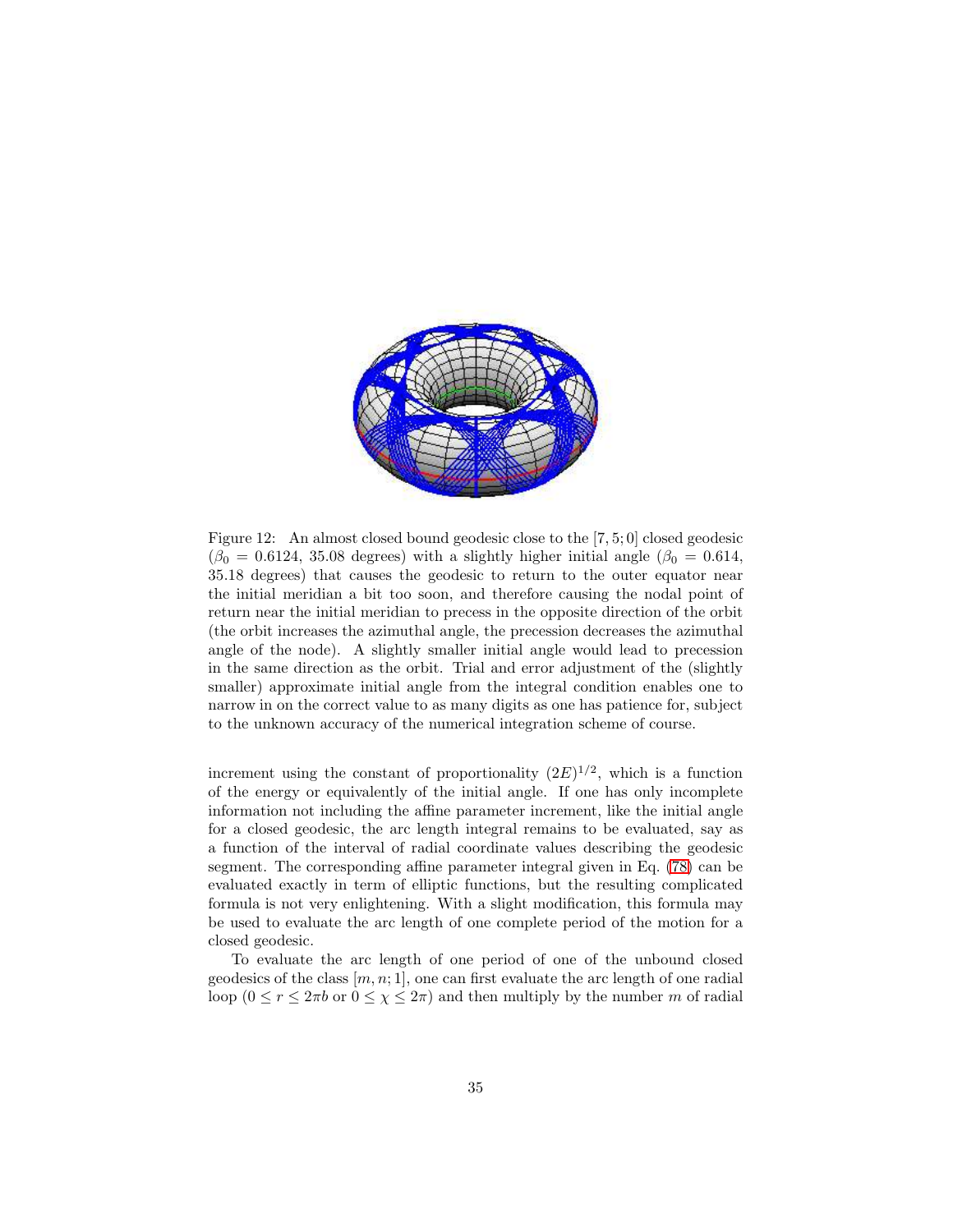

<span id="page-34-0"></span>Figure 12: An almost closed bound geodesic close to the [7, 5; 0] closed geodesic  $(\beta_0 = 0.6124, 35.08$  degrees) with a slightly higher initial angle  $(\beta_0 = 0.614,$ 35.18 degrees) that causes the geodesic to return to the outer equator near the initial meridian a bit too soon, and therefore causing the nodal point of return near the initial meridian to precess in the opposite direction of the orbit (the orbit increases the azimuthal angle, the precession decreases the azimuthal angle of the node). A slightly smaller initial angle would lead to precession in the same direction as the orbit. Trial and error adjustment of the (slightly smaller) approximate initial angle from the integral condition enables one to narrow in on the correct value to as many digits as one has patience for, subject to the unknown accuracy of the numerical integration scheme of course.

increment using the constant of proportionality  $(2E)^{1/2}$ , which is a function of the energy or equivalently of the initial angle. If one has only incomplete information not including the affine parameter increment, like the initial angle for a closed geodesic, the arc length integral remains to be evaluated, say as a function of the interval of radial coordinate values describing the geodesic segment. The corresponding affine parameter integral given in Eq. [\(78\)](#page-22-0) can be evaluated exactly in term of elliptic functions, but the resulting complicated formula is not very enlightening. With a slight modification, this formula may be used to evaluate the arc length of one complete period of the motion for a closed geodesic.

To evaluate the arc length of one period of one of the unbound closed geodesics of the class  $[m, n; 1]$ , one can first evaluate the arc length of one radial loop ( $0 \le r \le 2\pi b$  or  $0 \le \chi \le 2\pi$ ) and then multiply by the number m of radial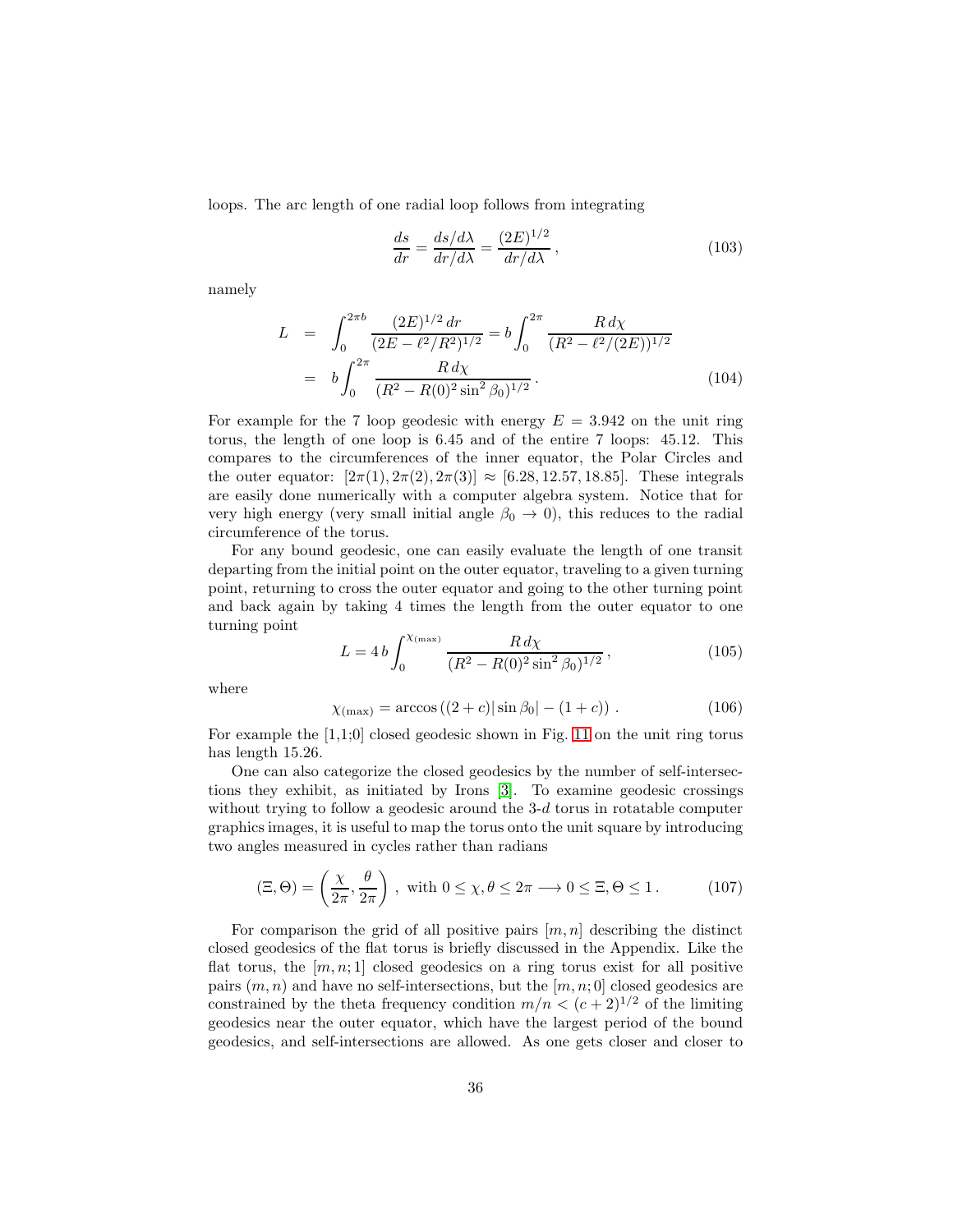loops. The arc length of one radial loop follows from integrating

$$
\frac{ds}{dr} = \frac{ds/d\lambda}{dr/d\lambda} = \frac{(2E)^{1/2}}{dr/d\lambda},
$$
\n(103)

namely

$$
L = \int_0^{2\pi b} \frac{(2E)^{1/2} dr}{(2E - \ell^2/R^2)^{1/2}} = b \int_0^{2\pi} \frac{R d\chi}{(R^2 - \ell^2/(2E))^{1/2}}
$$
  
=  $b \int_0^{2\pi} \frac{R d\chi}{(R^2 - R(0)^2 \sin^2 \beta_0)^{1/2}}.$  (104)

For example for the 7 loop geodesic with energy  $E = 3.942$  on the unit ring torus, the length of one loop is 6.45 and of the entire 7 loops: 45.12. This compares to the circumferences of the inner equator, the Polar Circles and the outer equator:  $[2\pi(1), 2\pi(2), 2\pi(3)] \approx [6.28, 12.57, 18.85]$ . These integrals are easily done numerically with a computer algebra system. Notice that for very high energy (very small initial angle  $\beta_0 \rightarrow 0$ ), this reduces to the radial circumference of the torus.

For any bound geodesic, one can easily evaluate the length of one transit departing from the initial point on the outer equator, traveling to a given turning point, returning to cross the outer equator and going to the other turning point and back again by taking 4 times the length from the outer equator to one turning point

$$
L = 4 b \int_0^{\chi_{\text{(max)}}} \frac{R \, d\chi}{(R^2 - R(0)^2 \sin^2 \beta_0)^{1/2}},\tag{105}
$$

where

$$
\chi_{(\text{max})} = \arccos((2+c)|\sin\beta_0| - (1+c)). \tag{106}
$$

For example the  $[1,1;0]$  closed geodesic shown in Fig. [11](#page-33-0) on the unit ring torus has length 15.26.

One can also categorize the closed geodesics by the number of self-intersections they exhibit, as initiated by Irons [\[3\]](#page-49-2). To examine geodesic crossings without trying to follow a geodesic around the 3-d torus in rotatable computer graphics images, it is useful to map the torus onto the unit square by introducing two angles measured in cycles rather than radians

$$
(\Xi, \Theta) = \left(\frac{\chi}{2\pi}, \frac{\theta}{2\pi}\right), \text{ with } 0 \le \chi, \theta \le 2\pi \longrightarrow 0 \le \Xi, \Theta \le 1. \tag{107}
$$

For comparison the grid of all positive pairs  $[m, n]$  describing the distinct closed geodesics of the flat torus is briefly discussed in the Appendix. Like the flat torus, the  $[m, n; 1]$  closed geodesics on a ring torus exist for all positive pairs  $(m, n)$  and have no self-intersections, but the  $[m, n; 0]$  closed geodesics are constrained by the theta frequency condition  $m/n < (c+2)^{1/2}$  of the limiting geodesics near the outer equator, which have the largest period of the bound geodesics, and self-intersections are allowed. As one gets closer and closer to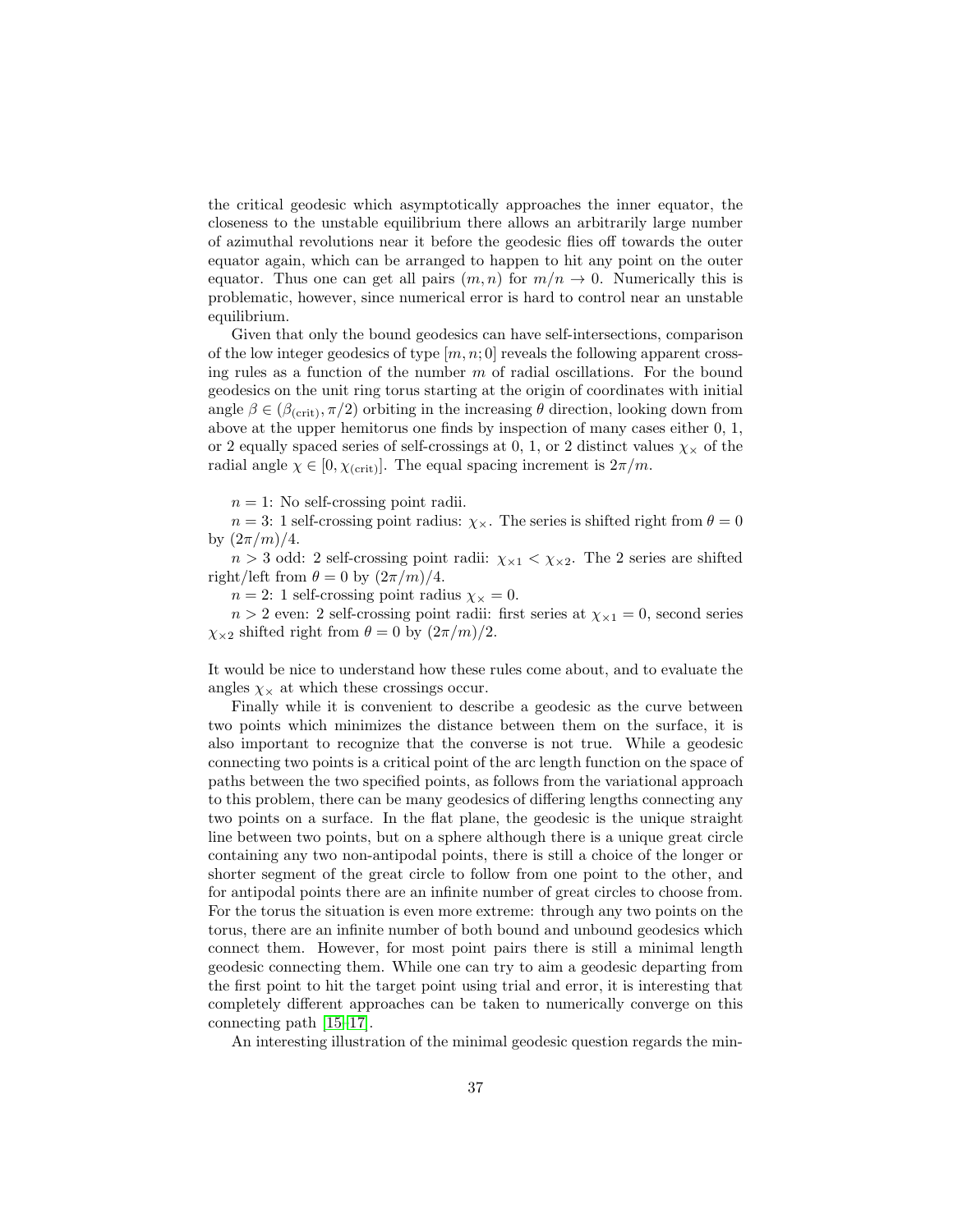the critical geodesic which asymptotically approaches the inner equator, the closeness to the unstable equilibrium there allows an arbitrarily large number of azimuthal revolutions near it before the geodesic flies off towards the outer equator again, which can be arranged to happen to hit any point on the outer equator. Thus one can get all pairs  $(m, n)$  for  $m/n \to 0$ . Numerically this is problematic, however, since numerical error is hard to control near an unstable equilibrium.

Given that only the bound geodesics can have self-intersections, comparison of the low integer geodesics of type  $[m, n; 0]$  reveals the following apparent crossing rules as a function of the number  $m$  of radial oscillations. For the bound geodesics on the unit ring torus starting at the origin of coordinates with initial angle  $\beta \in (\beta_{\text{(crit)}}, \pi/2)$  orbiting in the increasing  $\theta$  direction, looking down from above at the upper hemitorus one finds by inspection of many cases either 0, 1, or 2 equally spaced series of self-crossings at 0, 1, or 2 distinct values  $\chi_{\times}$  of the radial angle  $\chi \in [0, \chi_{\text{(crit)}}]$ . The equal spacing increment is  $2\pi/m$ .

 $n = 1$ : No self-crossing point radii.

 $n = 3$ : 1 self-crossing point radius:  $\chi_{\times}$ . The series is shifted right from  $\theta = 0$ by  $(2\pi/m)/4$ .

 $n > 3$  odd: 2 self-crossing point radii:  $\chi_{\times 1} < \chi_{\times 2}$ . The 2 series are shifted right/left from  $\theta = 0$  by  $\left(\frac{2\pi}{m}\right)/4$ .

 $n = 2$ : 1 self-crossing point radius  $\chi_{\times} = 0$ .

 $n > 2$  even: 2 self-crossing point radii: first series at  $\chi_{\times 1} = 0$ , second series  $\chi_{\times 2}$  shifted right from  $\theta = 0$  by  $(2\pi/m)/2$ .

It would be nice to understand how these rules come about, and to evaluate the angles  $\chi_{\times}$  at which these crossings occur.

Finally while it is convenient to describe a geodesic as the curve between two points which minimizes the distance between them on the surface, it is also important to recognize that the converse is not true. While a geodesic connecting two points is a critical point of the arc length function on the space of paths between the two specified points, as follows from the variational approach to this problem, there can be many geodesics of differing lengths connecting any two points on a surface. In the flat plane, the geodesic is the unique straight line between two points, but on a sphere although there is a unique great circle containing any two non-antipodal points, there is still a choice of the longer or shorter segment of the great circle to follow from one point to the other, and for antipodal points there are an infinite number of great circles to choose from. For the torus the situation is even more extreme: through any two points on the torus, there are an infinite number of both bound and unbound geodesics which connect them. However, for most point pairs there is still a minimal length geodesic connecting them. While one can try to aim a geodesic departing from the first point to hit the target point using trial and error, it is interesting that completely different approaches can be taken to numerically converge on this connecting path [\[15–](#page-50-2)[17\]](#page-50-3).

An interesting illustration of the minimal geodesic question regards the min-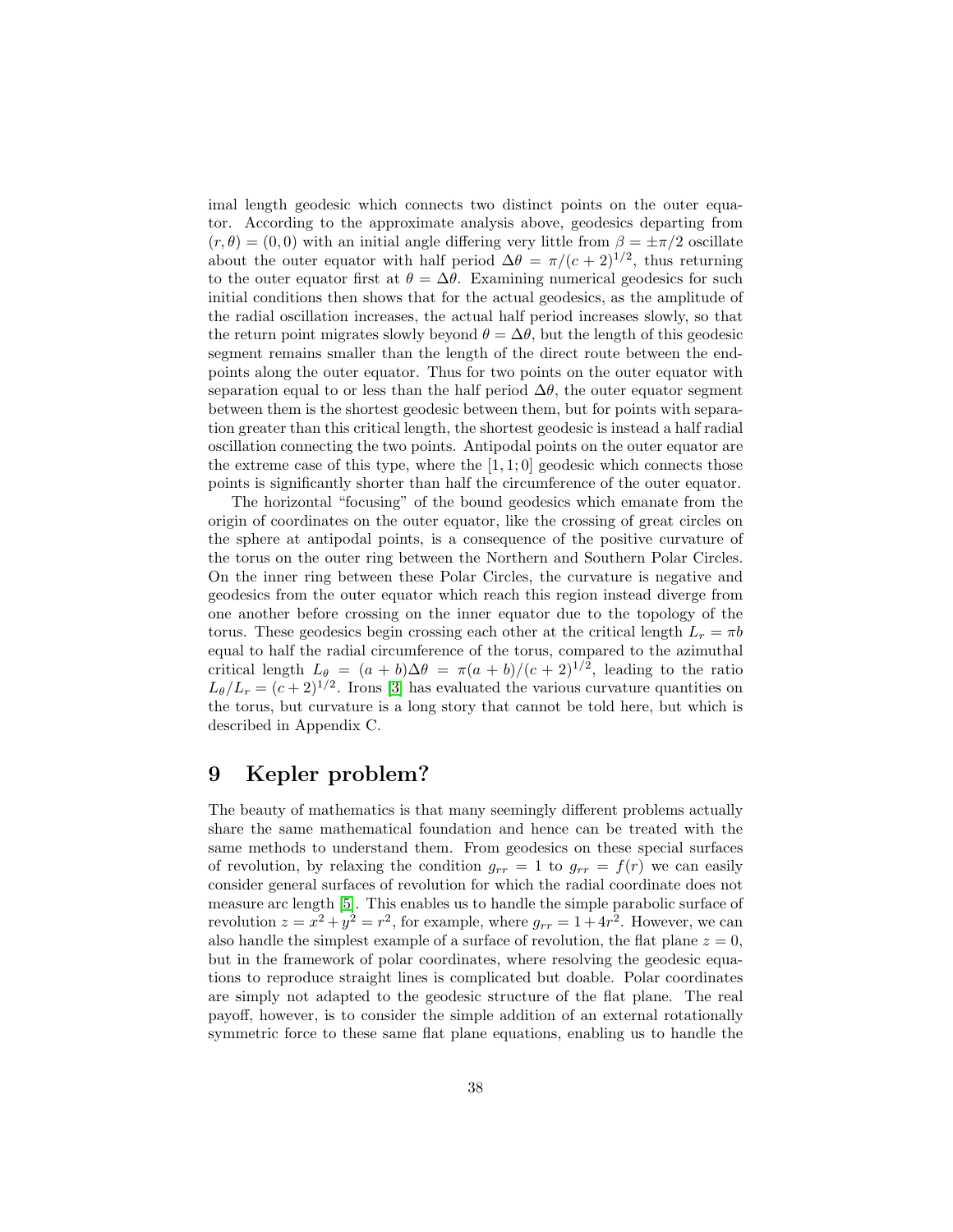imal length geodesic which connects two distinct points on the outer equator. According to the approximate analysis above, geodesics departing from  $(r, \theta) = (0, 0)$  with an initial angle differing very little from  $\beta = \pm \pi/2$  oscillate about the outer equator with half period  $\Delta\theta = \pi/(c+2)^{1/2}$ , thus returning to the outer equator first at  $\theta = \Delta \theta$ . Examining numerical geodesics for such initial conditions then shows that for the actual geodesics, as the amplitude of the radial oscillation increases, the actual half period increases slowly, so that the return point migrates slowly beyond  $\theta = \Delta\theta$ , but the length of this geodesic segment remains smaller than the length of the direct route between the endpoints along the outer equator. Thus for two points on the outer equator with separation equal to or less than the half period  $\Delta\theta$ , the outer equator segment between them is the shortest geodesic between them, but for points with separation greater than this critical length, the shortest geodesic is instead a half radial oscillation connecting the two points. Antipodal points on the outer equator are the extreme case of this type, where the  $[1, 1; 0]$  geodesic which connects those points is significantly shorter than half the circumference of the outer equator.

The horizontal "focusing" of the bound geodesics which emanate from the origin of coordinates on the outer equator, like the crossing of great circles on the sphere at antipodal points, is a consequence of the positive curvature of the torus on the outer ring between the Northern and Southern Polar Circles. On the inner ring between these Polar Circles, the curvature is negative and geodesics from the outer equator which reach this region instead diverge from one another before crossing on the inner equator due to the topology of the torus. These geodesics begin crossing each other at the critical length  $L_r = \pi b$ equal to half the radial circumference of the torus, compared to the azimuthal critical length  $L_{\theta} = (a + b)\Delta\theta = \pi(a + b)/(c + 2)^{1/2}$ , leading to the ratio  $L_{\theta}/L_r = (c+2)^{1/2}$ . Irons [\[3\]](#page-49-2) has evaluated the various curvature quantities on the torus, but curvature is a long story that cannot be told here, but which is described in Appendix C.

#### 9 Kepler problem?

The beauty of mathematics is that many seemingly different problems actually share the same mathematical foundation and hence can be treated with the same methods to understand them. From geodesics on these special surfaces of revolution, by relaxing the condition  $g_{rr} = 1$  to  $g_{rr} = f(r)$  we can easily consider general surfaces of revolution for which the radial coordinate does not measure arc length [\[5\]](#page-49-6). This enables us to handle the simple parabolic surface of revolution  $z = x^2 + y^2 = r^2$ , for example, where  $g_{rr} = 1 + 4r^2$ . However, we can also handle the simplest example of a surface of revolution, the flat plane  $z = 0$ , but in the framework of polar coordinates, where resolving the geodesic equations to reproduce straight lines is complicated but doable. Polar coordinates are simply not adapted to the geodesic structure of the flat plane. The real payoff, however, is to consider the simple addition of an external rotationally symmetric force to these same flat plane equations, enabling us to handle the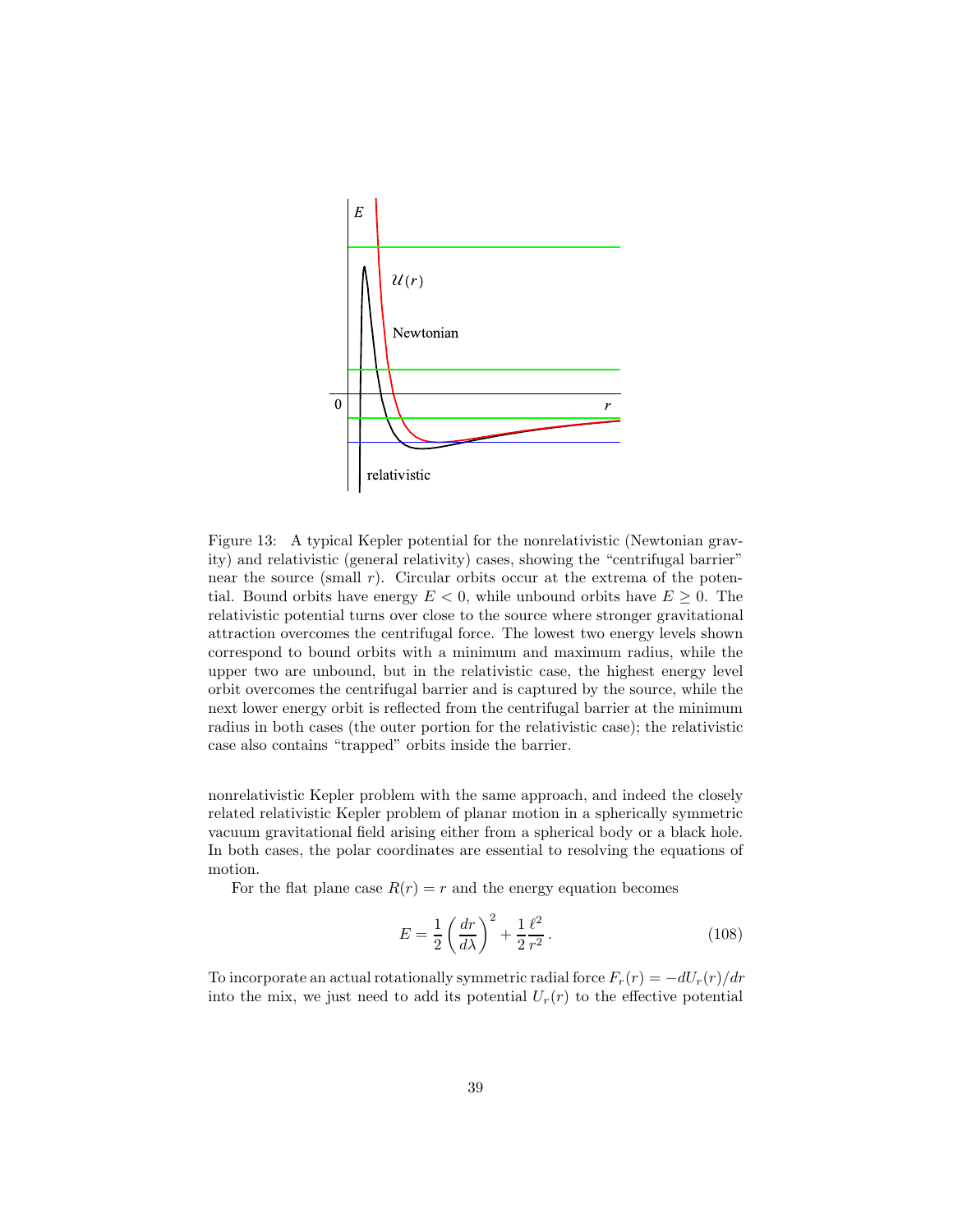

<span id="page-38-0"></span>Figure 13: A typical Kepler potential for the nonrelativistic (Newtonian gravity) and relativistic (general relativity) cases, showing the "centrifugal barrier" near the source (small  $r$ ). Circular orbits occur at the extrema of the potential. Bound orbits have energy  $E < 0$ , while unbound orbits have  $E \geq 0$ . The relativistic potential turns over close to the source where stronger gravitational attraction overcomes the centrifugal force. The lowest two energy levels shown correspond to bound orbits with a minimum and maximum radius, while the upper two are unbound, but in the relativistic case, the highest energy level orbit overcomes the centrifugal barrier and is captured by the source, while the next lower energy orbit is reflected from the centrifugal barrier at the minimum radius in both cases (the outer portion for the relativistic case); the relativistic case also contains "trapped" orbits inside the barrier.

nonrelativistic Kepler problem with the same approach, and indeed the closely related relativistic Kepler problem of planar motion in a spherically symmetric vacuum gravitational field arising either from a spherical body or a black hole. In both cases, the polar coordinates are essential to resolving the equations of motion.

For the flat plane case  $R(r) = r$  and the energy equation becomes

$$
E = \frac{1}{2} \left( \frac{dr}{d\lambda} \right)^2 + \frac{1}{2} \frac{\ell^2}{r^2}.
$$
 (108)

To incorporate an actual rotationally symmetric radial force  $F_r(r) = -dU_r(r)/dr$ into the mix, we just need to add its potential  $U_r(r)$  to the effective potential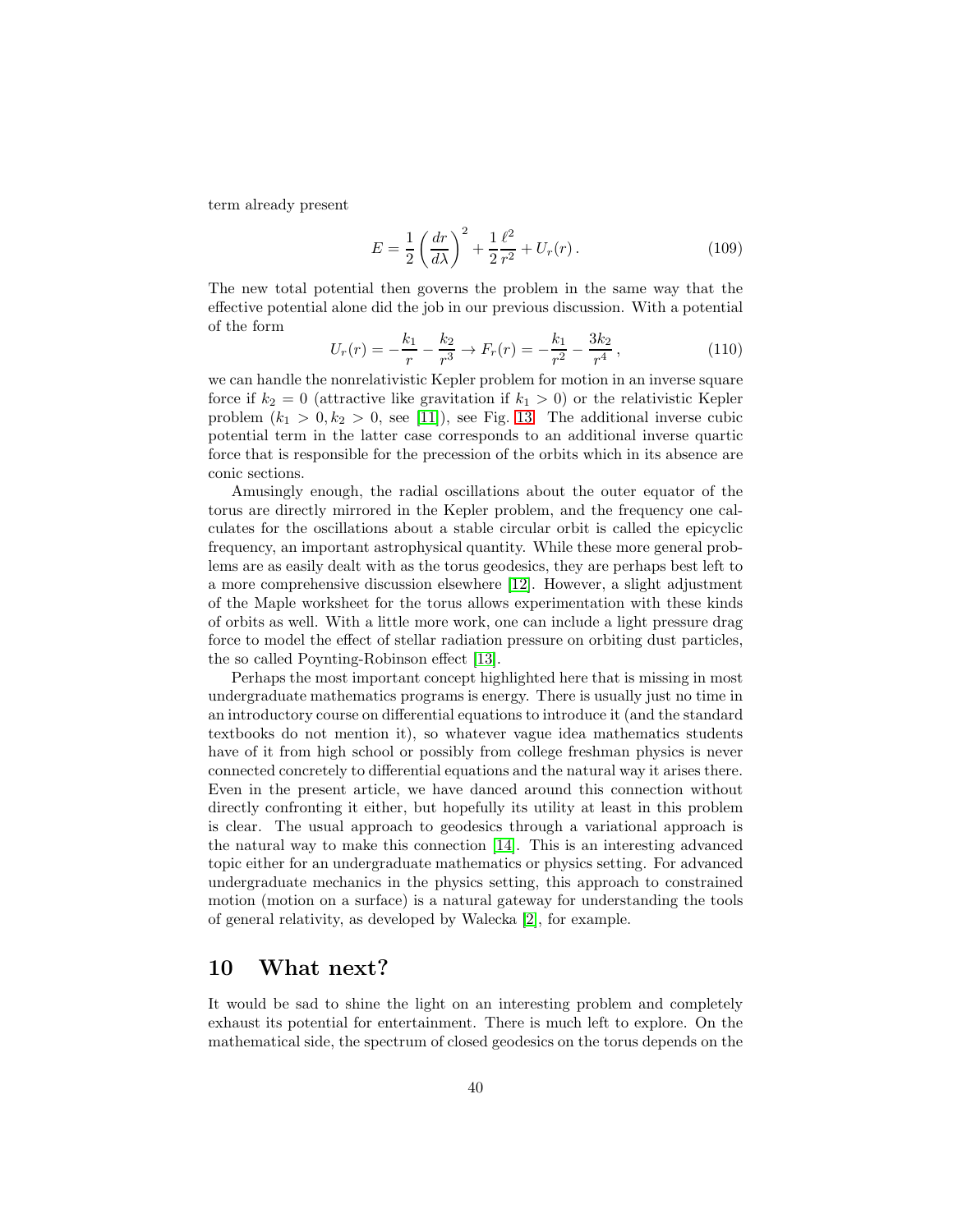term already present

$$
E = \frac{1}{2} \left( \frac{dr}{d\lambda} \right)^2 + \frac{1}{2} \frac{\ell^2}{r^2} + U_r(r) \,. \tag{109}
$$

The new total potential then governs the problem in the same way that the effective potential alone did the job in our previous discussion. With a potential of the form

$$
U_r(r) = -\frac{k_1}{r} - \frac{k_2}{r^3} \to F_r(r) = -\frac{k_1}{r^2} - \frac{3k_2}{r^4} \,,\tag{110}
$$

we can handle the nonrelativistic Kepler problem for motion in an inverse square force if  $k_2 = 0$  (attractive like gravitation if  $k_1 > 0$ ) or the relativistic Kepler problem  $(k_1 > 0, k_2 > 0, \text{ see } [11]),$  $(k_1 > 0, k_2 > 0, \text{ see } [11]),$  $(k_1 > 0, k_2 > 0, \text{ see } [11]),$  see Fig. [13.](#page-38-0) The additional inverse cubic potential term in the latter case corresponds to an additional inverse quartic force that is responsible for the precession of the orbits which in its absence are conic sections.

Amusingly enough, the radial oscillations about the outer equator of the torus are directly mirrored in the Kepler problem, and the frequency one calculates for the oscillations about a stable circular orbit is called the epicyclic frequency, an important astrophysical quantity. While these more general problems are as easily dealt with as the torus geodesics, they are perhaps best left to a more comprehensive discussion elsewhere [\[12\]](#page-50-5). However, a slight adjustment of the Maple worksheet for the torus allows experimentation with these kinds of orbits as well. With a little more work, one can include a light pressure drag force to model the effect of stellar radiation pressure on orbiting dust particles, the so called Poynting-Robinson effect [\[13\]](#page-50-6).

Perhaps the most important concept highlighted here that is missing in most undergraduate mathematics programs is energy. There is usually just no time in an introductory course on differential equations to introduce it (and the standard textbooks do not mention it), so whatever vague idea mathematics students have of it from high school or possibly from college freshman physics is never connected concretely to differential equations and the natural way it arises there. Even in the present article, we have danced around this connection without directly confronting it either, but hopefully its utility at least in this problem is clear. The usual approach to geodesics through a variational approach is the natural way to make this connection [\[14\]](#page-50-7). This is an interesting advanced topic either for an undergraduate mathematics or physics setting. For advanced undergraduate mechanics in the physics setting, this approach to constrained motion (motion on a surface) is a natural gateway for understanding the tools of general relativity, as developed by Walecka [\[2\]](#page-49-1), for example.

#### 10 What next?

It would be sad to shine the light on an interesting problem and completely exhaust its potential for entertainment. There is much left to explore. On the mathematical side, the spectrum of closed geodesics on the torus depends on the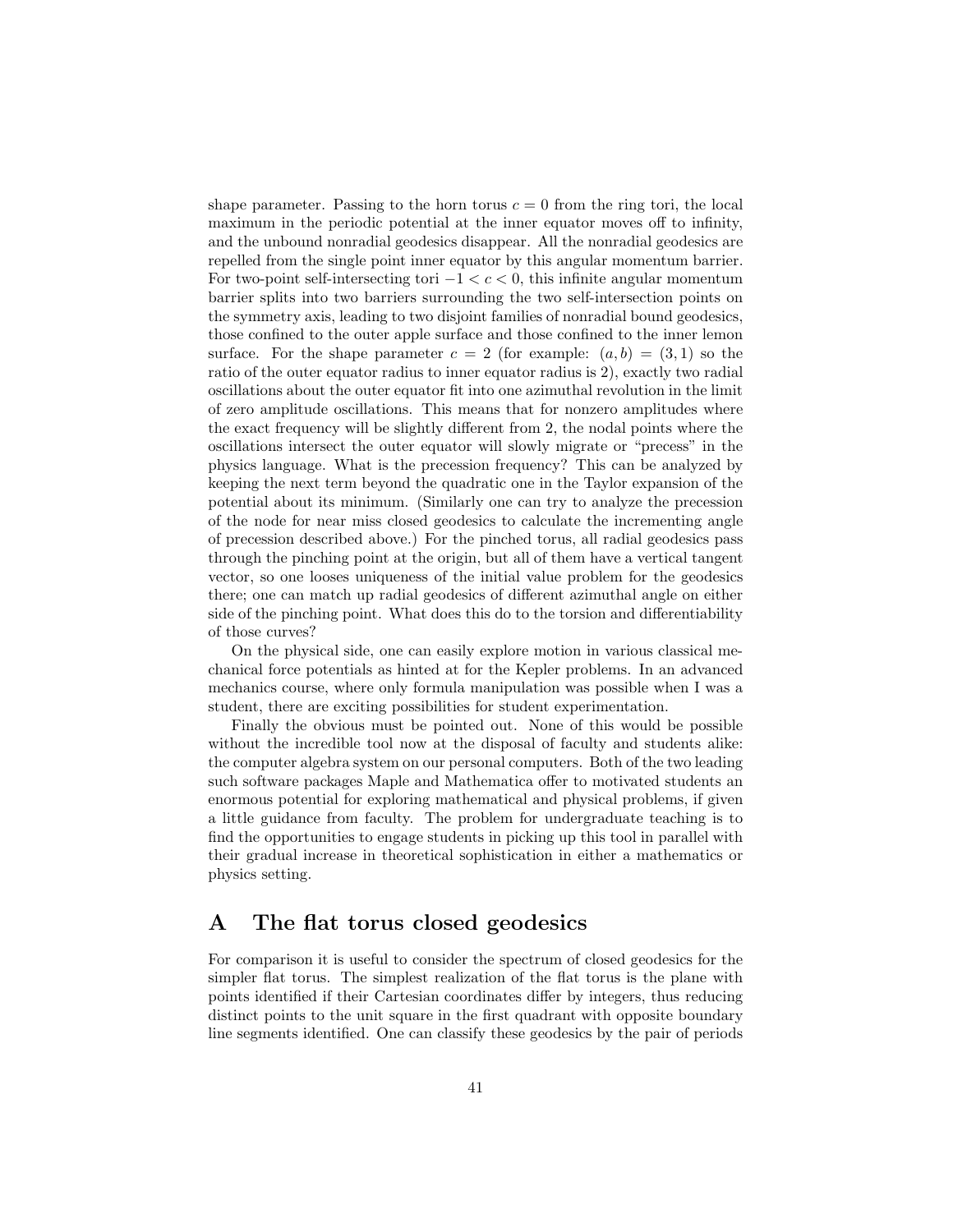shape parameter. Passing to the horn torus  $c = 0$  from the ring tori, the local maximum in the periodic potential at the inner equator moves off to infinity, and the unbound nonradial geodesics disappear. All the nonradial geodesics are repelled from the single point inner equator by this angular momentum barrier. For two-point self-intersecting tori  $-1 < c < 0$ , this infinite angular momentum barrier splits into two barriers surrounding the two self-intersection points on the symmetry axis, leading to two disjoint families of nonradial bound geodesics, those confined to the outer apple surface and those confined to the inner lemon surface. For the shape parameter  $c = 2$  (for example:  $(a, b) = (3, 1)$  so the ratio of the outer equator radius to inner equator radius is 2), exactly two radial oscillations about the outer equator fit into one azimuthal revolution in the limit of zero amplitude oscillations. This means that for nonzero amplitudes where the exact frequency will be slightly different from 2, the nodal points where the oscillations intersect the outer equator will slowly migrate or "precess" in the physics language. What is the precession frequency? This can be analyzed by keeping the next term beyond the quadratic one in the Taylor expansion of the potential about its minimum. (Similarly one can try to analyze the precession of the node for near miss closed geodesics to calculate the incrementing angle of precession described above.) For the pinched torus, all radial geodesics pass through the pinching point at the origin, but all of them have a vertical tangent vector, so one looses uniqueness of the initial value problem for the geodesics there; one can match up radial geodesics of different azimuthal angle on either side of the pinching point. What does this do to the torsion and differentiability of those curves?

On the physical side, one can easily explore motion in various classical mechanical force potentials as hinted at for the Kepler problems. In an advanced mechanics course, where only formula manipulation was possible when I was a student, there are exciting possibilities for student experimentation.

Finally the obvious must be pointed out. None of this would be possible without the incredible tool now at the disposal of faculty and students alike: the computer algebra system on our personal computers. Both of the two leading such software packages Maple and Mathematica offer to motivated students an enormous potential for exploring mathematical and physical problems, if given a little guidance from faculty. The problem for undergraduate teaching is to find the opportunities to engage students in picking up this tool in parallel with their gradual increase in theoretical sophistication in either a mathematics or physics setting.

### A The flat torus closed geodesics

For comparison it is useful to consider the spectrum of closed geodesics for the simpler flat torus. The simplest realization of the flat torus is the plane with points identified if their Cartesian coordinates differ by integers, thus reducing distinct points to the unit square in the first quadrant with opposite boundary line segments identified. One can classify these geodesics by the pair of periods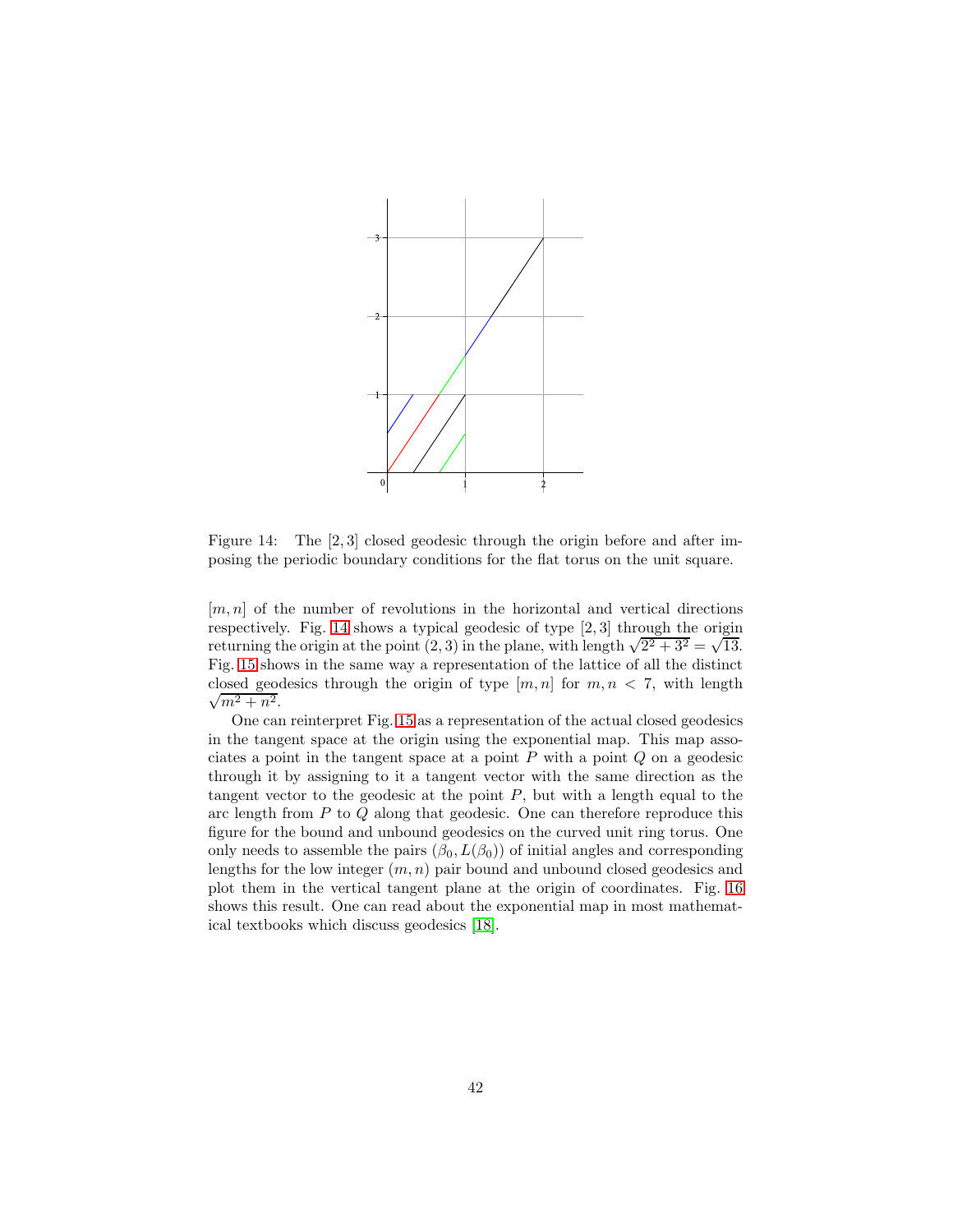

<span id="page-41-0"></span>Figure 14: The [2, 3] closed geodesic through the origin before and after imposing the periodic boundary conditions for the flat torus on the unit square.

 $[m, n]$  of the number of revolutions in the horizontal and vertical directions respectively. Fig. [14](#page-41-0) shows a typical geodesic of type [2, 3] through the origin returning the origin at the point  $(2,3)$  in the plane, with length  $\sqrt{2^2 + 3^2} = \sqrt{13}$ . Fig. [15](#page-42-0) shows in the same way a representation of the lattice of all the distinct  $\sqrt{m^2+n^2}$ . closed geodesics through the origin of type  $[m, n]$  for  $m, n < 7$ , with length

One can reinterpret Fig. [15](#page-42-0) as a representation of the actual closed geodesics in the tangent space at the origin using the exponential map. This map associates a point in the tangent space at a point  $P$  with a point  $Q$  on a geodesic through it by assigning to it a tangent vector with the same direction as the tangent vector to the geodesic at the point  $P$ , but with a length equal to the arc length from P to Q along that geodesic. One can therefore reproduce this figure for the bound and unbound geodesics on the curved unit ring torus. One only needs to assemble the pairs  $(\beta_0, L(\beta_0))$  of initial angles and corresponding lengths for the low integer  $(m, n)$  pair bound and unbound closed geodesics and plot them in the vertical tangent plane at the origin of coordinates. Fig. [16](#page-42-1) shows this result. One can read about the exponential map in most mathematical textbooks which discuss geodesics [\[18\]](#page-51-0).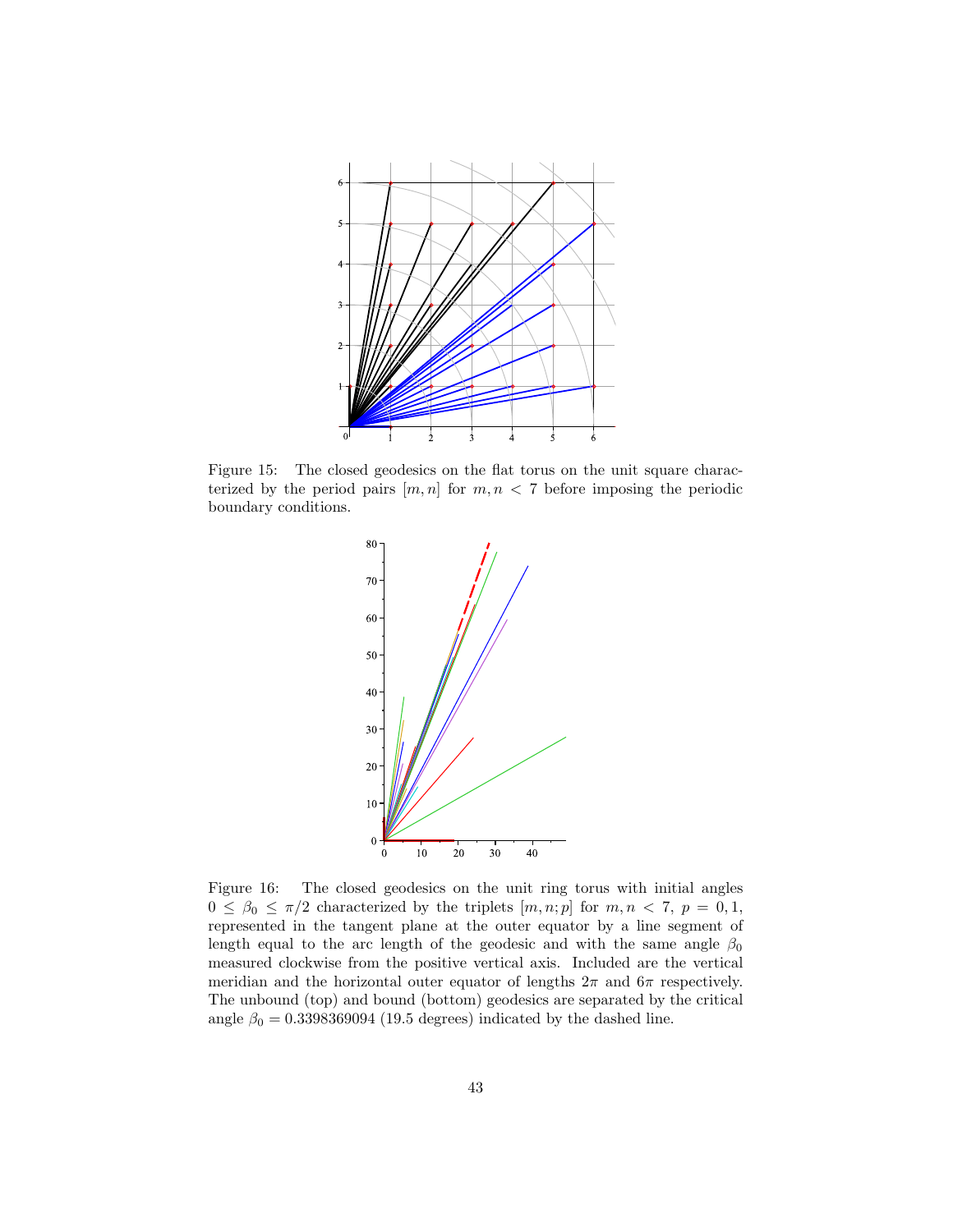

Figure 15: The closed geodesics on the flat torus on the unit square characterized by the period pairs  $[m, n]$  for  $m, n < 7$  before imposing the periodic boundary conditions.

<span id="page-42-0"></span>

<span id="page-42-1"></span>Figure 16: The closed geodesics on the unit ring torus with initial angles  $0 \leq \beta_0 \leq \pi/2$  characterized by the triplets  $[m, n; p]$  for  $m, n < 7, p = 0, 1,$ represented in the tangent plane at the outer equator by a line segment of length equal to the arc length of the geodesic and with the same angle  $\beta_0$ measured clockwise from the positive vertical axis. Included are the vertical meridian and the horizontal outer equator of lengths  $2\pi$  and  $6\pi$  respectively. The unbound (top) and bound (bottom) geodesics are separated by the critical angle  $\beta_0 = 0.3398369094$  (19.5 degrees) indicated by the dashed line.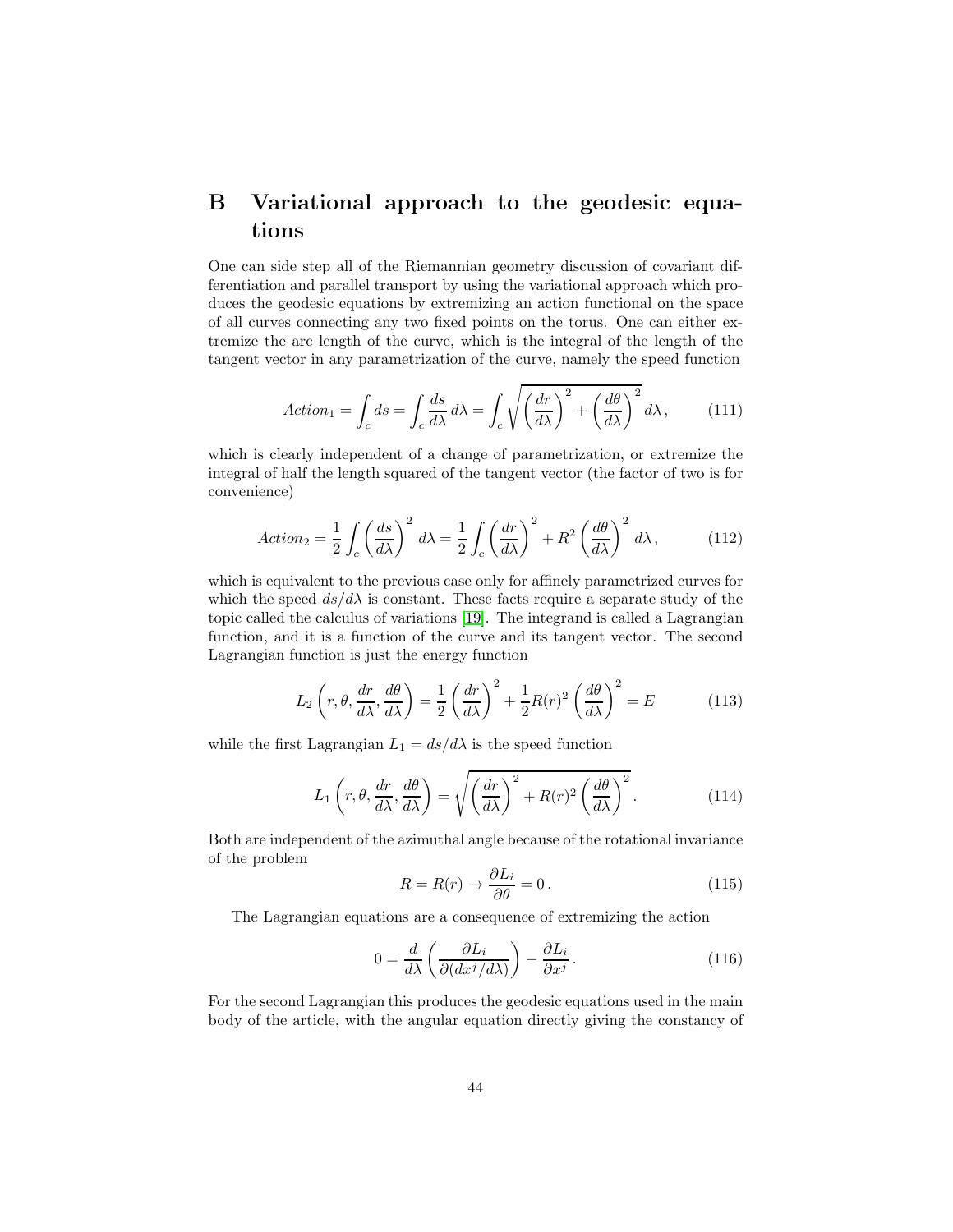## B Variational approach to the geodesic equations

One can side step all of the Riemannian geometry discussion of covariant differentiation and parallel transport by using the variational approach which produces the geodesic equations by extremizing an action functional on the space of all curves connecting any two fixed points on the torus. One can either extremize the arc length of the curve, which is the integral of the length of the tangent vector in any parametrization of the curve, namely the speed function

$$
Action_1 = \int_c ds = \int_c \frac{ds}{d\lambda} d\lambda = \int_c \sqrt{\left(\frac{dr}{d\lambda}\right)^2 + \left(\frac{d\theta}{d\lambda}\right)^2} d\lambda, \quad (111)
$$

which is clearly independent of a change of parametrization, or extremize the integral of half the length squared of the tangent vector (the factor of two is for convenience)

$$
Action_2 = \frac{1}{2} \int_c \left(\frac{ds}{d\lambda}\right)^2 d\lambda = \frac{1}{2} \int_c \left(\frac{dr}{d\lambda}\right)^2 + R^2 \left(\frac{d\theta}{d\lambda}\right)^2 d\lambda, \tag{112}
$$

which is equivalent to the previous case only for affinely parametrized curves for which the speed  $ds/d\lambda$  is constant. These facts require a separate study of the topic called the calculus of variations [\[19\]](#page-51-1). The integrand is called a Lagrangian function, and it is a function of the curve and its tangent vector. The second Lagrangian function is just the energy function

$$
L_2\left(r,\theta,\frac{dr}{d\lambda},\frac{d\theta}{d\lambda}\right) = \frac{1}{2}\left(\frac{dr}{d\lambda}\right)^2 + \frac{1}{2}R(r)^2\left(\frac{d\theta}{d\lambda}\right)^2 = E\tag{113}
$$

while the first Lagrangian  $L_1 = ds/d\lambda$  is the speed function

$$
L_1\left(r,\theta,\frac{dr}{d\lambda},\frac{d\theta}{d\lambda}\right) = \sqrt{\left(\frac{dr}{d\lambda}\right)^2 + R(r)^2 \left(\frac{d\theta}{d\lambda}\right)^2}.
$$
 (114)

Both are independent of the azimuthal angle because of the rotational invariance of the problem

$$
R = R(r) \to \frac{\partial L_i}{\partial \theta} = 0. \tag{115}
$$

The Lagrangian equations are a consequence of extremizing the action

$$
0 = \frac{d}{d\lambda} \left( \frac{\partial L_i}{\partial (dx^j/d\lambda)} \right) - \frac{\partial L_i}{\partial x^j} \,. \tag{116}
$$

For the second Lagrangian this produces the geodesic equations used in the main body of the article, with the angular equation directly giving the constancy of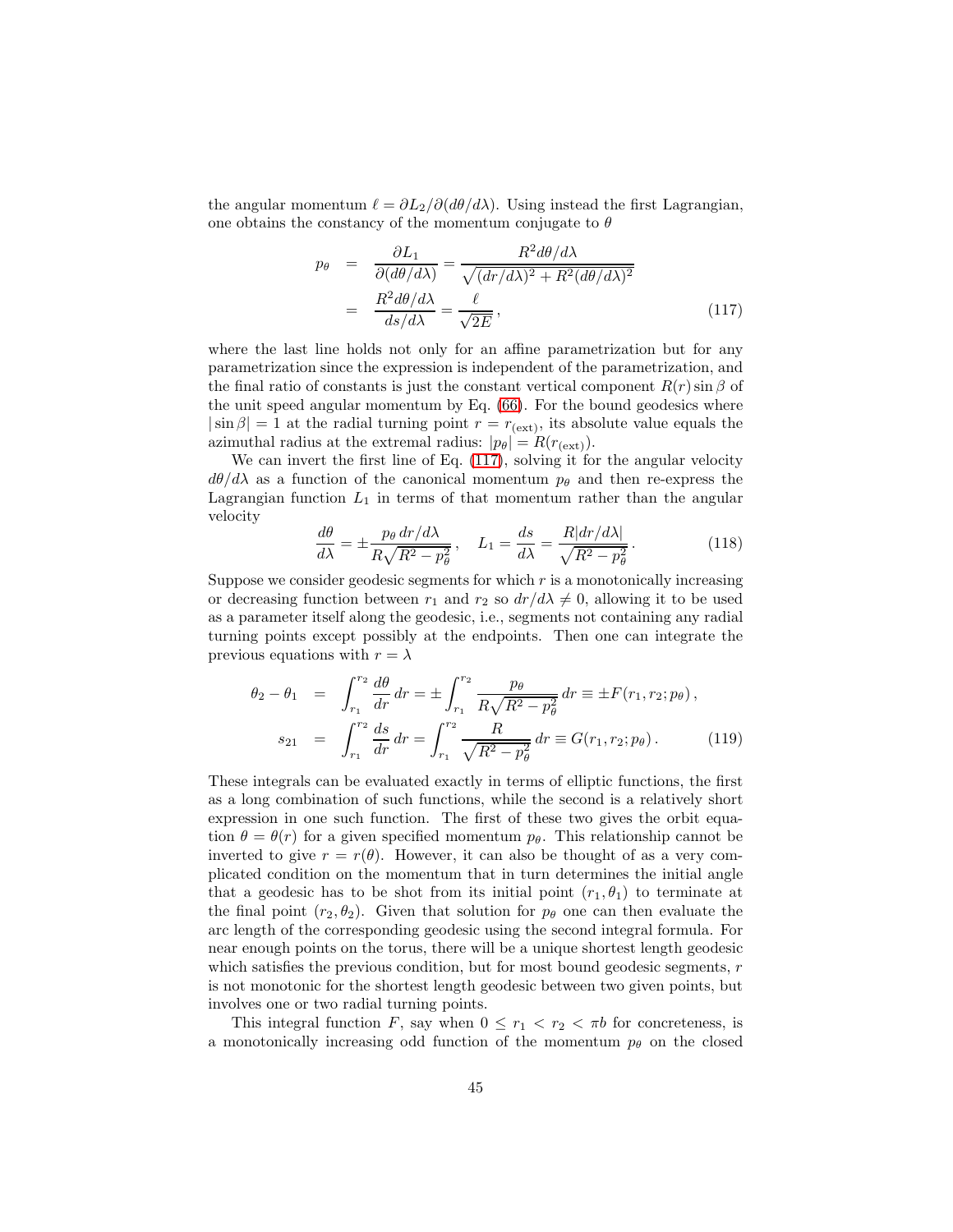the angular momentum  $\ell = \partial L_2/\partial (d\theta/d\lambda)$ . Using instead the first Lagrangian, one obtains the constancy of the momentum conjugate to  $\theta$ 

<span id="page-44-0"></span>
$$
p_{\theta} = \frac{\partial L_1}{\partial (d\theta/d\lambda)} = \frac{R^2 d\theta/d\lambda}{\sqrt{(dr/d\lambda)^2 + R^2 (d\theta/d\lambda)^2}}
$$

$$
= \frac{R^2 d\theta/d\lambda}{ds/d\lambda} = \frac{\ell}{\sqrt{2E}}, \qquad (117)
$$

where the last line holds not only for an affine parametrization but for any parametrization since the expression is independent of the parametrization, and the final ratio of constants is just the constant vertical component  $R(r) \sin \beta$  of the unit speed angular momentum by Eq. [\(66\)](#page-19-1). For the bound geodesics where  $|\sin \beta| = 1$  at the radial turning point  $r = r_{\text{(ext)}}$ , its absolute value equals the azimuthal radius at the extremal radius:  $|p_\theta| = R(r_{\text{(ext)}})$ .

We can invert the first line of Eq. [\(117\)](#page-44-0), solving it for the angular velocity  $d\theta/d\lambda$  as a function of the canonical momentum  $p_{\theta}$  and then re-express the Lagrangian function  $L_1$  in terms of that momentum rather than the angular velocity

$$
\frac{d\theta}{d\lambda} = \pm \frac{p_{\theta} dr/d\lambda}{R\sqrt{R^2 - p_{\theta}^2}}, \quad L_1 = \frac{ds}{d\lambda} = \frac{R|dr/d\lambda|}{\sqrt{R^2 - p_{\theta}^2}}.
$$
(118)

Suppose we consider geodesic segments for which  $r$  is a monotonically increasing or decreasing function between  $r_1$  and  $r_2$  so  $dr/d\lambda \neq 0$ , allowing it to be used as a parameter itself along the geodesic, i.e., segments not containing any radial turning points except possibly at the endpoints. Then one can integrate the previous equations with  $r = \lambda$ 

$$
\theta_2 - \theta_1 = \int_{r_1}^{r_2} \frac{d\theta}{dr} dr = \pm \int_{r_1}^{r_2} \frac{p_\theta}{R\sqrt{R^2 - p_\theta^2}} dr \equiv \pm F(r_1, r_2; p_\theta),
$$
  

$$
s_{21} = \int_{r_1}^{r_2} \frac{ds}{dr} dr = \int_{r_1}^{r_2} \frac{R}{\sqrt{R^2 - p_\theta^2}} dr \equiv G(r_1, r_2; p_\theta).
$$
 (119)

These integrals can be evaluated exactly in terms of elliptic functions, the first as a long combination of such functions, while the second is a relatively short expression in one such function. The first of these two gives the orbit equation  $\theta = \theta(r)$  for a given specified momentum  $p_{\theta}$ . This relationship cannot be inverted to give  $r = r(\theta)$ . However, it can also be thought of as a very complicated condition on the momentum that in turn determines the initial angle that a geodesic has to be shot from its initial point  $(r_1, \theta_1)$  to terminate at the final point  $(r_2, \theta_2)$ . Given that solution for  $p_\theta$  one can then evaluate the arc length of the corresponding geodesic using the second integral formula. For near enough points on the torus, there will be a unique shortest length geodesic which satisfies the previous condition, but for most bound geodesic segments,  $r$ is not monotonic for the shortest length geodesic between two given points, but involves one or two radial turning points.

This integral function F, say when  $0 \leq r_1 < r_2 < \pi b$  for concreteness, is a monotonically increasing odd function of the momentum  $p_{\theta}$  on the closed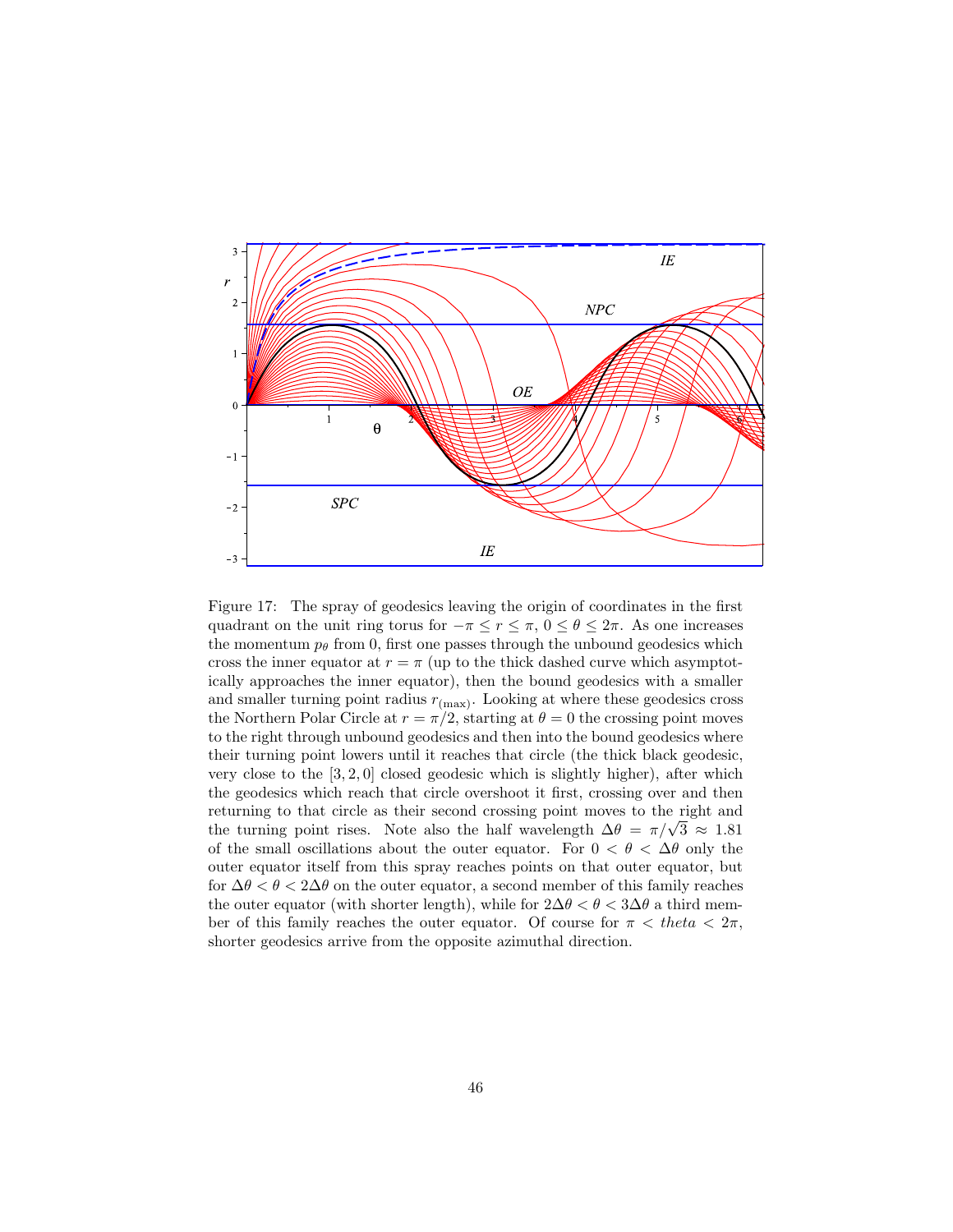

<span id="page-45-0"></span>Figure 17: The spray of geodesics leaving the origin of coordinates in the first quadrant on the unit ring torus for  $-\pi \le r \le \pi$ ,  $0 \le \theta \le 2\pi$ . As one increases the momentum  $p_{\theta}$  from 0, first one passes through the unbound geodesics which cross the inner equator at  $r = \pi$  (up to the thick dashed curve which asymptotically approaches the inner equator), then the bound geodesics with a smaller and smaller turning point radius  $r_{\text{(max)}}$ . Looking at where these geodesics cross the Northern Polar Circle at  $r = \pi/2$ , starting at  $\theta = 0$  the crossing point moves to the right through unbound geodesics and then into the bound geodesics where their turning point lowers until it reaches that circle (the thick black geodesic, very close to the  $[3, 2, 0]$  closed geodesic which is slightly higher), after which the geodesics which reach that circle overshoot it first, crossing over and then returning to that circle as their second crossing point moves to the right and the turning point rises. Note also the half wavelength  $\Delta\theta = \pi/\sqrt{3} \approx 1.81$ of the small oscillations about the outer equator. For  $0 < \theta < \Delta\theta$  only the outer equator itself from this spray reaches points on that outer equator, but for  $\Delta\theta < \theta < 2\Delta\theta$  on the outer equator, a second member of this family reaches the outer equator (with shorter length), while for  $2\Delta\theta < \theta < 3\Delta\theta$  a third member of this family reaches the outer equator. Of course for  $\pi <$  theta  $\lt 2\pi$ , shorter geodesics arrive from the opposite azimuthal direction.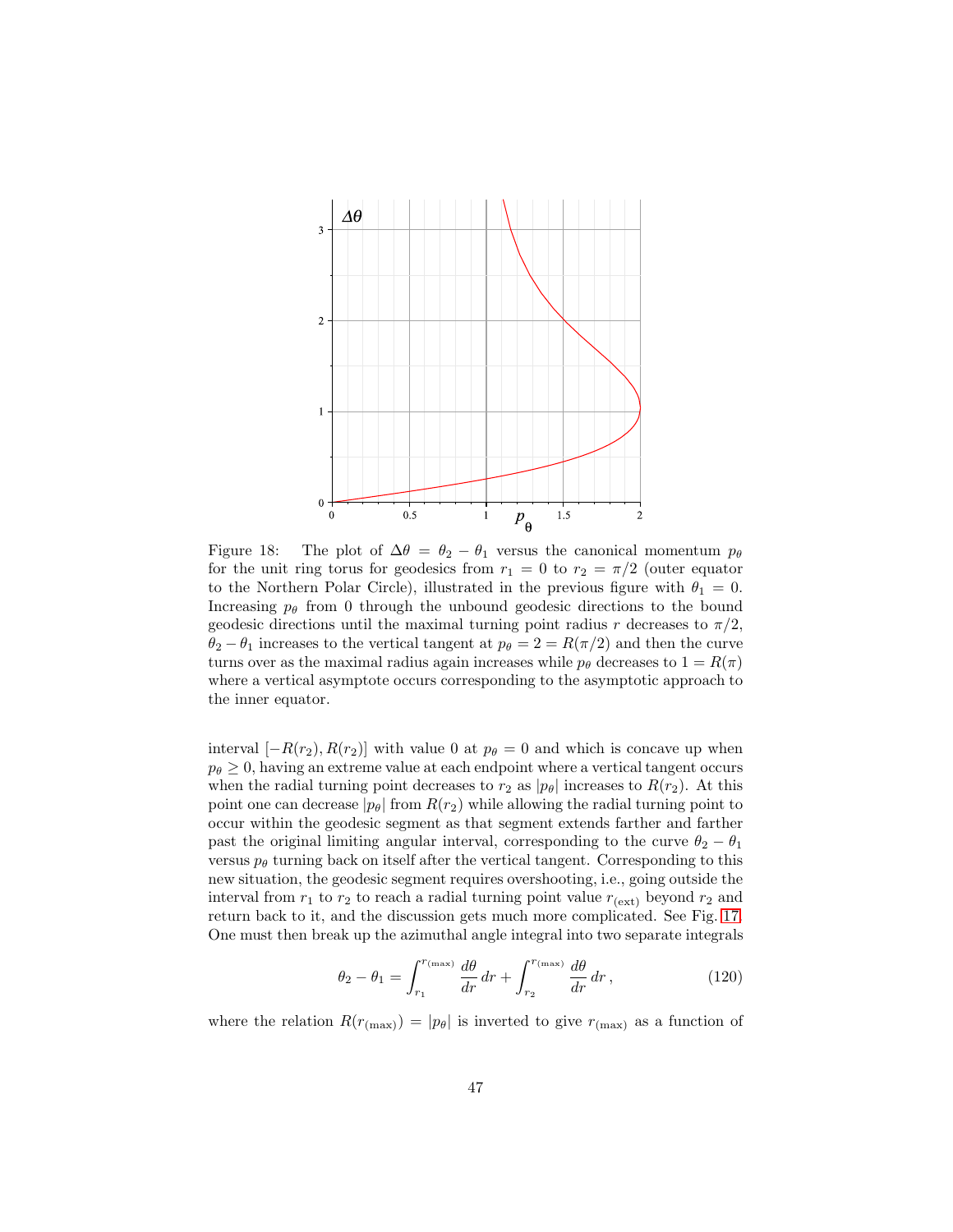

<span id="page-46-0"></span>Figure 18: The plot of  $\Delta\theta = \theta_2 - \theta_1$  versus the canonical momentum  $p_\theta$ for the unit ring torus for geodesics from  $r_1 = 0$  to  $r_2 = \pi/2$  (outer equator to the Northern Polar Circle), illustrated in the previous figure with  $\theta_1 = 0$ . Increasing  $p_{\theta}$  from 0 through the unbound geodesic directions to the bound geodesic directions until the maximal turning point radius r decreases to  $\pi/2$ ,  $\theta_2 - \theta_1$  increases to the vertical tangent at  $p_\theta = 2 = R(\pi/2)$  and then the curve turns over as the maximal radius again increases while  $p_\theta$  decreases to  $1 = R(\pi)$ where a vertical asymptote occurs corresponding to the asymptotic approach to the inner equator.

interval  $[-R(r_2), R(r_2)]$  with value 0 at  $p_\theta = 0$  and which is concave up when  $p_{\theta} \geq 0$ , having an extreme value at each endpoint where a vertical tangent occurs when the radial turning point decreases to  $r_2$  as  $|p_\theta|$  increases to  $R(r_2)$ . At this point one can decrease  $|p_\theta|$  from  $R(r_2)$  while allowing the radial turning point to occur within the geodesic segment as that segment extends farther and farther past the original limiting angular interval, corresponding to the curve  $\theta_2 - \theta_1$ versus  $p_\theta$  turning back on itself after the vertical tangent. Corresponding to this new situation, the geodesic segment requires overshooting, i.e., going outside the interval from  $r_1$  to  $r_2$  to reach a radial turning point value  $r_{\text{(ext)}}$  beyond  $r_2$  and return back to it, and the discussion gets much more complicated. See Fig. [17.](#page-45-0) One must then break up the azimuthal angle integral into two separate integrals

$$
\theta_2 - \theta_1 = \int_{r_1}^{r_{\text{(max)}}} \frac{d\theta}{dr} dr + \int_{r_2}^{r_{\text{(max)}}} \frac{d\theta}{dr} dr , \qquad (120)
$$

where the relation  $R(r_{(\text{max})}) = |p_{\theta}|$  is inverted to give  $r_{(\text{max})}$  as a function of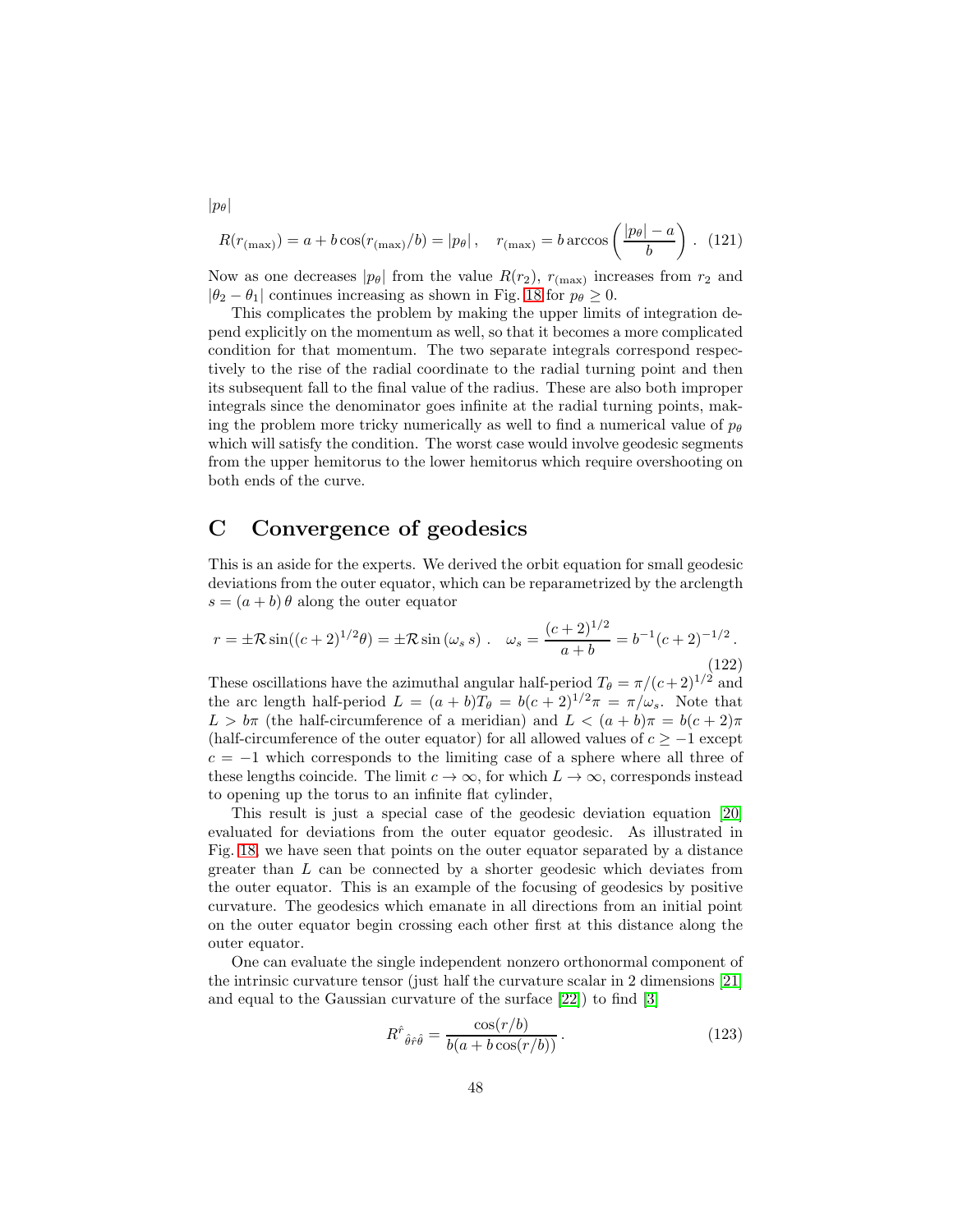$$
R(r_{(\text{max})}) = a + b \cos(r_{(\text{max})}/b) = |p_{\theta}|, \quad r_{(\text{max})} = b \arccos\left(\frac{|p_{\theta}| - a}{b}\right). \tag{121}
$$

Now as one decreases  $|p_\theta|$  from the value  $R(r_2)$ ,  $r_{(\text{max})}$  increases from  $r_2$  and  $|\theta_2 - \theta_1|$  continues increasing as shown in Fig. [18](#page-46-0) for  $p_\theta \geq 0$ .

This complicates the problem by making the upper limits of integration depend explicitly on the momentum as well, so that it becomes a more complicated condition for that momentum. The two separate integrals correspond respectively to the rise of the radial coordinate to the radial turning point and then its subsequent fall to the final value of the radius. These are also both improper integrals since the denominator goes infinite at the radial turning points, making the problem more tricky numerically as well to find a numerical value of  $p_{\theta}$ which will satisfy the condition. The worst case would involve geodesic segments from the upper hemitorus to the lower hemitorus which require overshooting on both ends of the curve.

### C Convergence of geodesics

This is an aside for the experts. We derived the orbit equation for small geodesic deviations from the outer equator, which can be reparametrized by the arclength  $s = (a + b) \theta$  along the outer equator

<span id="page-47-0"></span>
$$
r = \pm \mathcal{R}\sin((c+2)^{1/2}\theta) = \pm \mathcal{R}\sin(\omega_s s) \quad \omega_s = \frac{(c+2)^{1/2}}{a+b} = b^{-1}(c+2)^{-1/2} \,. \tag{122}
$$

These oscillations have the azimuthal angular half-period  $T_{\theta} = \pi/(c+2)^{1/2}$  and the arc length half-period  $L = (a + b)T_{\theta} = b(c + 2)^{1/2}\pi = \pi/\omega_s$ . Note that  $L > b\pi$  (the half-circumference of a meridian) and  $L < (a + b)\pi = b(c + 2)\pi$ (half-circumference of the outer equator) for all allowed values of  $c \ge -1$  except  $c = -1$  which corresponds to the limiting case of a sphere where all three of these lengths coincide. The limit  $c \to \infty$ , for which  $L \to \infty$ , corresponds instead to opening up the torus to an infinite flat cylinder,

This result is just a special case of the geodesic deviation equation [\[20\]](#page-51-2) evaluated for deviations from the outer equator geodesic. As illustrated in Fig. [18,](#page-46-0) we have seen that points on the outer equator separated by a distance greater than L can be connected by a shorter geodesic which deviates from the outer equator. This is an example of the focusing of geodesics by positive curvature. The geodesics which emanate in all directions from an initial point on the outer equator begin crossing each other first at this distance along the outer equator.

One can evaluate the single independent nonzero orthonormal component of the intrinsic curvature tensor (just half the curvature scalar in 2 dimensions [\[21\]](#page-51-3) and equal to the Gaussian curvature of the surface [\[22\]](#page-51-4)) to find [\[3\]](#page-49-2)

$$
R^{\hat{r}}{}_{\hat{\theta}\hat{r}\hat{\theta}} = \frac{\cos(r/b)}{b(a + b\cos(r/b))}.
$$
 (123)

 $|p_\theta|$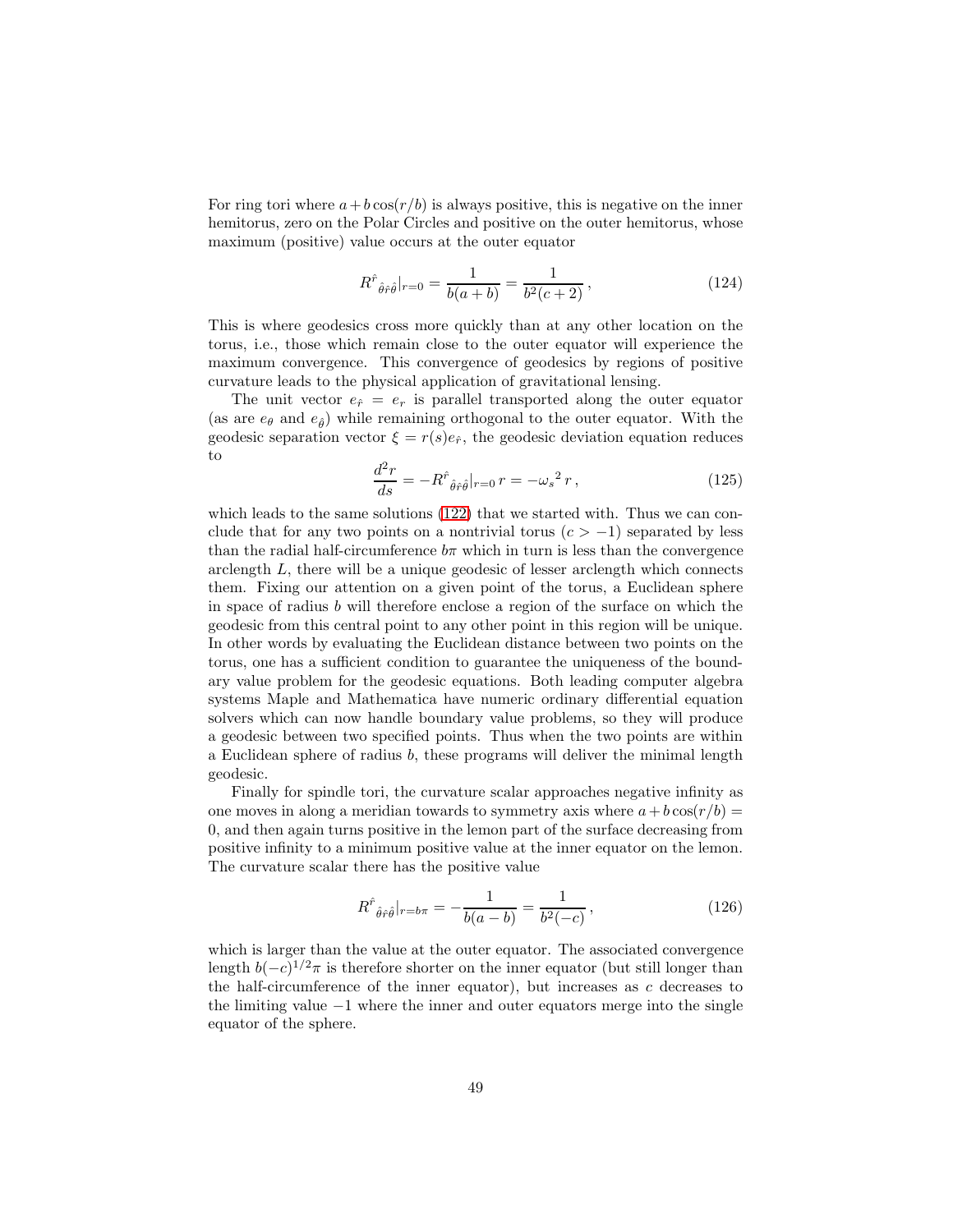For ring tori where  $a+b\cos(r/b)$  is always positive, this is negative on the inner hemitorus, zero on the Polar Circles and positive on the outer hemitorus, whose maximum (positive) value occurs at the outer equator

$$
R^{\hat{r}}{}_{\hat{\theta}\hat{r}\hat{\theta}}|_{r=0} = \frac{1}{b(a+b)} = \frac{1}{b^2(c+2)},
$$
\n(124)

This is where geodesics cross more quickly than at any other location on the torus, i.e., those which remain close to the outer equator will experience the maximum convergence. This convergence of geodesics by regions of positive curvature leads to the physical application of gravitational lensing.

The unit vector  $e_{\hat{r}} = e_r$  is parallel transported along the outer equator (as are  $e_{\theta}$  and  $e_{\hat{\theta}}$ ) while remaining orthogonal to the outer equator. With the geodesic separation vector  $\xi = r(s)e_{\hat{r}}$ , the geodesic deviation equation reduces to

$$
\frac{d^2r}{ds} = -R^{\hat{r}}{}_{\hat{\theta}\hat{r}\hat{\theta}}|_{r=0} r = -\omega_s^2 r,\tag{125}
$$

which leads to the same solutions [\(122\)](#page-47-0) that we started with. Thus we can conclude that for any two points on a nontrivial torus  $(c > -1)$  separated by less than the radial half-circumference  $b\pi$  which in turn is less than the convergence arclength  $L$ , there will be a unique geodesic of lesser arclength which connects them. Fixing our attention on a given point of the torus, a Euclidean sphere in space of radius b will therefore enclose a region of the surface on which the geodesic from this central point to any other point in this region will be unique. In other words by evaluating the Euclidean distance between two points on the torus, one has a sufficient condition to guarantee the uniqueness of the boundary value problem for the geodesic equations. Both leading computer algebra systems Maple and Mathematica have numeric ordinary differential equation solvers which can now handle boundary value problems, so they will produce a geodesic between two specified points. Thus when the two points are within a Euclidean sphere of radius b, these programs will deliver the minimal length geodesic.

Finally for spindle tori, the curvature scalar approaches negative infinity as one moves in along a meridian towards to symmetry axis where  $a+b\cos(r/b)$  = 0, and then again turns positive in the lemon part of the surface decreasing from positive infinity to a minimum positive value at the inner equator on the lemon. The curvature scalar there has the positive value

$$
R^{\hat{r}}{}_{\hat{\theta}\hat{r}\hat{\theta}}|_{r=b\pi} = -\frac{1}{b(a-b)} = \frac{1}{b^2(-c)},
$$
\n(126)

which is larger than the value at the outer equator. The associated convergence length  $b(-c)^{1/2}\pi$  is therefore shorter on the inner equator (but still longer than the half-circumference of the inner equator), but increases as  $c$  decreases to the limiting value −1 where the inner and outer equators merge into the single equator of the sphere.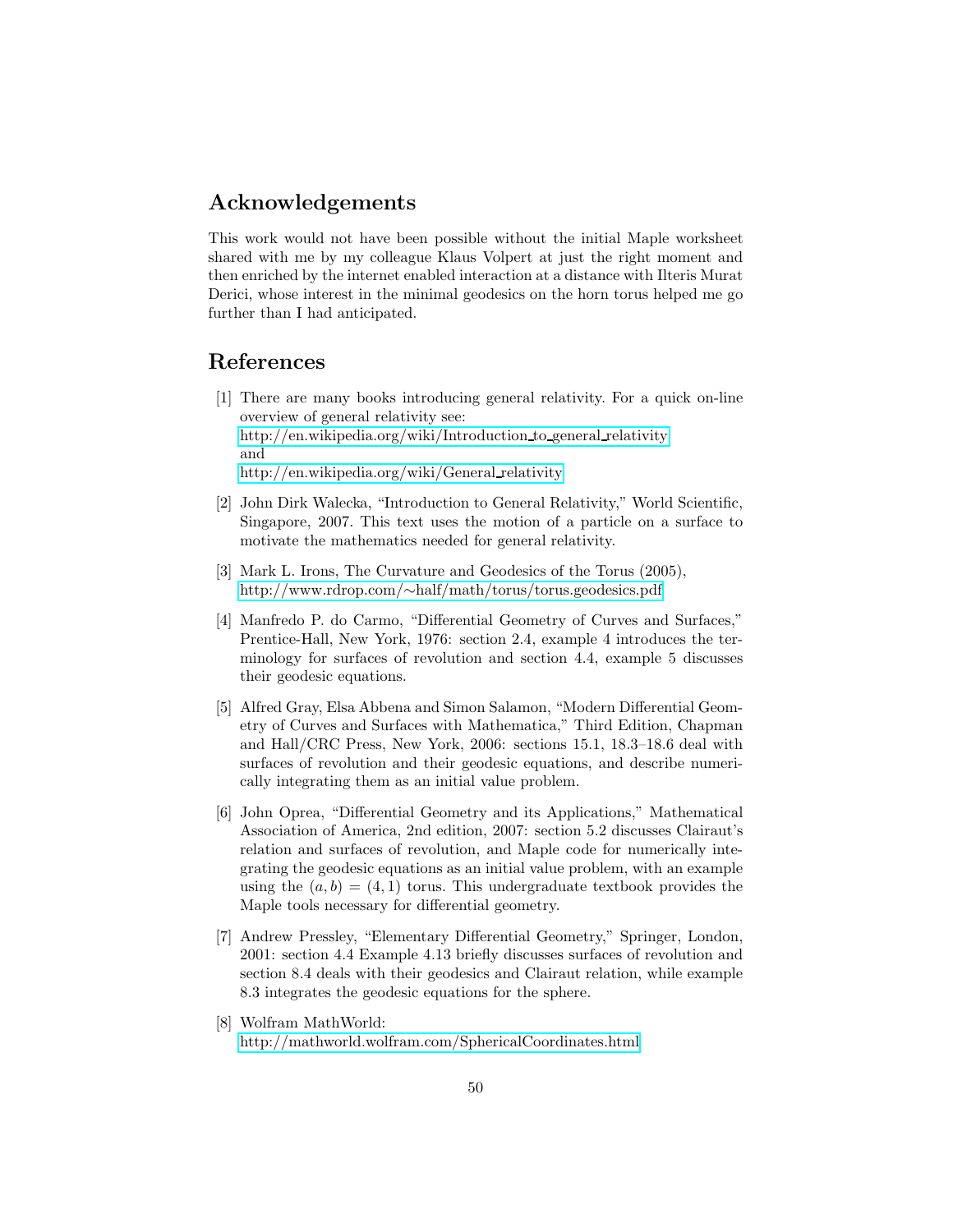#### Acknowledgements

This work would not have been possible without the initial Maple worksheet shared with me by my colleague Klaus Volpert at just the right moment and then enriched by the internet enabled interaction at a distance with Ilteris Murat Derici, whose interest in the minimal geodesics on the horn torus helped me go further than I had anticipated.

#### <span id="page-49-0"></span>References

- [1] There are many books introducing general relativity. For a quick on-line overview of general relativity see: [http://en.wikipedia.org/wiki/Introduction](http://en.wikipedia.org/wiki/Introduction_to_general_relativity) to general relativity and [http://en.wikipedia.org/wiki/General](http://en.wikipedia.org/wiki/General_relativity) relativity
- <span id="page-49-1"></span>[2] John Dirk Walecka, "Introduction to General Relativity," World Scientific, Singapore, 2007. This text uses the motion of a particle on a surface to motivate the mathematics needed for general relativity.
- <span id="page-49-2"></span>[3] Mark L. Irons, The Curvature and Geodesics of the Torus (2005), http://www.rdrop.com/∼[half/math/torus/torus.geodesics.pdf](http://www.rdrop.com/~half/math/torus/torus.geodesics.pdf)
- <span id="page-49-3"></span>[4] Manfredo P. do Carmo, "Differential Geometry of Curves and Surfaces," Prentice-Hall, New York, 1976: section 2.4, example 4 introduces the terminology for surfaces of revolution and section 4.4, example 5 discusses their geodesic equations.
- <span id="page-49-6"></span>[5] Alfred Gray, Elsa Abbena and Simon Salamon, "Modern Differential Geometry of Curves and Surfaces with Mathematica," Third Edition, Chapman and Hall/CRC Press, New York, 2006: sections 15.1, 18.3–18.6 deal with surfaces of revolution and their geodesic equations, and describe numerically integrating them as an initial value problem.
- <span id="page-49-7"></span>[6] John Oprea, "Differential Geometry and its Applications," Mathematical Association of America, 2nd edition, 2007: section 5.2 discusses Clairaut's relation and surfaces of revolution, and Maple code for numerically integrating the geodesic equations as an initial value problem, with an example using the  $(a, b) = (4, 1)$  torus. This undergraduate textbook provides the Maple tools necessary for differential geometry.
- <span id="page-49-4"></span>[7] Andrew Pressley, "Elementary Differential Geometry," Springer, London, 2001: section 4.4 Example 4.13 briefly discusses surfaces of revolution and section 8.4 deals with their geodesics and Clairaut relation, while example 8.3 integrates the geodesic equations for the sphere.
- <span id="page-49-5"></span>[8] Wolfram MathWorld: <http://mathworld.wolfram.com/SphericalCoordinates.html>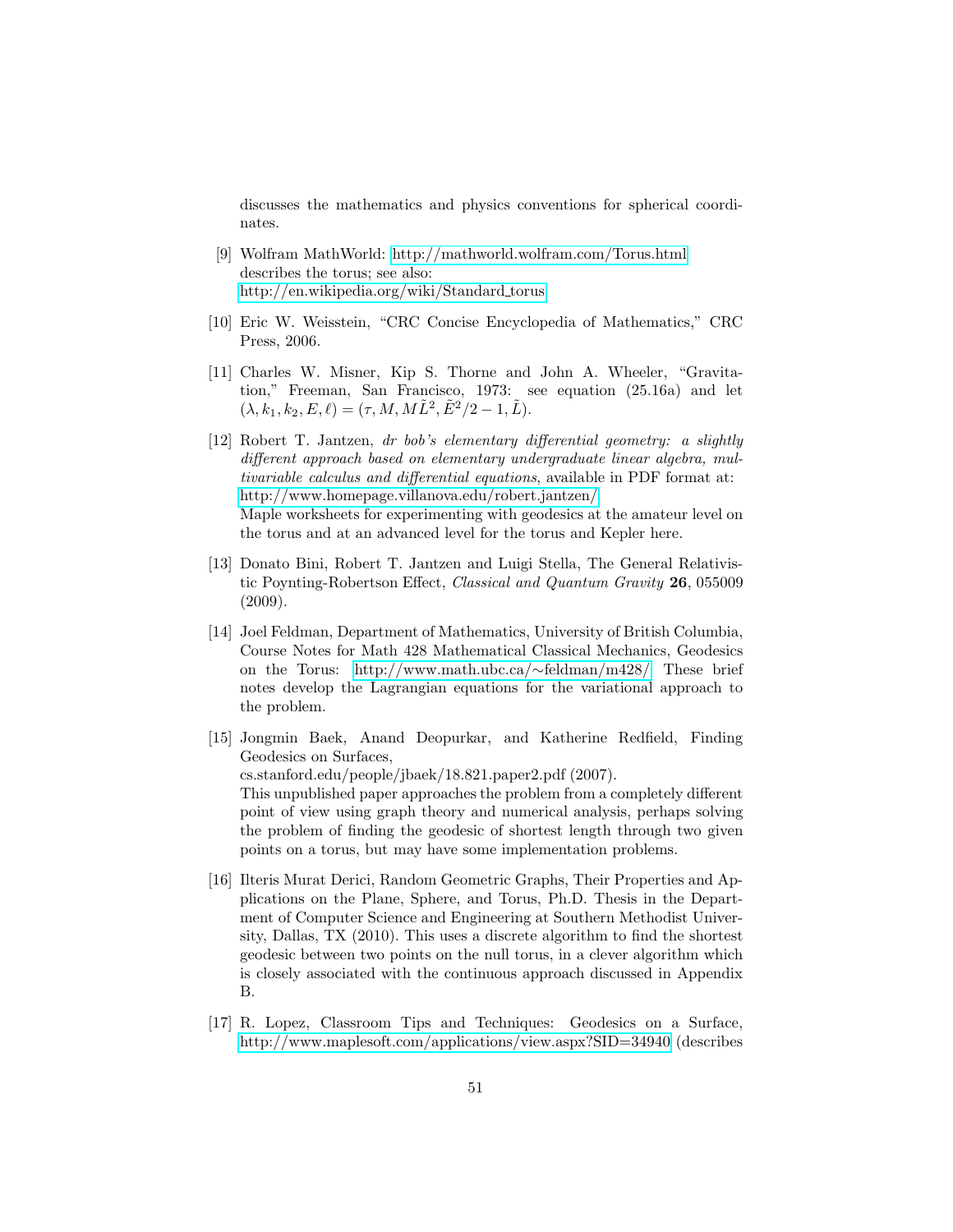discusses the mathematics and physics conventions for spherical coordinates.

- <span id="page-50-0"></span>[9] Wolfram MathWorld:<http://mathworld.wolfram.com/Torus.html> describes the torus; see also: [http://en.wikipedia.org/wiki/Standard](http://en.wikipedia.org/wiki/Standard_torus) torus
- <span id="page-50-4"></span><span id="page-50-1"></span>[10] Eric W. Weisstein, "CRC Concise Encyclopedia of Mathematics," CRC Press, 2006.
- [11] Charles W. Misner, Kip S. Thorne and John A. Wheeler, "Gravitation," Freeman, San Francisco, 1973: see equation (25.16a) and let  $(\lambda, k_1, k_2, E, \ell) = (\tau, M, M\tilde{L}^2, \tilde{E}^2/2 - 1, \tilde{L}).$
- <span id="page-50-5"></span>[12] Robert T. Jantzen, dr bob's elementary differential geometry: a slightly different approach based on elementary undergraduate linear algebra, multivariable calculus and differential equations, available in PDF format at: [http://www.homepage.villanova.edu/robert.jantzen/.](http://www.homepage.villanova.edu/robert.jantzen/) Maple worksheets for experimenting with geodesics at the amateur level on the torus and at an advanced level for the torus and Kepler here.
- <span id="page-50-6"></span>[13] Donato Bini, Robert T. Jantzen and Luigi Stella, The General Relativistic Poynting-Robertson Effect, Classical and Quantum Gravity 26, 055009 (2009).
- <span id="page-50-7"></span>[14] Joel Feldman, Department of Mathematics, University of British Columbia, Course Notes for Math 428 Mathematical Classical Mechanics, Geodesics on the Torus: [http://www.math.ubc.ca/](http://www.math.ubc.ca/~feldman/m428/)∼feldman/m428/. These brief notes develop the Lagrangian equations for the variational approach to the problem.
- <span id="page-50-2"></span>[15] Jongmin Baek, Anand Deopurkar, and Katherine Redfield, Finding Geodesics on Surfaces, cs.stanford.edu/people/jbaek/18.821.paper2.pdf (2007). This unpublished paper approaches the problem from a completely different point of view using graph theory and numerical analysis, perhaps solving the problem of finding the geodesic of shortest length through two given points on a torus, but may have some implementation problems.
- [16] Ilteris Murat Derici, Random Geometric Graphs, Their Properties and Applications on the Plane, Sphere, and Torus, Ph.D. Thesis in the Department of Computer Science and Engineering at Southern Methodist University, Dallas, TX (2010). This uses a discrete algorithm to find the shortest geodesic between two points on the null torus, in a clever algorithm which is closely associated with the continuous approach discussed in Appendix B.
- <span id="page-50-3"></span>[17] R. Lopez, Classroom Tips and Techniques: Geodesics on a Surface, <http://www.maplesoft.com/applications/view.aspx?SID=34940> (describes